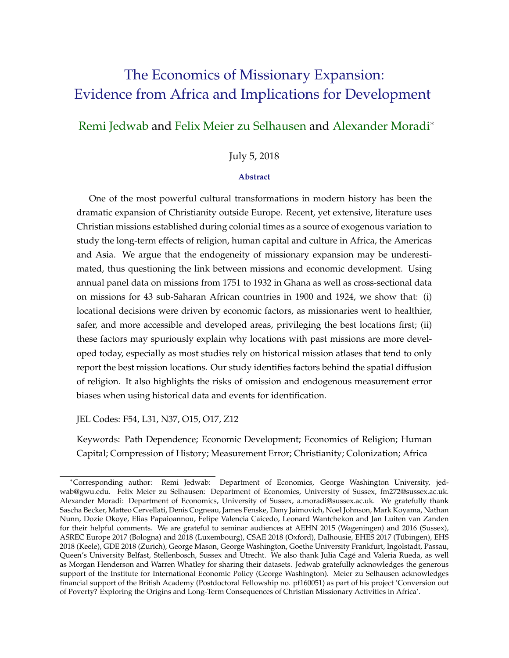# <span id="page-0-0"></span>The Economics of Missionary Expansion: Evidence from Africa and Implications for Development

## [Remi Jedwab](https://www.remijedwab.com/) and [Felix Meier zu Selhausen](https://sites.google.com/view/felixmeierzuselhausen/home) and [Alexander Moradi](http://users.sussex.ac.uk/~am401/)<sup>∗</sup>

## July 5, 2018

#### **Abstract**

One of the most powerful cultural transformations in modern history has been the dramatic expansion of Christianity outside Europe. Recent, yet extensive, literature uses Christian missions established during colonial times as a source of exogenous variation to study the long-term effects of religion, human capital and culture in Africa, the Americas and Asia. We argue that the endogeneity of missionary expansion may be underestimated, thus questioning the link between missions and economic development. Using annual panel data on missions from 1751 to 1932 in Ghana as well as cross-sectional data on missions for 43 sub-Saharan African countries in 1900 and 1924, we show that: (i) locational decisions were driven by economic factors, as missionaries went to healthier, safer, and more accessible and developed areas, privileging the best locations first; (ii) these factors may spuriously explain why locations with past missions are more developed today, especially as most studies rely on historical mission atlases that tend to only report the best mission locations. Our study identifies factors behind the spatial diffusion of religion. It also highlights the risks of omission and endogenous measurement error biases when using historical data and events for identification.

JEL Codes: F54, L31, N37, O15, O17, Z12

Keywords: Path Dependence; Economic Development; Economics of Religion; Human Capital; Compression of History; Measurement Error; Christianity; Colonization; Africa

<sup>∗</sup>Corresponding author: Remi Jedwab: Department of Economics, George Washington University, jedwab@gwu.edu. Felix Meier zu Selhausen: Department of Economics, University of Sussex, fm272@sussex.ac.uk. Alexander Moradi: Department of Economics, University of Sussex, a.moradi@sussex.ac.uk. We gratefully thank Sascha Becker, Matteo Cervellati, Denis Cogneau, James Fenske, Dany Jaimovich, Noel Johnson, Mark Koyama, Nathan Nunn, Dozie Okoye, Elias Papaioannou, Felipe Valencia Caicedo, Leonard Wantchekon and Jan Luiten van Zanden for their helpful comments. We are grateful to seminar audiences at AEHN 2015 (Wageningen) and 2016 (Sussex), ASREC Europe 2017 (Bologna) and 2018 (Luxembourg), CSAE 2018 (Oxford), Dalhousie, EHES 2017 (Tubingen), EHS ¨ 2018 (Keele), GDE 2018 (Zurich), George Mason, George Washington, Goethe University Frankfurt, Ingolstadt, Passau, Queen's University Belfast, Stellenbosch, Sussex and Utrecht. We also thank Julia Cagé and Valeria Rueda, as well as Morgan Henderson and Warren Whatley for sharing their datasets. Jedwab gratefully acknowledges the generous support of the Institute for International Economic Policy (George Washington). Meier zu Selhausen acknowledges financial support of the British Academy (Postdoctoral Fellowship no. pf160051) as part of his project 'Conversion out of Poverty? Exploring the Origins and Long-Term Consequences of Christian Missionary Activities in Africa'.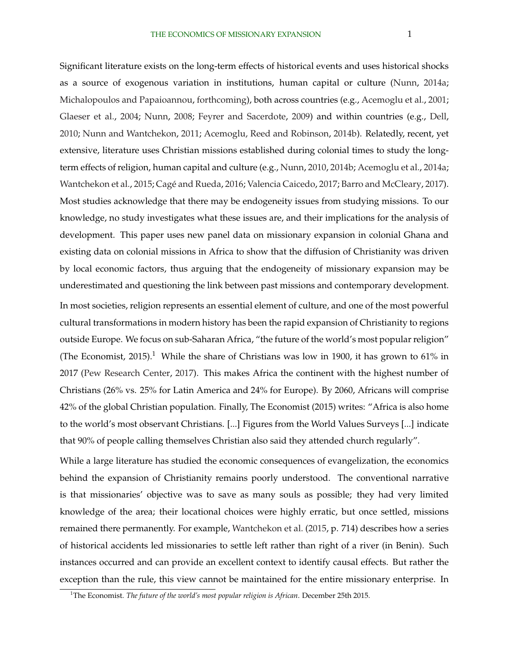Significant literature exists on the long-term effects of historical events and uses historical shocks as a source of exogenous variation in institutions, human capital or culture [\(Nunn,](#page-35-0) [2014a;](#page-35-0) [Michalopoulos and Papaioannou,](#page-34-0) [forthcoming\)](#page-34-0), both across countries (e.g., [Acemoglu et al.,](#page-31-0) [2001;](#page-31-0) [Glaeser et al.,](#page-33-0) [2004;](#page-33-0) [Nunn,](#page-35-0) [2008;](#page-35-0) [Feyrer and Sacerdote,](#page-33-0) [2009\)](#page-33-0) and within countries (e.g., [Dell,](#page-33-0) [2010;](#page-33-0) [Nunn and Wantchekon,](#page-35-0) [2011;](#page-35-0) [Acemoglu, Reed and Robinson,](#page-31-0) [2014b\)](#page-31-0). Relatedly, recent, yet extensive, literature uses Christian missions established during colonial times to study the longterm effects of religion, human capital and culture (e.g., [Nunn,](#page-35-0) [2010,](#page-35-0) [2014b;](#page-35-0) [Acemoglu et al.,](#page-31-0) [2014a;](#page-31-0) [Wantchekon et al.,](#page-35-0) [2015;](#page-35-0) Cagé and Rueda, [2016;](#page-32-0) [Valencia Caicedo,](#page-32-0) [2017;](#page-32-0) [Barro and McCleary,](#page-32-0) [2017\)](#page-32-0). Most studies acknowledge that there may be endogeneity issues from studying missions. To our knowledge, no study investigates what these issues are, and their implications for the analysis of development. This paper uses new panel data on missionary expansion in colonial Ghana and existing data on colonial missions in Africa to show that the diffusion of Christianity was driven by local economic factors, thus arguing that the endogeneity of missionary expansion may be underestimated and questioning the link between past missions and contemporary development. In most societies, religion represents an essential element of culture, and one of the most powerful cultural transformations in modern history has been the rapid expansion of Christianity to regions outside Europe. We focus on sub-Saharan Africa, "the future of the world's most popular religion" (The Economist, 2015).<sup>1</sup> While the share of Christians was low in 1900, it has grown to 61% in 2017 [\(Pew Research Center,](#page-35-0) [2017\)](#page-35-0). This makes Africa the continent with the highest number of Christians (26% vs. 25% for Latin America and 24% for Europe). By 2060, Africans will comprise 42% of the global Christian population. Finally, The Economist (2015) writes: "Africa is also home to the world's most observant Christians. [...] Figures from the World Values Surveys [...] indicate that 90% of people calling themselves Christian also said they attended church regularly".

While a large literature has studied the economic consequences of evangelization, the economics behind the expansion of Christianity remains poorly understood. The conventional narrative is that missionaries' objective was to save as many souls as possible; they had very limited knowledge of the area; their locational choices were highly erratic, but once settled, missions remained there permanently. For example, [Wantchekon et al.](#page-35-0) [\(2015,](#page-35-0) p. 714) describes how a series of historical accidents led missionaries to settle left rather than right of a river (in Benin). Such instances occurred and can provide an excellent context to identify causal effects. But rather the exception than the rule, this view cannot be maintained for the entire missionary enterprise. In

<sup>1</sup>The Economist. *The future of the world's most popular religion is African*. December 25th 2015.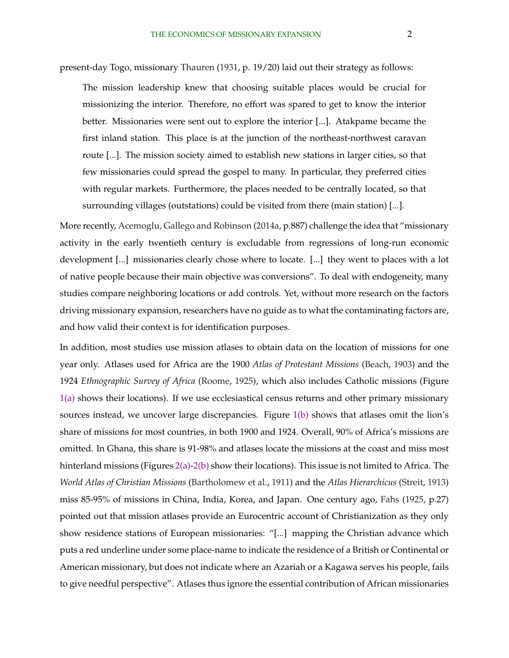present-day Togo, missionary [Thauren](#page-35-0) [\(1931,](#page-35-0) p. 19/20) laid out their strategy as follows:

The mission leadership knew that choosing suitable places would be crucial for missionizing the interior. Therefore, no effort was spared to get to know the interior better. Missionaries were sent out to explore the interior [...]. Atakpame became the first inland station. This place is at the junction of the northeast-northwest caravan route [...]. The mission society aimed to establish new stations in larger cities, so that few missionaries could spread the gospel to many. In particular, they preferred cities with regular markets. Furthermore, the places needed to be centrally located, so that surrounding villages (outstations) could be visited from there (main station) [...].

More recently, [Acemoglu, Gallego and Robinson](#page-31-0) [\(2014a,](#page-31-0) p.887) challenge the idea that "missionary activity in the early twentieth century is excludable from regressions of long-run economic development [...] missionaries clearly chose where to locate. [...] they went to places with a lot of native people because their main objective was conversions". To deal with endogeneity, many studies compare neighboring locations or add controls. Yet, without more research on the factors driving missionary expansion, researchers have no guide as to what the contaminating factors are, and how valid their context is for identification purposes.

In addition, most studies use mission atlases to obtain data on the location of missions for one year only. Atlases used for Africa are the 1900 *Atlas of Protestant Missions* [\(Beach,](#page-32-0) [1903\)](#page-32-0) and the 1924 *Ethnographic Survey of Africa* [\(Roome,](#page-35-0) [1925\)](#page-35-0), which also includes Catholic missions (Figure [1\(a\)](#page-36-0) shows their locations). If we use ecclesiastical census returns and other primary missionary sources instead, we uncover large discrepancies. Figure [1\(b\)](#page-36-0) shows that atlases omit the lion's share of missions for most countries, in both 1900 and 1924. Overall, 90% of Africa's missions are omitted. In Ghana, this share is 91-98% and atlases locate the missions at the coast and miss most hinterland missions (Figures [2\(a\)-2\(b\)](#page-36-0) show their locations). This issue is not limited to Africa. The *World Atlas of Christian Missions* [\(Bartholomew et al.,](#page-32-0) [1911\)](#page-32-0) and the *Atlas Hierarchicus* [\(Streit,](#page-35-0) [1913\)](#page-35-0) miss 85-95% of missions in China, India, Korea, and Japan. One century ago, [Fahs](#page-33-0) [\(1925,](#page-33-0) p.27) pointed out that mission atlases provide an Eurocentric account of Christianization as they only show residence stations of European missionaries: "[...] mapping the Christian advance which puts a red underline under some place-name to indicate the residence of a British or Continental or American missionary, but does not indicate where an Azariah or a Kagawa serves his people, fails to give needful perspective". Atlases thus ignore the essential contribution of African missionaries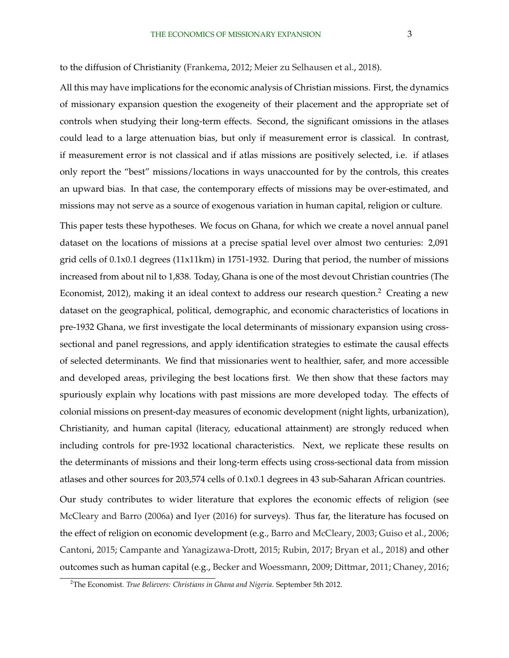to the diffusion of Christianity [\(Frankema,](#page-33-0) [2012;](#page-33-0) [Meier zu Selhausen et al.,](#page-34-0) [2018\)](#page-34-0).

All this may have implications for the economic analysis of Christian missions. First, the dynamics of missionary expansion question the exogeneity of their placement and the appropriate set of controls when studying their long-term effects. Second, the significant omissions in the atlases could lead to a large attenuation bias, but only if measurement error is classical. In contrast, if measurement error is not classical and if atlas missions are positively selected, i.e. if atlases only report the "best" missions/locations in ways unaccounted for by the controls, this creates an upward bias. In that case, the contemporary effects of missions may be over-estimated, and missions may not serve as a source of exogenous variation in human capital, religion or culture.

This paper tests these hypotheses. We focus on Ghana, for which we create a novel annual panel dataset on the locations of missions at a precise spatial level over almost two centuries: 2,091 grid cells of 0.1x0.1 degrees (11x11km) in 1751-1932. During that period, the number of missions increased from about nil to 1,838. Today, Ghana is one of the most devout Christian countries (The Economist, 2012), making it an ideal context to address our research question.<sup>2</sup> Creating a new dataset on the geographical, political, demographic, and economic characteristics of locations in pre-1932 Ghana, we first investigate the local determinants of missionary expansion using crosssectional and panel regressions, and apply identification strategies to estimate the causal effects of selected determinants. We find that missionaries went to healthier, safer, and more accessible and developed areas, privileging the best locations first. We then show that these factors may spuriously explain why locations with past missions are more developed today. The effects of colonial missions on present-day measures of economic development (night lights, urbanization), Christianity, and human capital (literacy, educational attainment) are strongly reduced when including controls for pre-1932 locational characteristics. Next, we replicate these results on the determinants of missions and their long-term effects using cross-sectional data from mission atlases and other sources for 203,574 cells of 0.1x0.1 degrees in 43 sub-Saharan African countries. Our study contributes to wider literature that explores the economic effects of religion (see [McCleary and Barro](#page-34-0) [\(2006a\)](#page-34-0) and [Iyer](#page-34-0) [\(2016\)](#page-34-0) for surveys). Thus far, the literature has focused on the effect of religion on economic development (e.g., [Barro and McCleary,](#page-32-0) [2003;](#page-32-0) [Guiso et al.,](#page-34-0) [2006;](#page-34-0)

[Cantoni,](#page-33-0) [2015;](#page-33-0) [Campante and Yanagizawa-Drott,](#page-32-0) [2015;](#page-32-0) [Rubin,](#page-35-0) [2017;](#page-35-0) [Bryan et al.,](#page-32-0) [2018\)](#page-32-0) and other outcomes such as human capital (e.g., [Becker and Woessmann,](#page-32-0) [2009;](#page-32-0) [Dittmar,](#page-33-0) [2011;](#page-33-0) [Chaney,](#page-33-0) [2016;](#page-33-0)

<sup>2</sup>The Economist. *True Believers: Christians in Ghana and Nigeria*. September 5th 2012.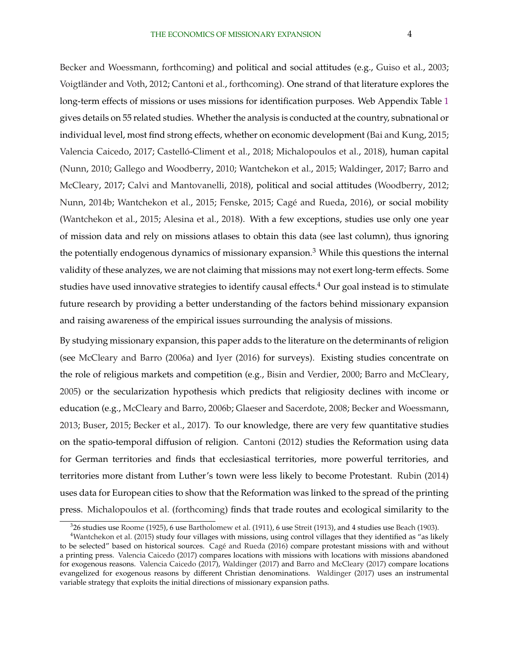[Becker and Woessmann,](#page-32-0) [forthcoming\)](#page-32-0) and political and social attitudes (e.g., [Guiso et al.,](#page-34-0) [2003;](#page-34-0) Voigtländer and Voth, [2012;](#page-35-0) [Cantoni et al.,](#page-33-0) [forthcoming\)](#page-33-0). One strand of that literature explores the long-term effects of missions or uses missions for identification purposes. Web Appendix Table [1](#page-39-0) gives details on 55 related studies. Whether the analysis is conducted at the country, subnational or individual level, most find strong effects, whether on economic development [\(Bai and Kung,](#page-32-0) [2015;](#page-32-0) [Valencia Caicedo,](#page-32-0) [2017;](#page-32-0) Castelló-Climent et al., [2018;](#page-33-0) [Michalopoulos et al.,](#page-34-0) [2018\)](#page-34-0), human capital [\(Nunn,](#page-35-0) [2010;](#page-35-0) [Gallego and Woodberry,](#page-33-0) [2010;](#page-33-0) [Wantchekon et al.,](#page-35-0) [2015;](#page-35-0) [Waldinger,](#page-35-0) [2017;](#page-35-0) [Barro and](#page-32-0) [McCleary,](#page-32-0) [2017;](#page-32-0) [Calvi and Mantovanelli,](#page-32-0) [2018\)](#page-32-0), political and social attitudes [\(Woodberry,](#page-35-0) [2012;](#page-35-0) [Nunn,](#page-35-0) [2014b;](#page-35-0) [Wantchekon et al.,](#page-35-0) [2015;](#page-33-0) [Fenske,](#page-33-0) 2015; Cagé and Rueda, [2016\)](#page-32-0), or social mobility [\(Wantchekon et al.,](#page-35-0) [2015;](#page-35-0) [Alesina et al.,](#page-31-0) [2018\)](#page-31-0). With a few exceptions, studies use only one year of mission data and rely on missions atlases to obtain this data (see last column), thus ignoring the potentially endogenous dynamics of missionary expansion.<sup>3</sup> While this questions the internal validity of these analyzes, we are not claiming that missions may not exert long-term effects. Some studies have used innovative strategies to identify causal effects.<sup>4</sup> Our goal instead is to stimulate future research by providing a better understanding of the factors behind missionary expansion and raising awareness of the empirical issues surrounding the analysis of missions.

By studying missionary expansion, this paper adds to the literature on the determinants of religion (see [McCleary and Barro](#page-34-0) [\(2006a\)](#page-34-0) and [Iyer](#page-34-0) [\(2016\)](#page-34-0) for surveys). Existing studies concentrate on the role of religious markets and competition (e.g., [Bisin and Verdier,](#page-32-0) [2000;](#page-32-0) [Barro and McCleary,](#page-32-0) [2005\)](#page-32-0) or the secularization hypothesis which predicts that religiosity declines with income or education (e.g., [McCleary and Barro,](#page-34-0) [2006b;](#page-34-0) [Glaeser and Sacerdote,](#page-33-0) [2008;](#page-33-0) [Becker and Woessmann,](#page-32-0) [2013;](#page-32-0) [Buser,](#page-32-0) [2015;](#page-32-0) [Becker et al.,](#page-32-0) [2017\)](#page-32-0). To our knowledge, there are very few quantitative studies on the spatio-temporal diffusion of religion. [Cantoni](#page-32-0) [\(2012\)](#page-32-0) studies the Reformation using data for German territories and finds that ecclesiastical territories, more powerful territories, and territories more distant from Luther's town were less likely to become Protestant. [Rubin](#page-35-0) [\(2014\)](#page-35-0) uses data for European cities to show that the Reformation was linked to the spread of the printing press. [Michalopoulos et al.](#page-34-0) [\(forthcoming\)](#page-34-0) finds that trade routes and ecological similarity to the

<sup>3</sup> 26 studies use [Roome](#page-35-0) [\(1925\)](#page-35-0), 6 use [Bartholomew et al.](#page-32-0) [\(1911\)](#page-32-0), 6 use [Streit](#page-35-0) [\(1913\)](#page-35-0), and 4 studies use [Beach](#page-32-0) [\(1903\)](#page-32-0).

<sup>&</sup>lt;sup>4</sup>[Wantchekon et al.](#page-35-0) [\(2015\)](#page-35-0) study four villages with missions, using control villages that they identified as "as likely to be selected" based on historical sources. Cagé and Rueda [\(2016\)](#page-32-0) compare protestant missions with and without a printing press. [Valencia Caicedo](#page-32-0) [\(2017\)](#page-32-0) compares locations with missions with locations with missions abandoned for exogenous reasons. [Valencia Caicedo](#page-32-0) [\(2017\)](#page-32-0), [Waldinger](#page-35-0) [\(2017\)](#page-35-0) and [Barro and McCleary](#page-32-0) [\(2017\)](#page-32-0) compare locations evangelized for exogenous reasons by different Christian denominations. [Waldinger](#page-35-0) [\(2017\)](#page-35-0) uses an instrumental variable strategy that exploits the initial directions of missionary expansion paths.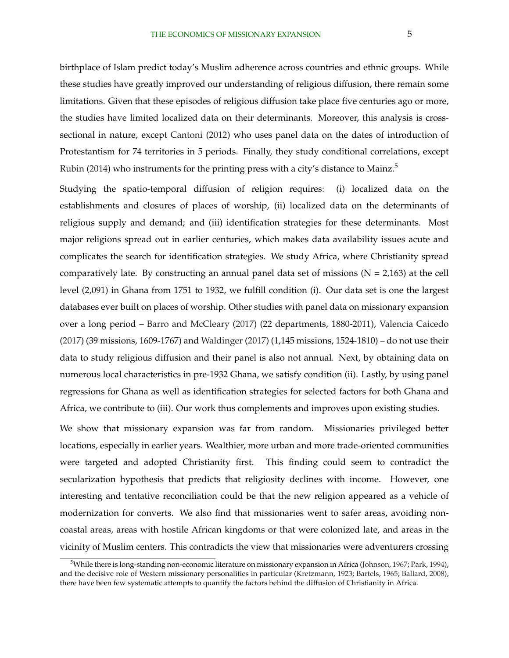birthplace of Islam predict today's Muslim adherence across countries and ethnic groups. While these studies have greatly improved our understanding of religious diffusion, there remain some limitations. Given that these episodes of religious diffusion take place five centuries ago or more, the studies have limited localized data on their determinants. Moreover, this analysis is crosssectional in nature, except [Cantoni](#page-32-0) [\(2012\)](#page-32-0) who uses panel data on the dates of introduction of Protestantism for 74 territories in 5 periods. Finally, they study conditional correlations, except [Rubin](#page-35-0) [\(2014\)](#page-35-0) who instruments for the printing press with a city's distance to Mainz.<sup>5</sup>

Studying the spatio-temporal diffusion of religion requires: (i) localized data on the establishments and closures of places of worship, (ii) localized data on the determinants of religious supply and demand; and (iii) identification strategies for these determinants. Most major religions spread out in earlier centuries, which makes data availability issues acute and complicates the search for identification strategies. We study Africa, where Christianity spread comparatively late. By constructing an annual panel data set of missions ( $N = 2,163$ ) at the cell level (2,091) in Ghana from 1751 to 1932, we fulfill condition (i). Our data set is one the largest databases ever built on places of worship. Other studies with panel data on missionary expansion over a long period – [Barro and McCleary](#page-32-0) [\(2017\)](#page-32-0) (22 departments, 1880-2011), [Valencia Caicedo](#page-32-0) [\(2017\)](#page-32-0) (39 missions, 1609-1767) and [Waldinger](#page-35-0) [\(2017\)](#page-35-0) (1,145 missions, 1524-1810) – do not use their data to study religious diffusion and their panel is also not annual. Next, by obtaining data on numerous local characteristics in pre-1932 Ghana, we satisfy condition (ii). Lastly, by using panel regressions for Ghana as well as identification strategies for selected factors for both Ghana and Africa, we contribute to (iii). Our work thus complements and improves upon existing studies.

We show that missionary expansion was far from random. Missionaries privileged better locations, especially in earlier years. Wealthier, more urban and more trade-oriented communities were targeted and adopted Christianity first. This finding could seem to contradict the secularization hypothesis that predicts that religiosity declines with income. However, one interesting and tentative reconciliation could be that the new religion appeared as a vehicle of modernization for converts. We also find that missionaries went to safer areas, avoiding noncoastal areas, areas with hostile African kingdoms or that were colonized late, and areas in the vicinity of Muslim centers. This contradicts the view that missionaries were adventurers crossing

<sup>5</sup>While there is long-standing non-economic literature on missionary expansion in Africa [\(Johnson,](#page-34-0) [1967;](#page-34-0) [Park,](#page-35-0) [1994\)](#page-35-0), and the decisive role of Western missionary personalities in particular [\(Kretzmann,](#page-34-0) [1923;](#page-34-0) [Bartels,](#page-32-0) [1965;](#page-32-0) [Ballard,](#page-32-0) [2008\)](#page-32-0), there have been few systematic attempts to quantify the factors behind the diffusion of Christianity in Africa.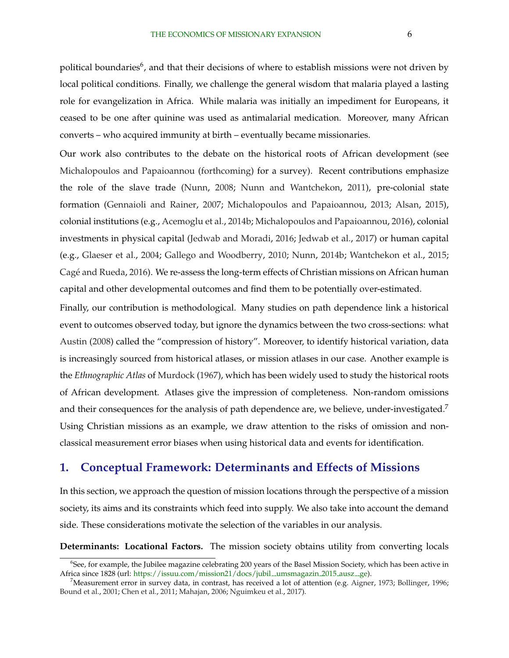political boundaries $^6$ , and that their decisions of where to establish missions were not driven by local political conditions. Finally, we challenge the general wisdom that malaria played a lasting role for evangelization in Africa. While malaria was initially an impediment for Europeans, it ceased to be one after quinine was used as antimalarial medication. Moreover, many African converts – who acquired immunity at birth – eventually became missionaries.

Our work also contributes to the debate on the historical roots of African development (see [Michalopoulos and Papaioannou](#page-34-0) [\(forthcoming\)](#page-34-0) for a survey). Recent contributions emphasize the role of the slave trade [\(Nunn,](#page-35-0) [2008;](#page-35-0) [Nunn and Wantchekon,](#page-35-0) [2011\)](#page-35-0), pre-colonial state formation [\(Gennaioli and Rainer,](#page-33-0) [2007;](#page-33-0) [Michalopoulos and Papaioannou,](#page-34-0) [2013;](#page-34-0) [Alsan,](#page-32-0) [2015\)](#page-32-0), colonial institutions (e.g., [Acemoglu et al.,](#page-31-0) [2014b;](#page-31-0) [Michalopoulos and Papaioannou,](#page-34-0) [2016\)](#page-34-0), colonial investments in physical capital [\(Jedwab and Moradi,](#page-34-0) [2016;](#page-34-0) [Jedwab et al.,](#page-34-0) [2017\)](#page-34-0) or human capital (e.g., [Glaeser et al.,](#page-33-0) [2004;](#page-33-0) [Gallego and Woodberry,](#page-33-0) [2010;](#page-33-0) [Nunn,](#page-35-0) [2014b;](#page-35-0) [Wantchekon et al.,](#page-35-0) [2015;](#page-35-0) Cagé and Rueda, [2016\)](#page-32-0). We re-assess the long-term effects of Christian missions on African human capital and other developmental outcomes and find them to be potentially over-estimated.

Finally, our contribution is methodological. Many studies on path dependence link a historical event to outcomes observed today, but ignore the dynamics between the two cross-sections: what [Austin](#page-32-0) [\(2008\)](#page-32-0) called the "compression of history". Moreover, to identify historical variation, data is increasingly sourced from historical atlases, or mission atlases in our case. Another example is the *Ethnographic Atlas* of [Murdock](#page-35-0) [\(1967\)](#page-35-0), which has been widely used to study the historical roots of African development. Atlases give the impression of completeness. Non-random omissions and their consequences for the analysis of path dependence are, we believe, under-investigated.<sup>7</sup> Using Christian missions as an example, we draw attention to the risks of omission and nonclassical measurement error biases when using historical data and events for identification.

## **1. Conceptual Framework: Determinants and Effects of Missions**

In this section, we approach the question of mission locations through the perspective of a mission society, its aims and its constraints which feed into supply. We also take into account the demand side. These considerations motivate the selection of the variables in our analysis.

**Determinants: Locational Factors.** The mission society obtains utility from converting locals

 $^6$ See, for example, the Jubilee magazine celebrating 200 years of the Basel Mission Society, which has been active in Africa since 1828 (url: [https://issuu.com/mission21/docs/jubil](https://issuu.com/mission21/docs/jubil__umsmagazin_2015_ausz__ge)\_umsmagazin 2015 ausz ge).

 $^7$ Measurement error in survey data, in contrast, has received a lot of attention (e.g. [Aigner,](#page-31-0) [1973;](#page-31-0) [Bollinger,](#page-32-0) [1996;](#page-32-0) [Bound et al.,](#page-32-0) [2001;](#page-32-0) [Chen et al.,](#page-33-0) [2011;](#page-33-0) [Mahajan,](#page-34-0) [2006;](#page-34-0) [Nguimkeu et al.,](#page-35-0) [2017\)](#page-35-0).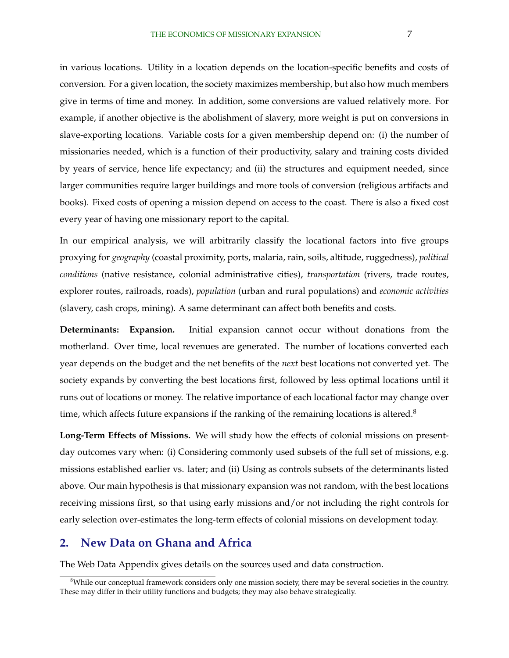<span id="page-7-0"></span>in various locations. Utility in a location depends on the location-specific benefits and costs of conversion. For a given location, the society maximizes membership, but also how much members give in terms of time and money. In addition, some conversions are valued relatively more. For example, if another objective is the abolishment of slavery, more weight is put on conversions in slave-exporting locations. Variable costs for a given membership depend on: (i) the number of missionaries needed, which is a function of their productivity, salary and training costs divided by years of service, hence life expectancy; and (ii) the structures and equipment needed, since larger communities require larger buildings and more tools of conversion (religious artifacts and books). Fixed costs of opening a mission depend on access to the coast. There is also a fixed cost every year of having one missionary report to the capital.

In our empirical analysis, we will arbitrarily classify the locational factors into five groups proxying for *geography* (coastal proximity, ports, malaria, rain, soils, altitude, ruggedness), *political conditions* (native resistance, colonial administrative cities), *transportation* (rivers, trade routes, explorer routes, railroads, roads), *population* (urban and rural populations) and *economic activities* (slavery, cash crops, mining). A same determinant can affect both benefits and costs.

**Determinants: Expansion.** Initial expansion cannot occur without donations from the motherland. Over time, local revenues are generated. The number of locations converted each year depends on the budget and the net benefits of the *next* best locations not converted yet. The society expands by converting the best locations first, followed by less optimal locations until it runs out of locations or money. The relative importance of each locational factor may change over time, which affects future expansions if the ranking of the remaining locations is altered.<sup>8</sup>

**Long-Term Effects of Missions.** We will study how the effects of colonial missions on presentday outcomes vary when: (i) Considering commonly used subsets of the full set of missions, e.g. missions established earlier vs. later; and (ii) Using as controls subsets of the determinants listed above. Our main hypothesis is that missionary expansion was not random, with the best locations receiving missions first, so that using early missions and/or not including the right controls for early selection over-estimates the long-term effects of colonial missions on development today.

## **2. New Data on Ghana and Africa**

The Web Data Appendix gives details on the sources used and data construction.

 $8$ While our conceptual framework considers only one mission society, there may be several societies in the country. These may differ in their utility functions and budgets; they may also behave strategically.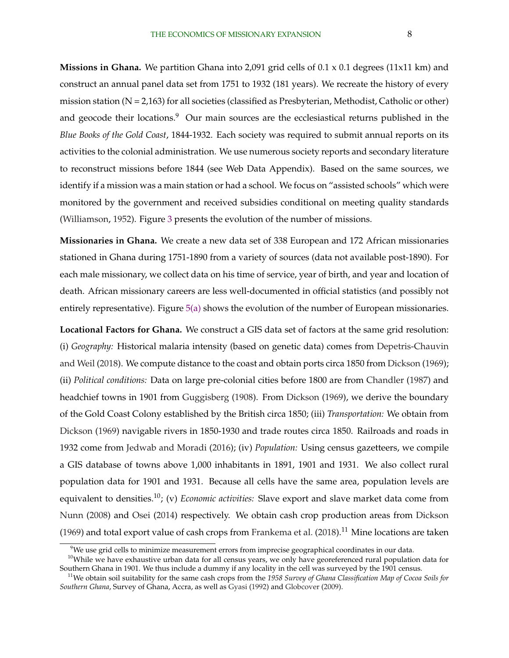**Missions in Ghana.** We partition Ghana into 2,091 grid cells of 0.1 x 0.1 degrees (11x11 km) and construct an annual panel data set from 1751 to 1932 (181 years). We recreate the history of every mission station (N = 2,163) for all societies (classified as Presbyterian, Methodist, Catholic or other) and geocode their locations.<sup>9</sup> Our main sources are the ecclesiastical returns published in the *Blue Books of the Gold Coast*, 1844-1932. Each society was required to submit annual reports on its activities to the colonial administration. We use numerous society reports and secondary literature to reconstruct missions before 1844 (see Web Data Appendix). Based on the same sources, we identify if a mission was a main station or had a school. We focus on "assisted schools" which were monitored by the government and received subsidies conditional on meeting quality standards [\(Williamson,](#page-35-0) [1952\)](#page-35-0). Figure [3](#page-37-0) presents the evolution of the number of missions.

**Missionaries in Ghana.** We create a new data set of 338 European and 172 African missionaries stationed in Ghana during 1751-1890 from a variety of sources (data not available post-1890). For each male missionary, we collect data on his time of service, year of birth, and year and location of death. African missionary careers are less well-documented in official statistics (and possibly not entirely representative). Figure  $5(a)$  shows the evolution of the number of European missionaries.

**Locational Factors for Ghana.** We construct a GIS data set of factors at the same grid resolution: (i) *Geography:* Historical malaria intensity (based on genetic data) comes from [Depetris-Chauvin](#page-33-0) [and Weil](#page-33-0) [\(2018\)](#page-33-0). We compute distance to the coast and obtain ports circa 1850 from [Dickson](#page-33-0) [\(1969\)](#page-33-0); (ii) *Political conditions:* Data on large pre-colonial cities before 1800 are from [Chandler](#page-33-0) [\(1987\)](#page-33-0) and headchief towns in 1901 from [Guggisberg](#page-34-0) [\(1908\)](#page-34-0). From [Dickson](#page-33-0) [\(1969\)](#page-33-0), we derive the boundary of the Gold Coast Colony established by the British circa 1850; (iii) *Transportation:* We obtain from [Dickson](#page-33-0) [\(1969\)](#page-33-0) navigable rivers in 1850-1930 and trade routes circa 1850. Railroads and roads in 1932 come from [Jedwab and Moradi](#page-34-0) [\(2016\)](#page-34-0); (iv) *Population:* Using census gazetteers, we compile a GIS database of towns above 1,000 inhabitants in 1891, 1901 and 1931. We also collect rural population data for 1901 and 1931. Because all cells have the same area, population levels are equivalent to densities.10; (v) *Economic activities:* Slave export and slave market data come from [Nunn](#page-35-0) [\(2008\)](#page-35-0) and [Osei](#page-35-0) [\(2014\)](#page-35-0) respectively. We obtain cash crop production areas from [Dickson](#page-33-0) [\(1969\)](#page-33-0) and total export value of cash crops from [Frankema et al.](#page-33-0)  $(2018).<sup>11</sup>$  $(2018).<sup>11</sup>$  Mine locations are taken

 $9$ We use grid cells to minimize measurement errors from imprecise geographical coordinates in our data.

<sup>&</sup>lt;sup>10</sup>While we have exhaustive urban data for all census years, we only have georeferenced rural population data for Southern Ghana in 1901. We thus include a dummy if any locality in the cell was surveyed by the 1901 census.

<sup>11</sup>We obtain soil suitability for the same cash crops from the *1958 Survey of Ghana Classification Map of Cocoa Soils for Southern Ghana*, Survey of Ghana, Accra, as well as [Gyasi](#page-34-0) [\(1992\)](#page-34-0) and [Globcover](#page-33-0) [\(2009\)](#page-33-0).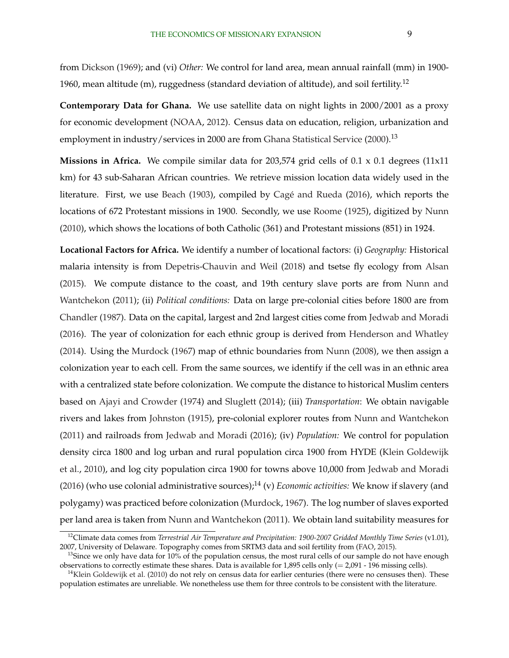from [Dickson](#page-33-0) [\(1969\)](#page-33-0); and (vi) *Other:* We control for land area, mean annual rainfall (mm) in 1900- 1960, mean altitude (m), ruggedness (standard deviation of altitude), and soil fertility.<sup>12</sup>

**Contemporary Data for Ghana.** We use satellite data on night lights in 2000/2001 as a proxy for economic development [\(NOAA,](#page-35-0) [2012\)](#page-35-0). Census data on education, religion, urbanization and employment in industry/services in 2000 are from [Ghana Statistical Service](#page-33-0) [\(2000\)](#page-33-0).<sup>13</sup>

**Missions in Africa.** We compile similar data for 203,574 grid cells of  $0.1 \times 0.1$  degrees  $(11 \times 11)$ km) for 43 sub-Saharan African countries. We retrieve mission location data widely used in the literature. First, we use [Beach](#page-32-0) [\(1903\)](#page-32-0), compiled by Cagé and Rueda [\(2016\)](#page-32-0), which reports the locations of 672 Protestant missions in 1900. Secondly, we use [Roome](#page-35-0) [\(1925\)](#page-35-0), digitized by [Nunn](#page-35-0) [\(2010\)](#page-35-0), which shows the locations of both Catholic (361) and Protestant missions (851) in 1924.

**Locational Factors for Africa.** We identify a number of locational factors: (i) *Geography:* Historical malaria intensity is from [Depetris-Chauvin and Weil](#page-33-0) [\(2018\)](#page-33-0) and tsetse fly ecology from [Alsan](#page-32-0) [\(2015\)](#page-32-0). We compute distance to the coast, and 19th century slave ports are from [Nunn and](#page-35-0) [Wantchekon](#page-35-0) [\(2011\)](#page-35-0); (ii) *Political conditions:* Data on large pre-colonial cities before 1800 are from [Chandler](#page-33-0) [\(1987\)](#page-33-0). Data on the capital, largest and 2nd largest cities come from [Jedwab and Moradi](#page-34-0) [\(2016\)](#page-34-0). The year of colonization for each ethnic group is derived from [Henderson and Whatley](#page-34-0) [\(2014\)](#page-34-0). Using the [Murdock](#page-35-0) [\(1967\)](#page-35-0) map of ethnic boundaries from [Nunn](#page-35-0) [\(2008\)](#page-35-0), we then assign a colonization year to each cell. From the same sources, we identify if the cell was in an ethnic area with a centralized state before colonization. We compute the distance to historical Muslim centers based on [Ajayi and Crowder](#page-31-0) [\(1974\)](#page-31-0) and [Sluglett](#page-35-0) [\(2014\)](#page-35-0); (iii) *Transportation*: We obtain navigable rivers and lakes from [Johnston](#page-34-0) [\(1915\)](#page-34-0), pre-colonial explorer routes from [Nunn and Wantchekon](#page-35-0) [\(2011\)](#page-35-0) and railroads from [Jedwab and Moradi](#page-34-0) [\(2016\)](#page-34-0); (iv) *Population:* We control for population density circa 1800 and log urban and rural population circa 1900 from HYDE [\(Klein Goldewijk](#page-33-0) [et al.,](#page-33-0) [2010\)](#page-33-0), and log city population circa 1900 for towns above 10,000 from [Jedwab and Moradi](#page-34-0) [\(2016\)](#page-34-0) (who use colonial administrative sources);<sup>14</sup> (v) *Economic activities:* We know if slavery (and polygamy) was practiced before colonization [\(Murdock,](#page-35-0) [1967\)](#page-35-0). The log number of slaves exported per land area is taken from [Nunn and Wantchekon](#page-35-0) [\(2011\)](#page-35-0). We obtain land suitability measures for

<sup>12</sup>Climate data comes from *Terrestrial Air Temperature and Precipitation: 1900-2007 Gridded Monthly Time Series* (v1.01), 2007, University of Delaware. Topography comes from SRTM3 data and soil fertility from [\(FAO,](#page-33-0) [2015\)](#page-33-0).

<sup>&</sup>lt;sup>13</sup>Since we only have data for  $10\%$  of the population census, the most rural cells of our sample do not have enough observations to correctly estimate these shares. Data is available for 1,895 cells only  $(= 2,091 - 196$  missing cells).

 $14$ [Klein Goldewijk et al.](#page-33-0) [\(2010\)](#page-33-0) do not rely on census data for earlier centuries (there were no censuses then). These population estimates are unreliable. We nonetheless use them for three controls to be consistent with the literature.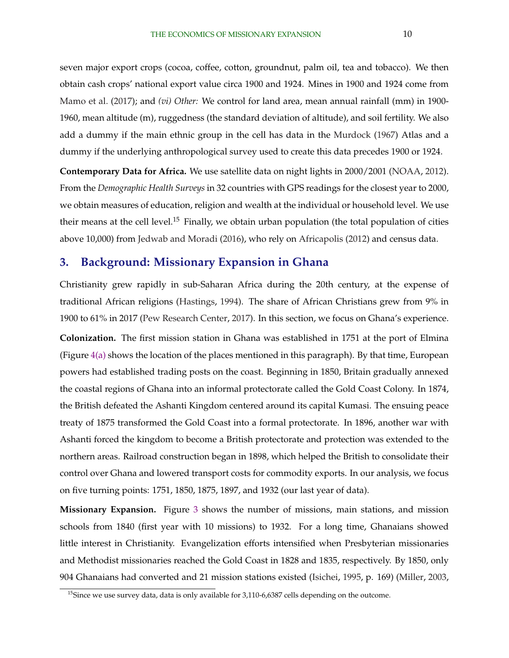<span id="page-10-0"></span>seven major export crops (cocoa, coffee, cotton, groundnut, palm oil, tea and tobacco). We then obtain cash crops' national export value circa 1900 and 1924. Mines in 1900 and 1924 come from [Mamo et al.](#page-34-0) [\(2017\)](#page-34-0); and *(vi) Other:* We control for land area, mean annual rainfall (mm) in 1900- 1960, mean altitude (m), ruggedness (the standard deviation of altitude), and soil fertility. We also add a dummy if the main ethnic group in the cell has data in the [Murdock](#page-35-0) [\(1967\)](#page-35-0) Atlas and a dummy if the underlying anthropological survey used to create this data precedes 1900 or 1924.

**Contemporary Data for Africa.** We use satellite data on night lights in 2000/2001 [\(NOAA,](#page-35-0) [2012\)](#page-35-0). From the *Demographic Health Surveys* in 32 countries with GPS readings for the closest year to 2000, we obtain measures of education, religion and wealth at the individual or household level. We use their means at the cell level.<sup>15</sup> Finally, we obtain urban population (the total population of cities above 10,000) from [Jedwab and Moradi](#page-34-0) [\(2016\)](#page-34-0), who rely on [Africapolis](#page-31-0) [\(2012\)](#page-31-0) and census data.

## **3. Background: Missionary Expansion in Ghana**

Christianity grew rapidly in sub-Saharan Africa during the 20th century, at the expense of traditional African religions [\(Hastings,](#page-34-0) [1994\)](#page-34-0). The share of African Christians grew from 9% in 1900 to 61% in 2017 [\(Pew Research Center,](#page-35-0) [2017\)](#page-35-0). In this section, we focus on Ghana's experience.

**Colonization.** The first mission station in Ghana was established in 1751 at the port of Elmina (Figure [4\(a\)](#page-37-0) shows the location of the places mentioned in this paragraph). By that time, European powers had established trading posts on the coast. Beginning in 1850, Britain gradually annexed the coastal regions of Ghana into an informal protectorate called the Gold Coast Colony. In 1874, the British defeated the Ashanti Kingdom centered around its capital Kumasi. The ensuing peace treaty of 1875 transformed the Gold Coast into a formal protectorate. In 1896, another war with Ashanti forced the kingdom to become a British protectorate and protection was extended to the northern areas. Railroad construction began in 1898, which helped the British to consolidate their control over Ghana and lowered transport costs for commodity exports. In our analysis, we focus on five turning points: 1751, 1850, 1875, 1897, and 1932 (our last year of data).

**Missionary Expansion.** Figure [3](#page-37-0) shows the number of missions, main stations, and mission schools from 1840 (first year with 10 missions) to 1932. For a long time, Ghanaians showed little interest in Christianity. Evangelization efforts intensified when Presbyterian missionaries and Methodist missionaries reached the Gold Coast in 1828 and 1835, respectively. By 1850, only 904 Ghanaians had converted and 21 mission stations existed [\(Isichei,](#page-34-0) [1995,](#page-34-0) p. 169) [\(Miller,](#page-34-0) [2003,](#page-34-0)

<sup>&</sup>lt;sup>15</sup>Since we use survey data, data is only available for  $3,110-6,6387$  cells depending on the outcome.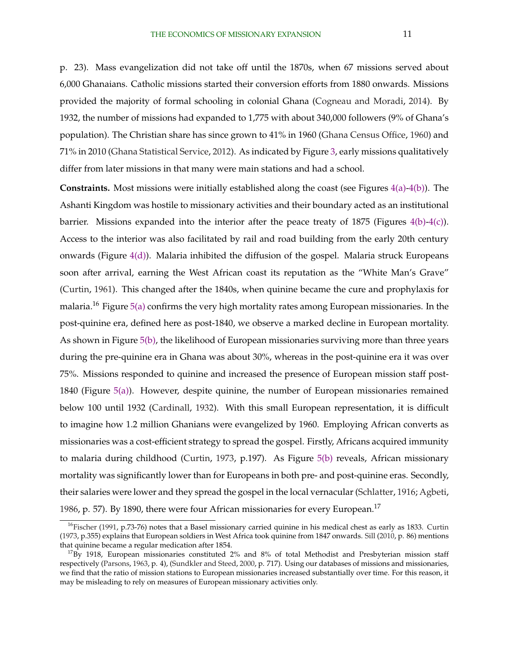p. 23). Mass evangelization did not take off until the 1870s, when 67 missions served about 6,000 Ghanaians. Catholic missions started their conversion efforts from 1880 onwards. Missions provided the majority of formal schooling in colonial Ghana [\(Cogneau and Moradi,](#page-33-0) [2014\)](#page-33-0). By 1932, the number of missions had expanded to 1,775 with about 340,000 followers (9% of Ghana's population). The Christian share has since grown to 41% in 1960 [\(Ghana Census Office,](#page-33-0) [1960\)](#page-33-0) and 71% in 2010 [\(Ghana Statistical Service,](#page-33-0) [2012\)](#page-33-0). As indicated by Figure [3,](#page-37-0) early missions qualitatively differ from later missions in that many were main stations and had a school.

**Constraints.** Most missions were initially established along the coast (see Figures [4\(a\)-4\(b\)\)](#page-37-0). The Ashanti Kingdom was hostile to missionary activities and their boundary acted as an institutional barrier. Missions expanded into the interior after the peace treaty of 1875 (Figures [4\(b\)-4\(c\)\)](#page-37-0). Access to the interior was also facilitated by rail and road building from the early 20th century onwards (Figure [4\(d\)\)](#page-37-0). Malaria inhibited the diffusion of the gospel. Malaria struck Europeans soon after arrival, earning the West African coast its reputation as the "White Man's Grave" [\(Curtin,](#page-33-0) [1961\)](#page-33-0). This changed after the 1840s, when quinine became the cure and prophylaxis for malaria.<sup>16</sup> Figure  $5(a)$  confirms the very high mortality rates among European missionaries. In the post-quinine era, defined here as post-1840, we observe a marked decline in European mortality. As shown in Figure [5\(b\),](#page-38-0) the likelihood of European missionaries surviving more than three years during the pre-quinine era in Ghana was about 30%, whereas in the post-quinine era it was over 75%. Missions responded to quinine and increased the presence of European mission staff post-1840 (Figure [5\(a\)\)](#page-38-0). However, despite quinine, the number of European missionaries remained below 100 until 1932 [\(Cardinall,](#page-33-0) [1932\)](#page-33-0). With this small European representation, it is difficult to imagine how 1.2 million Ghanians were evangelized by 1960. Employing African converts as missionaries was a cost-efficient strategy to spread the gospel. Firstly, Africans acquired immunity to malaria during childhood [\(Curtin,](#page-33-0) [1973,](#page-33-0) p.197). As Figure [5\(b\)](#page-38-0) reveals, African missionary mortality was significantly lower than for Europeans in both pre- and post-quinine eras. Secondly, their salaries were lower and they spread the gospel in the local vernacular [\(Schlatter,](#page-35-0) [1916;](#page-35-0) [Agbeti,](#page-31-0) [1986,](#page-31-0) p. 57). By 1890, there were four African missionaries for every European.<sup>17</sup>

 $16$ [Fischer](#page-33-0) [\(1991,](#page-33-0) p.73-76) notes that a Basel missionary carried quinine in his medical chest as early as 1833. [Curtin](#page-33-0) [\(1973,](#page-33-0) p.355) explains that European soldiers in West Africa took quinine from 1847 onwards. [Sill](#page-35-0) [\(2010,](#page-35-0) p. 86) mentions that quinine became a regular medication after 1854.

 $17By$  1918, European missionaries constituted 2% and 8% of total Methodist and Presbyterian mission staff respectively [\(Parsons,](#page-35-0) [1963,](#page-35-0) p. 4), [\(Sundkler and Steed,](#page-35-0) [2000,](#page-35-0) p. 717). Using our databases of missions and missionaries, we find that the ratio of mission stations to European missionaries increased substantially over time. For this reason, it may be misleading to rely on measures of European missionary activities only.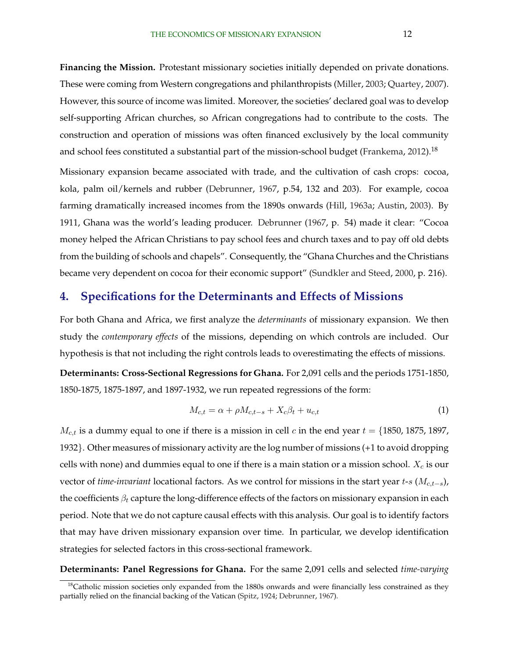<span id="page-12-0"></span>**Financing the Mission.** Protestant missionary societies initially depended on private donations. These were coming from Western congregations and philanthropists [\(Miller,](#page-34-0) [2003;](#page-34-0) [Quartey,](#page-35-0) [2007\)](#page-35-0). However, this source of income was limited. Moreover, the societies' declared goal was to develop self-supporting African churches, so African congregations had to contribute to the costs. The construction and operation of missions was often financed exclusively by the local community and school fees constituted a substantial part of the mission-school budget [\(Frankema,](#page-33-0) [2012\)](#page-33-0).<sup>18</sup>

Missionary expansion became associated with trade, and the cultivation of cash crops: cocoa, kola, palm oil/kernels and rubber [\(Debrunner,](#page-33-0) [1967,](#page-33-0) p.54, 132 and 203). For example, cocoa farming dramatically increased incomes from the 1890s onwards [\(Hill,](#page-34-0) [1963a;](#page-34-0) [Austin,](#page-32-0) [2003\)](#page-32-0). By 1911, Ghana was the world's leading producer. [Debrunner](#page-33-0) [\(1967,](#page-33-0) p. 54) made it clear: "Cocoa money helped the African Christians to pay school fees and church taxes and to pay off old debts from the building of schools and chapels". Consequently, the "Ghana Churches and the Christians became very dependent on cocoa for their economic support" [\(Sundkler and Steed,](#page-35-0) [2000,](#page-35-0) p. 216).

## **4. Specifications for the Determinants and Effects of Missions**

For both Ghana and Africa, we first analyze the *determinants* of missionary expansion. We then study the *contemporary effects* of the missions, depending on which controls are included. Our hypothesis is that not including the right controls leads to overestimating the effects of missions.

**Determinants: Cross-Sectional Regressions for Ghana.** For 2,091 cells and the periods 1751-1850, 1850-1875, 1875-1897, and 1897-1932, we run repeated regressions of the form:

$$
M_{c,t} = \alpha + \rho M_{c,t-s} + X_c \beta_t + u_{c,t} \tag{1}
$$

 $M_{c,t}$  is a dummy equal to one if there is a mission in cell c in the end year  $t = \{1850, 1875, 1897,$ 1932}. Other measures of missionary activity are the log number of missions (+1 to avoid dropping cells with none) and dummies equal to one if there is a main station or a mission school.  $X_c$  is our vector of *time-invariant* locational factors. As we control for missions in the start year t-s (M<sub>c,t−s</sub>), the coefficients  $\beta_t$  capture the long-difference effects of the factors on missionary expansion in each period. Note that we do not capture causal effects with this analysis. Our goal is to identify factors that may have driven missionary expansion over time. In particular, we develop identification strategies for selected factors in this cross-sectional framework.

**Determinants: Panel Regressions for Ghana.** For the same 2,091 cells and selected *time-varying*

 $18$ Catholic mission societies only expanded from the 1880s onwards and were financially less constrained as they partially relied on the financial backing of the Vatican [\(Spitz,](#page-35-0) [1924;](#page-35-0) [Debrunner,](#page-33-0) [1967\)](#page-33-0).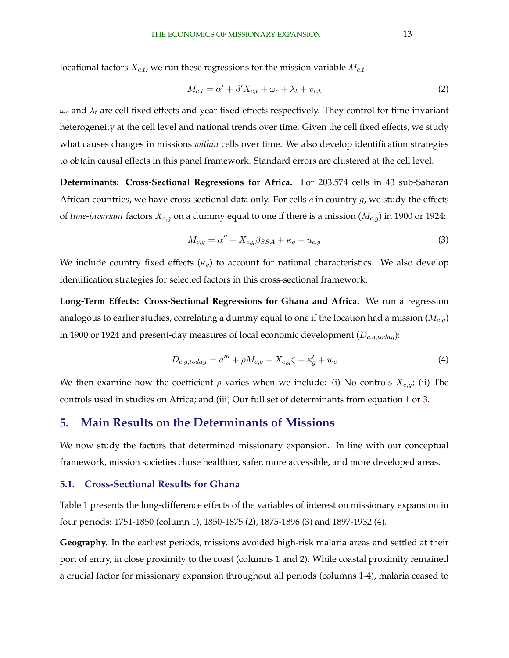<span id="page-13-0"></span>locational factors  $X_{c,t}$ , we run these regressions for the mission variable  $M_{c,t}$ :

$$
M_{c,t} = \alpha' + \beta' X_{c,t} + \omega_c + \lambda_t + v_{c,t}
$$
\n<sup>(2)</sup>

 $\omega_c$  and  $\lambda_t$  are cell fixed effects and year fixed effects respectively. They control for time-invariant heterogeneity at the cell level and national trends over time. Given the cell fixed effects, we study what causes changes in missions *within* cells over time. We also develop identification strategies to obtain causal effects in this panel framework. Standard errors are clustered at the cell level.

**Determinants: Cross-Sectional Regressions for Africa.** For 203,574 cells in 43 sub-Saharan African countries, we have cross-sectional data only. For cells  $c$  in country  $g$ , we study the effects of *time-invariant* factors  $X_{c,g}$  on a dummy equal to one if there is a mission ( $M_{c,g}$ ) in 1900 or 1924:

$$
M_{c,g} = \alpha'' + X_{c,g} \beta_{SSA} + \kappa_g + u_{c,g}
$$
\n<sup>(3)</sup>

We include country fixed effects  $(\kappa_g)$  to account for national characteristics. We also develop identification strategies for selected factors in this cross-sectional framework.

**Long-Term Effects: Cross-Sectional Regressions for Ghana and Africa.** We run a regression analogous to earlier studies, correlating a dummy equal to one if the location had a mission  $(M_{c,q})$ in 1900 or 1924 and present-day measures of local economic development ( $D_{c,g,totalay}$ ):

$$
D_{c,g,today} = a''' + \rho M_{c,g} + X_{c,g}\zeta + \kappa'_g + w_c \tag{4}
$$

We then examine how the coefficient  $\rho$  varies when we include: (i) No controls  $X_{c,g}$ ; (ii) The controls used in studies on Africa; and (iii) Our full set of determinants from equation [1](#page-12-0) or 3.

### **5. Main Results on the Determinants of Missions**

We now study the factors that determined missionary expansion. In line with our conceptual framework, mission societies chose healthier, safer, more accessible, and more developed areas.

#### **5.1. Cross-Sectional Results for Ghana**

Table [1](#page-39-0) presents the long-difference effects of the variables of interest on missionary expansion in four periods: 1751-1850 (column 1), 1850-1875 (2), 1875-1896 (3) and 1897-1932 (4).

**Geography.** In the earliest periods, missions avoided high-risk malaria areas and settled at their port of entry, in close proximity to the coast (columns 1 and 2). While coastal proximity remained a crucial factor for missionary expansion throughout all periods (columns 1-4), malaria ceased to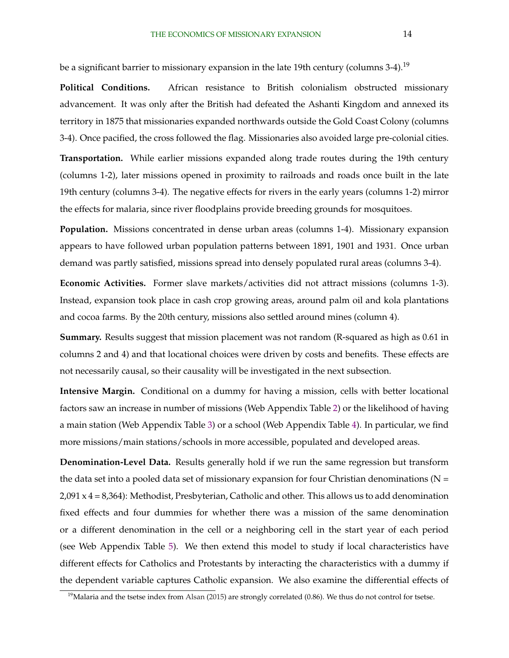be a significant barrier to missionary expansion in the late 19th century (columns 3-4).<sup>19</sup>

**Political Conditions.** African resistance to British colonialism obstructed missionary advancement. It was only after the British had defeated the Ashanti Kingdom and annexed its territory in 1875 that missionaries expanded northwards outside the Gold Coast Colony (columns 3-4). Once pacified, the cross followed the flag. Missionaries also avoided large pre-colonial cities.

**Transportation.** While earlier missions expanded along trade routes during the 19th century (columns 1-2), later missions opened in proximity to railroads and roads once built in the late 19th century (columns 3-4). The negative effects for rivers in the early years (columns 1-2) mirror the effects for malaria, since river floodplains provide breeding grounds for mosquitoes.

**Population.** Missions concentrated in dense urban areas (columns 1-4). Missionary expansion appears to have followed urban population patterns between 1891, 1901 and 1931. Once urban demand was partly satisfied, missions spread into densely populated rural areas (columns 3-4).

**Economic Activities.** Former slave markets/activities did not attract missions (columns 1-3). Instead, expansion took place in cash crop growing areas, around palm oil and kola plantations and cocoa farms. By the 20th century, missions also settled around mines (column 4).

**Summary.** Results suggest that mission placement was not random (R-squared as high as 0.61 in columns 2 and 4) and that locational choices were driven by costs and benefits. These effects are not necessarily causal, so their causality will be investigated in the next subsection.

**Intensive Margin.** Conditional on a dummy for having a mission, cells with better locational factors saw an increase in number of missions (Web Appendix Table [2\)](#page-40-0) or the likelihood of having a main station (Web Appendix Table [3\)](#page-40-0) or a school (Web Appendix Table [4\)](#page-41-0). In particular, we find more missions/main stations/schools in more accessible, populated and developed areas.

**Denomination-Level Data.** Results generally hold if we run the same regression but transform the data set into a pooled data set of missionary expansion for four Christian denominations ( $N =$  $2,091 \times 4 = 8,364$ : Methodist, Presbyterian, Catholic and other. This allows us to add denomination fixed effects and four dummies for whether there was a mission of the same denomination or a different denomination in the cell or a neighboring cell in the start year of each period (see Web Appendix Table [5\)](#page-42-0). We then extend this model to study if local characteristics have different effects for Catholics and Protestants by interacting the characteristics with a dummy if the dependent variable captures Catholic expansion. We also examine the differential effects of

 $19$ Malaria and the tsetse index from [Alsan](#page-32-0) [\(2015\)](#page-32-0) are strongly correlated (0.86). We thus do not control for tsetse.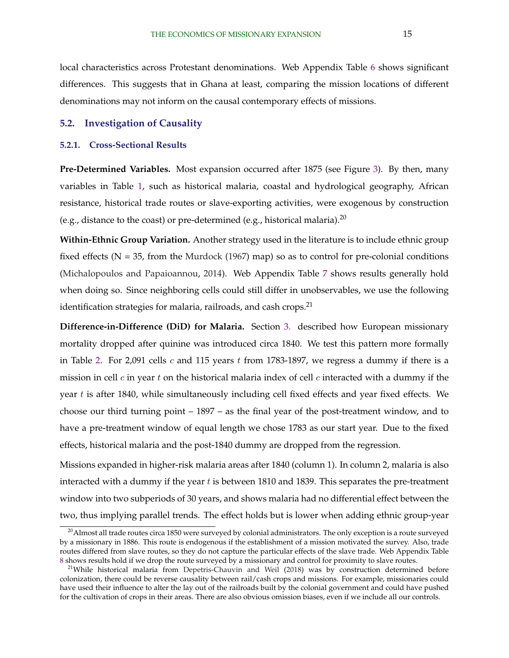local characteristics across Protestant denominations. Web Appendix Table [6](#page-43-0) shows significant differences. This suggests that in Ghana at least, comparing the mission locations of different denominations may not inform on the causal contemporary effects of missions.

#### **5.2. Investigation of Causality**

#### **5.2.1. Cross-Sectional Results**

**Pre-Determined Variables.** Most expansion occurred after 1875 (see Figure [3\)](#page-37-0). By then, many variables in Table [1,](#page-39-0) such as historical malaria, coastal and hydrological geography, African resistance, historical trade routes or slave-exporting activities, were exogenous by construction (e.g., distance to the coast) or pre-determined (e.g., historical malaria).<sup>20</sup>

**Within-Ethnic Group Variation.** Another strategy used in the literature is to include ethnic group fixed effects  $(N = 35$ , from the [Murdock](#page-35-0) [\(1967\)](#page-35-0) map) so as to control for pre-colonial conditions [\(Michalopoulos and Papaioannou,](#page-34-0) [2014\)](#page-34-0). Web Appendix Table [7](#page-43-0) shows results generally hold when doing so. Since neighboring cells could still differ in unobservables, we use the following identification strategies for malaria, railroads, and cash crops. $21$ 

**Difference-in-Difference (DiD) for Malaria.** Section [3.](#page-10-0) described how European missionary mortality dropped after quinine was introduced circa 1840. We test this pattern more formally in Table [2.](#page-40-0) For 2,091 cells  $c$  and 115 years  $t$  from 1783-1897, we regress a dummy if there is a mission in cell  $c$  in year  $t$  on the historical malaria index of cell  $c$  interacted with a dummy if the year  $t$  is after 1840, while simultaneously including cell fixed effects and year fixed effects. We choose our third turning point – 1897 – as the final year of the post-treatment window, and to have a pre-treatment window of equal length we chose 1783 as our start year. Due to the fixed effects, historical malaria and the post-1840 dummy are dropped from the regression.

Missions expanded in higher-risk malaria areas after 1840 (column 1). In column 2, malaria is also interacted with a dummy if the year  $t$  is between 1810 and 1839. This separates the pre-treatment window into two subperiods of 30 years, and shows malaria had no differential effect between the two, thus implying parallel trends. The effect holds but is lower when adding ethnic group-year

 $^{20}$ Almost all trade routes circa 1850 were surveyed by colonial administrators. The only exception is a route surveyed by a missionary in 1886. This route is endogenous if the establishment of a mission motivated the survey. Also, trade routes differed from slave routes, so they do not capture the particular effects of the slave trade. Web Appendix Table [8](#page-0-0) shows results hold if we drop the route surveyed by a missionary and control for proximity to slave routes.

<sup>&</sup>lt;sup>21</sup>While historical malaria from [Depetris-Chauvin and Weil](#page-33-0) [\(2018\)](#page-33-0) was by construction determined before colonization, there could be reverse causality between rail/cash crops and missions. For example, missionaries could have used their influence to alter the lay out of the railroads built by the colonial government and could have pushed for the cultivation of crops in their areas. There are also obvious omission biases, even if we include all our controls.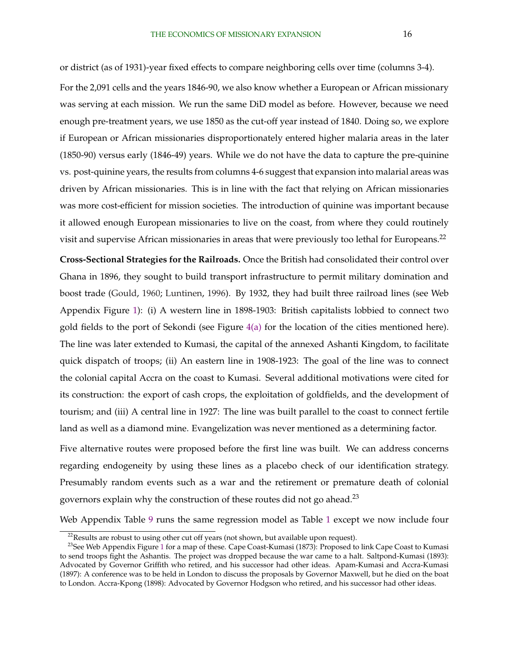or district (as of 1931)-year fixed effects to compare neighboring cells over time (columns 3-4).

For the 2,091 cells and the years 1846-90, we also know whether a European or African missionary was serving at each mission. We run the same DiD model as before. However, because we need enough pre-treatment years, we use 1850 as the cut-off year instead of 1840. Doing so, we explore if European or African missionaries disproportionately entered higher malaria areas in the later (1850-90) versus early (1846-49) years. While we do not have the data to capture the pre-quinine vs. post-quinine years, the results from columns 4-6 suggest that expansion into malarial areas was driven by African missionaries. This is in line with the fact that relying on African missionaries was more cost-efficient for mission societies. The introduction of quinine was important because it allowed enough European missionaries to live on the coast, from where they could routinely visit and supervise African missionaries in areas that were previously too lethal for Europeans.<sup>22</sup>

**Cross-Sectional Strategies for the Railroads.** Once the British had consolidated their control over Ghana in 1896, they sought to build transport infrastructure to permit military domination and boost trade [\(Gould,](#page-34-0) [1960;](#page-34-0) [Luntinen,](#page-34-0) [1996\)](#page-34-0). By 1932, they had built three railroad lines (see Web Appendix Figure [1\)](#page-36-0): (i) A western line in 1898-1903: British capitalists lobbied to connect two gold fields to the port of Sekondi (see Figure  $4(a)$  for the location of the cities mentioned here). The line was later extended to Kumasi, the capital of the annexed Ashanti Kingdom, to facilitate quick dispatch of troops; (ii) An eastern line in 1908-1923: The goal of the line was to connect the colonial capital Accra on the coast to Kumasi. Several additional motivations were cited for its construction: the export of cash crops, the exploitation of goldfields, and the development of tourism; and (iii) A central line in 1927: The line was built parallel to the coast to connect fertile land as well as a diamond mine. Evangelization was never mentioned as a determining factor.

Five alternative routes were proposed before the first line was built. We can address concerns regarding endogeneity by using these lines as a placebo check of our identification strategy. Presumably random events such as a war and the retirement or premature death of colonial governors explain why the construction of these routes did not go ahead.<sup>23</sup>

Web Appendix Table [9](#page-0-0) runs the same regression model as Table [1](#page-39-0) except we now include four

 $22$ Results are robust to using other cut off years (not shown, but available upon request).

<sup>&</sup>lt;sup>23</sup>See Web Appendix Figure [1](#page-36-0) for a map of these. Cape Coast-Kumasi (1873): Proposed to link Cape Coast to Kumasi to send troops fight the Ashantis. The project was dropped because the war came to a halt. Saltpond-Kumasi (1893): Advocated by Governor Griffith who retired, and his successor had other ideas. Apam-Kumasi and Accra-Kumasi (1897): A conference was to be held in London to discuss the proposals by Governor Maxwell, but he died on the boat to London. Accra-Kpong (1898): Advocated by Governor Hodgson who retired, and his successor had other ideas.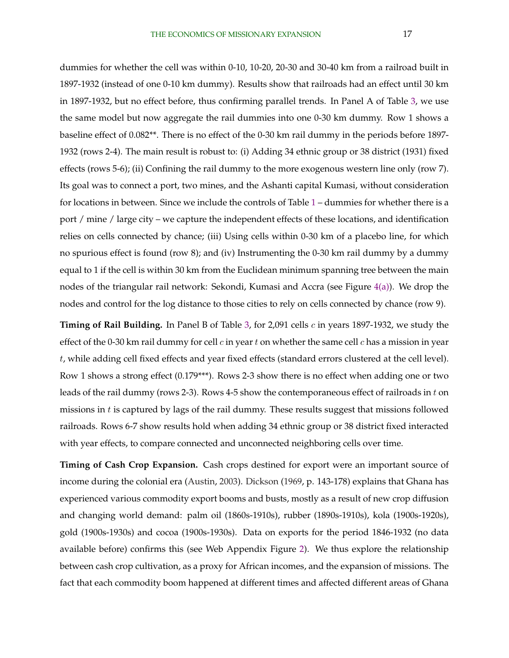dummies for whether the cell was within 0-10, 10-20, 20-30 and 30-40 km from a railroad built in 1897-1932 (instead of one 0-10 km dummy). Results show that railroads had an effect until 30 km in 1897-1932, but no effect before, thus confirming parallel trends. In Panel A of Table [3,](#page-40-0) we use the same model but now aggregate the rail dummies into one 0-30 km dummy. Row 1 shows a baseline effect of 0.082\*\*. There is no effect of the 0-30 km rail dummy in the periods before 1897- 1932 (rows 2-4). The main result is robust to: (i) Adding 34 ethnic group or 38 district (1931) fixed effects (rows 5-6); (ii) Confining the rail dummy to the more exogenous western line only (row 7). Its goal was to connect a port, two mines, and the Ashanti capital Kumasi, without consideration for locations in between. Since we include the controls of Table [1](#page-39-0) – dummies for whether there is a port / mine / large city – we capture the independent effects of these locations, and identification relies on cells connected by chance; (iii) Using cells within 0-30 km of a placebo line, for which no spurious effect is found (row 8); and (iv) Instrumenting the 0-30 km rail dummy by a dummy equal to 1 if the cell is within 30 km from the Euclidean minimum spanning tree between the main nodes of the triangular rail network: Sekondi, Kumasi and Accra (see Figure [4\(a\)\)](#page-37-0). We drop the nodes and control for the log distance to those cities to rely on cells connected by chance (row 9).

**Timing of Rail Building.** In Panel B of Table [3,](#page-40-0) for 2,091 cells c in years 1897-1932, we study the effect of the 0-30 km rail dummy for cell  $c$  in year  $t$  on whether the same cell  $c$  has a mission in year t, while adding cell fixed effects and year fixed effects (standard errors clustered at the cell level). Row 1 shows a strong effect (0.179\*\*\*). Rows 2-3 show there is no effect when adding one or two leads of the rail dummy (rows 2-3). Rows 4-5 show the contemporaneous effect of railroads in  $t$  on missions in  $t$  is captured by lags of the rail dummy. These results suggest that missions followed railroads. Rows 6-7 show results hold when adding 34 ethnic group or 38 district fixed interacted with year effects, to compare connected and unconnected neighboring cells over time.

**Timing of Cash Crop Expansion.** Cash crops destined for export were an important source of income during the colonial era [\(Austin,](#page-32-0) [2003\)](#page-32-0). [Dickson](#page-33-0) [\(1969,](#page-33-0) p. 143-178) explains that Ghana has experienced various commodity export booms and busts, mostly as a result of new crop diffusion and changing world demand: palm oil (1860s-1910s), rubber (1890s-1910s), kola (1900s-1920s), gold (1900s-1930s) and cocoa (1900s-1930s). Data on exports for the period 1846-1932 (no data available before) confirms this (see Web Appendix Figure [2\)](#page-36-0). We thus explore the relationship between cash crop cultivation, as a proxy for African incomes, and the expansion of missions. The fact that each commodity boom happened at different times and affected different areas of Ghana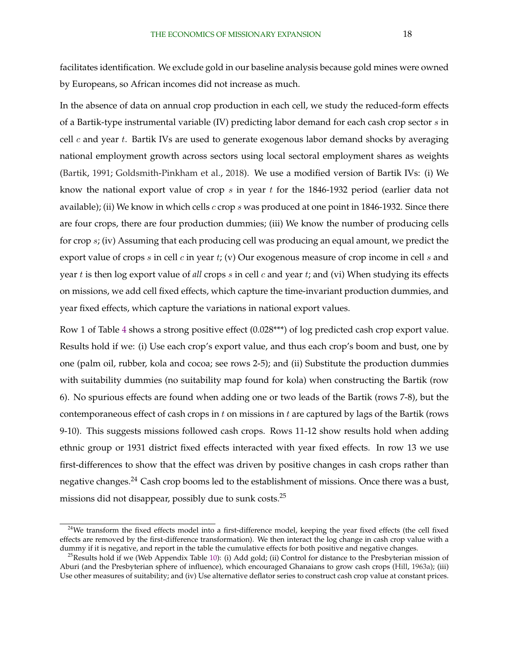<span id="page-18-0"></span>facilitates identification. We exclude gold in our baseline analysis because gold mines were owned by Europeans, so African incomes did not increase as much.

In the absence of data on annual crop production in each cell, we study the reduced-form effects of a Bartik-type instrumental variable (IV) predicting labor demand for each cash crop sector  $s$  in cell  $c$  and year  $t$ . Bartik IVs are used to generate exogenous labor demand shocks by averaging national employment growth across sectors using local sectoral employment shares as weights [\(Bartik,](#page-32-0) [1991;](#page-32-0) [Goldsmith-Pinkham et al.,](#page-34-0) [2018\)](#page-34-0). We use a modified version of Bartik IVs: (i) We know the national export value of crop  $s$  in year  $t$  for the 1846-1932 period (earlier data not available); (ii) We know in which cells  $c$  crop  $s$  was produced at one point in 1846-1932. Since there are four crops, there are four production dummies; (iii) We know the number of producing cells for crop s; (iv) Assuming that each producing cell was producing an equal amount, we predict the export value of crops s in cell c in year t; (v) Our exogenous measure of crop income in cell s and year t is then log export value of *all* crops s in cell c and year t; and (vi) When studying its effects on missions, we add cell fixed effects, which capture the time-invariant production dummies, and year fixed effects, which capture the variations in national export values.

Row 1 of Table [4](#page-41-0) shows a strong positive effect (0.028\*\*\*) of log predicted cash crop export value. Results hold if we: (i) Use each crop's export value, and thus each crop's boom and bust, one by one (palm oil, rubber, kola and cocoa; see rows 2-5); and (ii) Substitute the production dummies with suitability dummies (no suitability map found for kola) when constructing the Bartik (row 6). No spurious effects are found when adding one or two leads of the Bartik (rows 7-8), but the contemporaneous effect of cash crops in t on missions in t are captured by lags of the Bartik (rows 9-10). This suggests missions followed cash crops. Rows 11-12 show results hold when adding ethnic group or 1931 district fixed effects interacted with year fixed effects. In row 13 we use first-differences to show that the effect was driven by positive changes in cash crops rather than negative changes.<sup>24</sup> Cash crop booms led to the establishment of missions. Once there was a bust, missions did not disappear, possibly due to sunk costs.<sup>25</sup>

<sup>&</sup>lt;sup>24</sup>We transform the fixed effects model into a first-difference model, keeping the year fixed effects (the cell fixed effects are removed by the first-difference transformation). We then interact the log change in cash crop value with a dummy if it is negative, and report in the table the cumulative effects for both positive and negative changes.

 $^{25}$ Results hold if we (Web Appendix Table [10\)](#page-0-0): (i) Add gold; (ii) Control for distance to the Presbyterian mission of Aburi (and the Presbyterian sphere of influence), which encouraged Ghanaians to grow cash crops [\(Hill,](#page-34-0) [1963a\)](#page-34-0); (iii) Use other measures of suitability; and (iv) Use alternative deflator series to construct cash crop value at constant prices.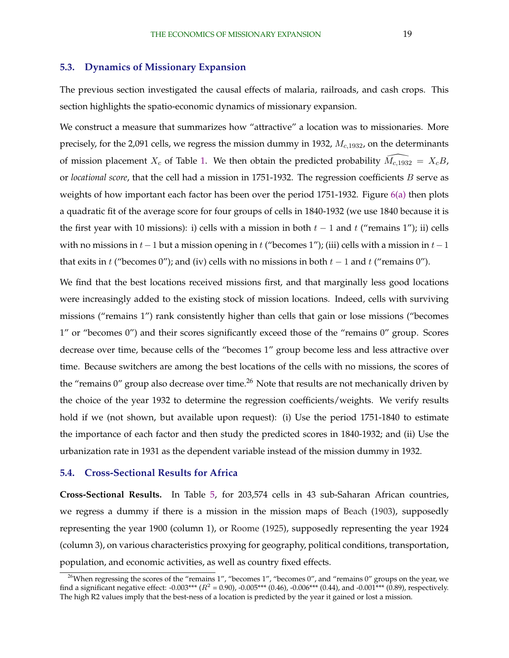#### **5.3. Dynamics of Missionary Expansion**

The previous section investigated the causal effects of malaria, railroads, and cash crops. This section highlights the spatio-economic dynamics of missionary expansion.

We construct a measure that summarizes how "attractive" a location was to missionaries. More precisely, for the 2,091 cells, we regress the mission dummy in 1932,  $M_{c,1932}$ , on the determinants of mission placement  $X_c$  of Table [1.](#page-39-0) We then obtain the predicted probability  $\tilde{M}_{c,1932} = X_cB$ , or *locational score*, that the cell had a mission in 1751-1932. The regression coefficients B serve as weights of how important each factor has been over the period 1751-1932. Figure [6\(a\)](#page-38-0) then plots a quadratic fit of the average score for four groups of cells in 1840-1932 (we use 1840 because it is the first year with 10 missions): i) cells with a mission in both  $t - 1$  and  $t$  ("remains 1"); ii) cells with no missions in  $t-1$  but a mission opening in t ("becomes 1"); (iii) cells with a mission in  $t-1$ that exits in t ("becomes 0"); and (iv) cells with no missions in both  $t - 1$  and t ("remains 0").

We find that the best locations received missions first, and that marginally less good locations were increasingly added to the existing stock of mission locations. Indeed, cells with surviving missions ("remains 1") rank consistently higher than cells that gain or lose missions ("becomes 1" or "becomes 0") and their scores significantly exceed those of the "remains 0" group. Scores decrease over time, because cells of the "becomes 1" group become less and less attractive over time. Because switchers are among the best locations of the cells with no missions, the scores of the "remains  $0$ " group also decrease over time.<sup>26</sup> Note that results are not mechanically driven by the choice of the year 1932 to determine the regression coefficients/weights. We verify results hold if we (not shown, but available upon request): (i) Use the period 1751-1840 to estimate the importance of each factor and then study the predicted scores in 1840-1932; and (ii) Use the urbanization rate in 1931 as the dependent variable instead of the mission dummy in 1932.

### **5.4. Cross-Sectional Results for Africa**

**Cross-Sectional Results.** In Table [5,](#page-42-0) for 203,574 cells in 43 sub-Saharan African countries, we regress a dummy if there is a mission in the mission maps of [Beach](#page-32-0) [\(1903\)](#page-32-0), supposedly representing the year 1900 (column 1), or [Roome](#page-35-0) [\(1925\)](#page-35-0), supposedly representing the year 1924 (column 3), on various characteristics proxying for geography, political conditions, transportation, population, and economic activities, as well as country fixed effects.

<sup>&</sup>lt;sup>26</sup>When regressing the scores of the "remains 1", "becomes 1", "becomes 0", and "remains 0" groups on the year, we find a significant negative effect: -0.003\*\*\* ( $R^2$  = 0.90), -0.005\*\*\* (0.46), -0.006\*\*\* (0.44), and -0.001\*\*\* (0.89), respectively. The high R2 values imply that the best-ness of a location is predicted by the year it gained or lost a mission.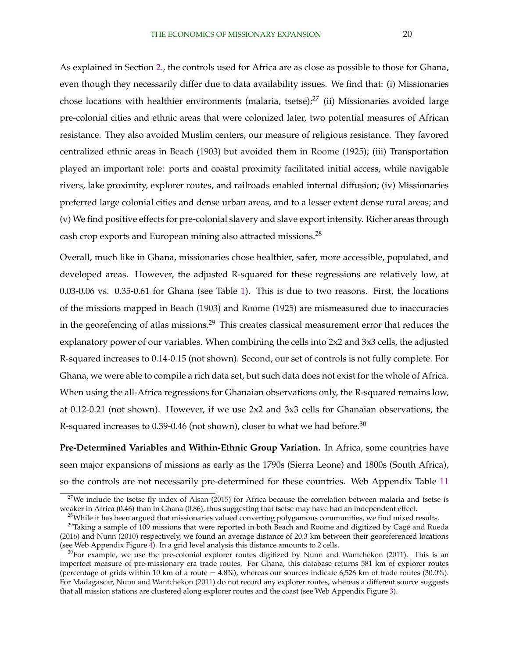As explained in Section [2.,](#page-7-0) the controls used for Africa are as close as possible to those for Ghana, even though they necessarily differ due to data availability issues. We find that: (i) Missionaries chose locations with healthier environments (malaria, tsetse); $^{27}$  (ii) Missionaries avoided large pre-colonial cities and ethnic areas that were colonized later, two potential measures of African resistance. They also avoided Muslim centers, our measure of religious resistance. They favored centralized ethnic areas in [Beach](#page-32-0) [\(1903\)](#page-32-0) but avoided them in [Roome](#page-35-0) [\(1925\)](#page-35-0); (iii) Transportation played an important role: ports and coastal proximity facilitated initial access, while navigable rivers, lake proximity, explorer routes, and railroads enabled internal diffusion; (iv) Missionaries preferred large colonial cities and dense urban areas, and to a lesser extent dense rural areas; and (v) We find positive effects for pre-colonial slavery and slave export intensity. Richer areas through cash crop exports and European mining also attracted missions.<sup>28</sup>

Overall, much like in Ghana, missionaries chose healthier, safer, more accessible, populated, and developed areas. However, the adjusted R-squared for these regressions are relatively low, at 0.03-0.06 vs. 0.35-0.61 for Ghana (see Table [1\)](#page-39-0). This is due to two reasons. First, the locations of the missions mapped in [Beach](#page-32-0) [\(1903\)](#page-32-0) and [Roome](#page-35-0) [\(1925\)](#page-35-0) are mismeasured due to inaccuracies in the georefencing of atlas missions.<sup>29</sup> This creates classical measurement error that reduces the explanatory power of our variables. When combining the cells into 2x2 and 3x3 cells, the adjusted R-squared increases to 0.14-0.15 (not shown). Second, our set of controls is not fully complete. For Ghana, we were able to compile a rich data set, but such data does not exist for the whole of Africa. When using the all-Africa regressions for Ghanaian observations only, the R-squared remains low, at 0.12-0.21 (not shown). However, if we use 2x2 and 3x3 cells for Ghanaian observations, the R-squared increases to 0.39-0.46 (not shown), closer to what we had before.<sup>30</sup>

**Pre-Determined Variables and Within-Ethnic Group Variation.** In Africa, some countries have seen major expansions of missions as early as the 1790s (Sierra Leone) and 1800s (South Africa), so the controls are not necessarily pre-determined for these countries. Web Appendix Table [11](#page-0-0)

 $27$ We include the tsetse fly index of [Alsan](#page-32-0) [\(2015\)](#page-32-0) for Africa because the correlation between malaria and tsetse is weaker in Africa (0.46) than in Ghana (0.86), thus suggesting that tsetse may have had an independent effect.

<sup>&</sup>lt;sup>28</sup>While it has been argued that missionaries valued converting polygamous communities, we find mixed results.

 $^{29}$ Taking a sample of 109 missions that were reported in both Beach and Roome and digitized by Cagé and Rueda [\(2016\)](#page-32-0) and [Nunn](#page-35-0) [\(2010\)](#page-35-0) respectively, we found an average distance of 20.3 km between their georeferenced locations (see Web Appendix Figure [4\)](#page-37-0). In a grid level analysis this distance amounts to 2 cells.

 $30$ For example, we use the pre-colonial explorer routes digitized by [Nunn and Wantchekon](#page-35-0) [\(2011\)](#page-35-0). This is an imperfect measure of pre-missionary era trade routes. For Ghana, this database returns 581 km of explorer routes (percentage of grids within 10 km of a route  $= 4.8\%$ ), whereas our sources indicate 6,526 km of trade routes (30.0%). For Madagascar, [Nunn and Wantchekon](#page-35-0) [\(2011\)](#page-35-0) do not record any explorer routes, whereas a different source suggests that all mission stations are clustered along explorer routes and the coast (see Web Appendix Figure [3\)](#page-37-0).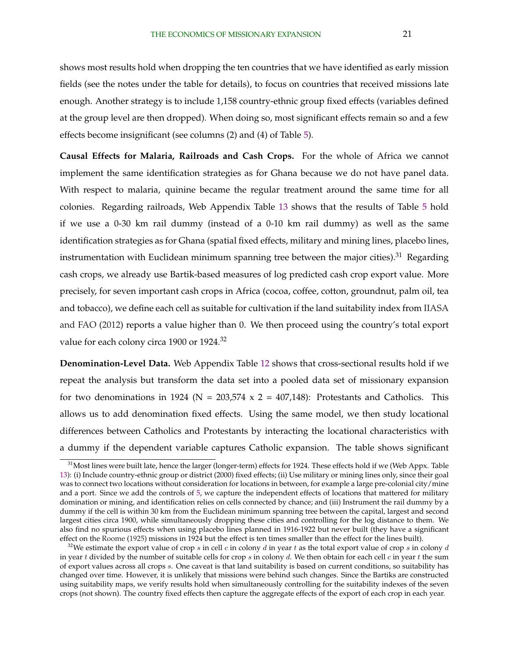shows most results hold when dropping the ten countries that we have identified as early mission fields (see the notes under the table for details), to focus on countries that received missions late enough. Another strategy is to include 1,158 country-ethnic group fixed effects (variables defined at the group level are then dropped). When doing so, most significant effects remain so and a few effects become insignificant (see columns (2) and (4) of Table [5\)](#page-42-0).

**Causal Effects for Malaria, Railroads and Cash Crops.** For the whole of Africa we cannot implement the same identification strategies as for Ghana because we do not have panel data. With respect to malaria, quinine became the regular treatment around the same time for all colonies. Regarding railroads, Web Appendix Table [13](#page-0-0) shows that the results of Table [5](#page-42-0) hold if we use a 0-30 km rail dummy (instead of a 0-10 km rail dummy) as well as the same identification strategies as for Ghana (spatial fixed effects, military and mining lines, placebo lines, instrumentation with Euclidean minimum spanning tree between the major cities).<sup>31</sup> Regarding cash crops, we already use Bartik-based measures of log predicted cash crop export value. More precisely, for seven important cash crops in Africa (cocoa, coffee, cotton, groundnut, palm oil, tea and tobacco), we define each cell as suitable for cultivation if the land suitability index from [IIASA](#page-34-0) [and FAO](#page-34-0) [\(2012\)](#page-34-0) reports a value higher than 0. We then proceed using the country's total export value for each colony circa 1900 or 1924.<sup>32</sup>

**Denomination-Level Data.** Web Appendix Table [12](#page-0-0) shows that cross-sectional results hold if we repeat the analysis but transform the data set into a pooled data set of missionary expansion for two denominations in 1924 ( $N = 203,574 \times 2 = 407,148$ ): Protestants and Catholics. This allows us to add denomination fixed effects. Using the same model, we then study locational differences between Catholics and Protestants by interacting the locational characteristics with a dummy if the dependent variable captures Catholic expansion. The table shows significant

<sup>&</sup>lt;sup>31</sup>Most lines were built late, hence the larger (longer-term) effects for 1924. These effects hold if we (Web Appx. Table [13\)](#page-0-0): (i) Include country-ethnic group or district (2000) fixed effects; (ii) Use military or mining lines only, since their goal was to connect two locations without consideration for locations in between, for example a large pre-colonial city/mine and a port. Since we add the controls of [5,](#page-42-0) we capture the independent effects of locations that mattered for military domination or mining, and identification relies on cells connected by chance; and (iii) Instrument the rail dummy by a dummy if the cell is within 30 km from the Euclidean minimum spanning tree between the capital, largest and second largest cities circa 1900, while simultaneously dropping these cities and controlling for the log distance to them. We also find no spurious effects when using placebo lines planned in 1916-1922 but never built (they have a significant effect on the [Roome](#page-35-0) [\(1925\)](#page-35-0) missions in 1924 but the effect is ten times smaller than the effect for the lines built).

<sup>&</sup>lt;sup>32</sup>We estimate the export value of crop s in cell c in colony d in year t as the total export value of crop s in colony d in year t divided by the number of suitable cells for crop s in colony d. We then obtain for each cell c in year t the sum of export values across all crops s. One caveat is that land suitability is based on current conditions, so suitability has changed over time. However, it is unlikely that missions were behind such changes. Since the Bartiks are constructed using suitability maps, we verify results hold when simultaneously controlling for the suitability indexes of the seven crops (not shown). The country fixed effects then capture the aggregate effects of the export of each crop in each year.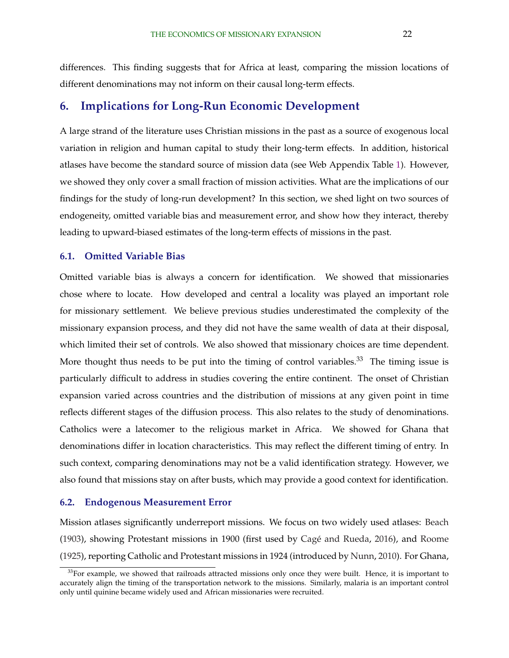differences. This finding suggests that for Africa at least, comparing the mission locations of different denominations may not inform on their causal long-term effects.

## **6. Implications for Long-Run Economic Development**

A large strand of the literature uses Christian missions in the past as a source of exogenous local variation in religion and human capital to study their long-term effects. In addition, historical atlases have become the standard source of mission data (see Web Appendix Table [1\)](#page-39-0). However, we showed they only cover a small fraction of mission activities. What are the implications of our findings for the study of long-run development? In this section, we shed light on two sources of endogeneity, omitted variable bias and measurement error, and show how they interact, thereby leading to upward-biased estimates of the long-term effects of missions in the past.

#### **6.1. Omitted Variable Bias**

Omitted variable bias is always a concern for identification. We showed that missionaries chose where to locate. How developed and central a locality was played an important role for missionary settlement. We believe previous studies underestimated the complexity of the missionary expansion process, and they did not have the same wealth of data at their disposal, which limited their set of controls. We also showed that missionary choices are time dependent. More thought thus needs to be put into the timing of control variables.<sup>33</sup> The timing issue is particularly difficult to address in studies covering the entire continent. The onset of Christian expansion varied across countries and the distribution of missions at any given point in time reflects different stages of the diffusion process. This also relates to the study of denominations. Catholics were a latecomer to the religious market in Africa. We showed for Ghana that denominations differ in location characteristics. This may reflect the different timing of entry. In such context, comparing denominations may not be a valid identification strategy. However, we also found that missions stay on after busts, which may provide a good context for identification.

#### **6.2. Endogenous Measurement Error**

Mission atlases significantly underreport missions. We focus on two widely used atlases: [Beach](#page-32-0)  $(1903)$ , showing Protestant missions in 1900 (first used by Cagé and Rueda, [2016\)](#page-32-0), and [Roome](#page-35-0) [\(1925\)](#page-35-0), reporting Catholic and Protestant missions in 1924 (introduced by [Nunn,](#page-35-0) [2010\)](#page-35-0). For Ghana,

<sup>&</sup>lt;sup>33</sup>For example, we showed that railroads attracted missions only once they were built. Hence, it is important to accurately align the timing of the transportation network to the missions. Similarly, malaria is an important control only until quinine became widely used and African missionaries were recruited.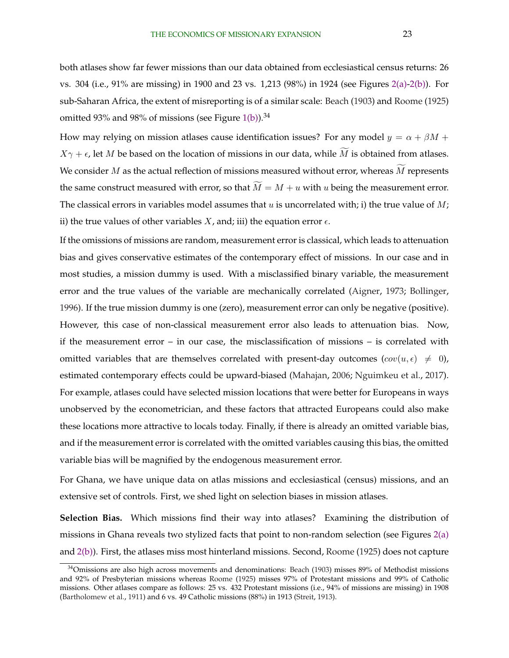both atlases show far fewer missions than our data obtained from ecclesiastical census returns: 26 vs. 304 (i.e., 91% are missing) in 1900 and 23 vs. 1,213 (98%) in 1924 (see Figures [2\(a\)-2\(b\)\)](#page-36-0). For sub-Saharan Africa, the extent of misreporting is of a similar scale: [Beach](#page-32-0) [\(1903\)](#page-32-0) and [Roome](#page-35-0) [\(1925\)](#page-35-0) omitted 93% and 98% of missions (see Figure [1\(b\)\)](#page-36-0).<sup>34</sup>

How may relying on mission atlases cause identification issues? For any model  $y = \alpha + \beta M + \beta$  $X\gamma + \epsilon$ , let M be based on the location of missions in our data, while M is obtained from atlases. We consider  $M$  as the actual reflection of missions measured without error, whereas  $M$  represents the same construct measured with error, so that  $\widetilde{M} = M + u$  with u being the measurement error. The classical errors in variables model assumes that  $u$  is uncorrelated with; i) the true value of  $M$ ; ii) the true values of other variables  $X$ , and; iii) the equation error  $\epsilon$ .

If the omissions of missions are random, measurement error is classical, which leads to attenuation bias and gives conservative estimates of the contemporary effect of missions. In our case and in most studies, a mission dummy is used. With a misclassified binary variable, the measurement error and the true values of the variable are mechanically correlated [\(Aigner,](#page-31-0) [1973;](#page-31-0) [Bollinger,](#page-32-0) [1996\)](#page-32-0). If the true mission dummy is one (zero), measurement error can only be negative (positive). However, this case of non-classical measurement error also leads to attenuation bias. Now, if the measurement error – in our case, the misclassification of missions – is correlated with omitted variables that are themselves correlated with present-day outcomes  $(cov(u, \epsilon) \neq 0)$ , estimated contemporary effects could be upward-biased [\(Mahajan,](#page-34-0) [2006;](#page-34-0) [Nguimkeu et al.,](#page-35-0) [2017\)](#page-35-0). For example, atlases could have selected mission locations that were better for Europeans in ways unobserved by the econometrician, and these factors that attracted Europeans could also make these locations more attractive to locals today. Finally, if there is already an omitted variable bias, and if the measurement error is correlated with the omitted variables causing this bias, the omitted variable bias will be magnified by the endogenous measurement error.

For Ghana, we have unique data on atlas missions and ecclesiastical (census) missions, and an extensive set of controls. First, we shed light on selection biases in mission atlases.

**Selection Bias.** Which missions find their way into atlases? Examining the distribution of missions in Ghana reveals two stylized facts that point to non-random selection (see Figures [2\(a\)](#page-36-0) and [2\(b\)\)](#page-36-0). First, the atlases miss most hinterland missions. Second, [Roome](#page-35-0) [\(1925\)](#page-35-0) does not capture

<sup>34</sup>Omissions are also high across movements and denominations: [Beach](#page-32-0) [\(1903\)](#page-32-0) misses 89% of Methodist missions and 92% of Presbyterian missions whereas [Roome](#page-35-0) [\(1925\)](#page-35-0) misses 97% of Protestant missions and 99% of Catholic missions. Other atlases compare as follows: 25 vs. 432 Protestant missions (i.e., 94% of missions are missing) in 1908 [\(Bartholomew et al.,](#page-32-0) [1911\)](#page-32-0) and 6 vs. 49 Catholic missions (88%) in 1913 [\(Streit,](#page-35-0) [1913\)](#page-35-0).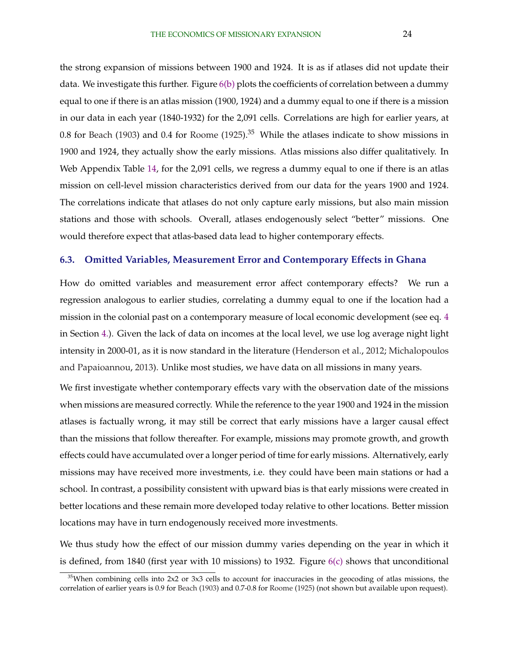the strong expansion of missions between 1900 and 1924. It is as if atlases did not update their data. We investigate this further. Figure  $6(b)$  plots the coefficients of correlation between a dummy equal to one if there is an atlas mission (1900, 1924) and a dummy equal to one if there is a mission in our data in each year (1840-1932) for the 2,091 cells. Correlations are high for earlier years, at 0.8 for [Beach](#page-32-0) [\(1903\)](#page-32-0) and 0.4 for [Roome](#page-35-0) [\(1925\)](#page-35-0).<sup>35</sup> While the atlases indicate to show missions in 1900 and 1924, they actually show the early missions. Atlas missions also differ qualitatively. In Web Appendix Table [14,](#page-0-0) for the 2,091 cells, we regress a dummy equal to one if there is an atlas mission on cell-level mission characteristics derived from our data for the years 1900 and 1924. The correlations indicate that atlases do not only capture early missions, but also main mission stations and those with schools. Overall, atlases endogenously select "better" missions. One would therefore expect that atlas-based data lead to higher contemporary effects.

#### **6.3. Omitted Variables, Measurement Error and Contemporary Effects in Ghana**

How do omitted variables and measurement error affect contemporary effects? We run a regression analogous to earlier studies, correlating a dummy equal to one if the location had a mission in the colonial past on a contemporary measure of local economic development (see eq. [4](#page-13-0) in Section [4.\)](#page-12-0). Given the lack of data on incomes at the local level, we use log average night light intensity in 2000-01, as it is now standard in the literature [\(Henderson et al.,](#page-34-0) [2012;](#page-34-0) [Michalopoulos](#page-34-0) [and Papaioannou,](#page-34-0) [2013\)](#page-34-0). Unlike most studies, we have data on all missions in many years.

We first investigate whether contemporary effects vary with the observation date of the missions when missions are measured correctly. While the reference to the year 1900 and 1924 in the mission atlases is factually wrong, it may still be correct that early missions have a larger causal effect than the missions that follow thereafter. For example, missions may promote growth, and growth effects could have accumulated over a longer period of time for early missions. Alternatively, early missions may have received more investments, i.e. they could have been main stations or had a school. In contrast, a possibility consistent with upward bias is that early missions were created in better locations and these remain more developed today relative to other locations. Better mission locations may have in turn endogenously received more investments.

We thus study how the effect of our mission dummy varies depending on the year in which it is defined, from 1840 (first year with 10 missions) to 1932. Figure  $6(c)$  shows that unconditional

 $35$ When combining cells into 2x2 or 3x3 cells to account for inaccuracies in the geocoding of atlas missions, the correlation of earlier years is 0.9 for [Beach](#page-32-0) [\(1903\)](#page-32-0) and 0.7-0.8 for [Roome](#page-35-0) [\(1925\)](#page-35-0) (not shown but available upon request).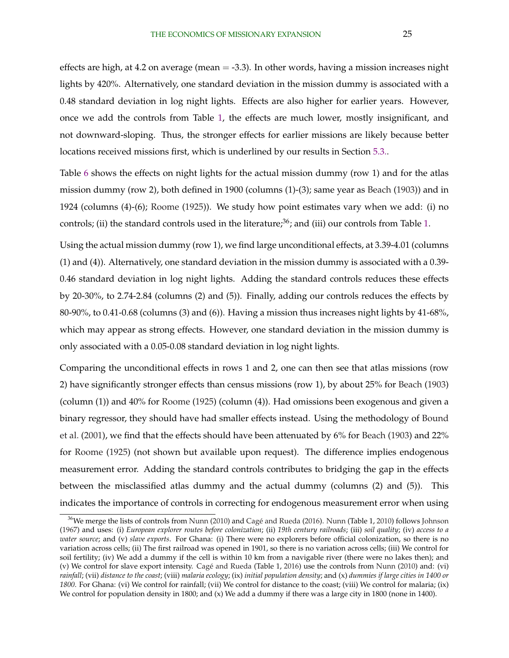effects are high, at 4.2 on average (mean  $=$  -3.3). In other words, having a mission increases night lights by 420%. Alternatively, one standard deviation in the mission dummy is associated with a 0.48 standard deviation in log night lights. Effects are also higher for earlier years. However, once we add the controls from Table [1,](#page-39-0) the effects are much lower, mostly insignificant, and not downward-sloping. Thus, the stronger effects for earlier missions are likely because better locations received missions first, which is underlined by our results in Section [5.3..](#page-18-0)

Table [6](#page-43-0) shows the effects on night lights for the actual mission dummy (row 1) and for the atlas mission dummy (row 2), both defined in 1900 (columns (1)-(3); same year as [Beach](#page-32-0) [\(1903\)](#page-32-0)) and in 1924 (columns (4)-(6); [Roome](#page-35-0) [\(1925\)](#page-35-0)). We study how point estimates vary when we add: (i) no controls; (ii) the standard controls used in the literature; $36$ ; and (iii) our controls from Table [1.](#page-39-0)

Using the actual mission dummy (row 1), we find large unconditional effects, at 3.39-4.01 (columns (1) and (4)). Alternatively, one standard deviation in the mission dummy is associated with a 0.39- 0.46 standard deviation in log night lights. Adding the standard controls reduces these effects by 20-30%, to 2.74-2.84 (columns (2) and (5)). Finally, adding our controls reduces the effects by 80-90%, to 0.41-0.68 (columns (3) and (6)). Having a mission thus increases night lights by 41-68%, which may appear as strong effects. However, one standard deviation in the mission dummy is only associated with a 0.05-0.08 standard deviation in log night lights.

Comparing the unconditional effects in rows 1 and 2, one can then see that atlas missions (row 2) have significantly stronger effects than census missions (row 1), by about 25% for [Beach](#page-32-0) [\(1903\)](#page-32-0) (column (1)) and 40% for [Roome](#page-35-0) [\(1925\)](#page-35-0) (column (4)). Had omissions been exogenous and given a binary regressor, they should have had smaller effects instead. Using the methodology of [Bound](#page-32-0) [et al.](#page-32-0) [\(2001\)](#page-32-0), we find that the effects should have been attenuated by 6% for [Beach](#page-32-0) [\(1903\)](#page-32-0) and 22% for [Roome](#page-35-0) [\(1925\)](#page-35-0) (not shown but available upon request). The difference implies endogenous measurement error. Adding the standard controls contributes to bridging the gap in the effects between the misclassified atlas dummy and the actual dummy (columns (2) and (5)). This indicates the importance of controls in correcting for endogenous measurement error when using

<sup>&</sup>lt;sup>36</sup>We merge the lists of controls from [Nunn](#page-35-0) [\(2010\)](#page-35-0) and Cagé and Rueda [\(2016\)](#page-32-0). Nunn (Table 1, [2010\)](#page-35-0) follows [Johnson](#page-34-0) [\(1967\)](#page-34-0) and uses: (i) *European explorer routes before colonization*; (ii) *19th century railroads*; (iii) *soil quality*; (iv) *access to a water source*; and (v) *slave exports*. For Ghana: (i) There were no explorers before official colonization, so there is no variation across cells; (ii) The first railroad was opened in 1901, so there is no variation across cells; (iii) We control for soil fertility; (iv) We add a dummy if the cell is within 10 km from a navigable river (there were no lakes then); and (v) We control for slave export intensity. Cagé and Rueda (Table 1, [2016\)](#page-32-0) use the controls from [Nunn](#page-35-0) [\(2010\)](#page-35-0) and: (vi) *rainfall*; (vii) *distance to the coast*; (viii) *malaria ecology*; (ix) *initial population density*; and (x) *dummies if large cities in 1400 or* 1800. For Ghana: (vi) We control for rainfall; (vii) We control for distance to the coast; (viii) We control for malaria; (ix) We control for population density in 1800; and (x) We add a dummy if there was a large city in 1800 (none in 1400).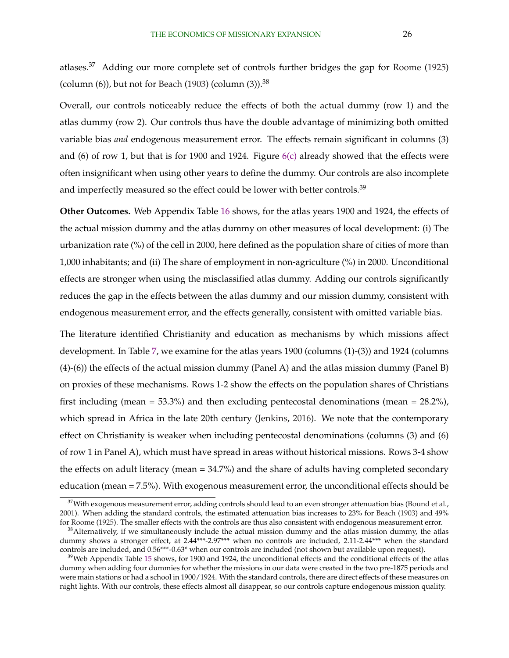atlases.<sup>37</sup> Adding our more complete set of controls further bridges the gap for [Roome](#page-35-0) [\(1925\)](#page-35-0) (column  $(6)$ ), but not for [Beach](#page-32-0) [\(1903\)](#page-32-0) (column  $(3)$ ).<sup>38</sup>

Overall, our controls noticeably reduce the effects of both the actual dummy (row 1) and the atlas dummy (row 2). Our controls thus have the double advantage of minimizing both omitted variable bias *and* endogenous measurement error. The effects remain significant in columns (3) and (6) of row 1, but that is for 1900 and 1924. Figure [6\(c\)](#page-38-0) already showed that the effects were often insignificant when using other years to define the dummy. Our controls are also incomplete and imperfectly measured so the effect could be lower with better controls.<sup>39</sup>

**Other Outcomes.** Web Appendix Table [16](#page-0-0) shows, for the atlas years 1900 and 1924, the effects of the actual mission dummy and the atlas dummy on other measures of local development: (i) The urbanization rate (%) of the cell in 2000, here defined as the population share of cities of more than 1,000 inhabitants; and (ii) The share of employment in non-agriculture (%) in 2000. Unconditional effects are stronger when using the misclassified atlas dummy. Adding our controls significantly reduces the gap in the effects between the atlas dummy and our mission dummy, consistent with endogenous measurement error, and the effects generally, consistent with omitted variable bias.

The literature identified Christianity and education as mechanisms by which missions affect development. In Table [7,](#page-43-0) we examine for the atlas years 1900 (columns (1)-(3)) and 1924 (columns (4)-(6)) the effects of the actual mission dummy (Panel A) and the atlas mission dummy (Panel B) on proxies of these mechanisms. Rows 1-2 show the effects on the population shares of Christians first including (mean =  $53.3\%$ ) and then excluding pentecostal denominations (mean =  $28.2\%$ ), which spread in Africa in the late 20th century [\(Jenkins,](#page-34-0) [2016\)](#page-34-0). We note that the contemporary effect on Christianity is weaker when including pentecostal denominations (columns (3) and (6) of row 1 in Panel A), which must have spread in areas without historical missions. Rows 3-4 show the effects on adult literacy (mean = 34.7%) and the share of adults having completed secondary education (mean = 7.5%). With exogenous measurement error, the unconditional effects should be

<sup>&</sup>lt;sup>37</sup>With exogenous measurement error, adding controls should lead to an even stronger attenuation bias [\(Bound et al.,](#page-32-0) [2001\)](#page-32-0). When adding the standard controls, the estimated attenuation bias increases to 23% for [Beach](#page-32-0) [\(1903\)](#page-32-0) and 49% for [Roome](#page-35-0) [\(1925\)](#page-35-0). The smaller effects with the controls are thus also consistent with endogenous measurement error.

 $38$ Alternatively, if we simultaneously include the actual mission dummy and the atlas mission dummy, the atlas dummy shows a stronger effect, at 2.44\*\*\*-2.97\*\*\* when no controls are included, 2.11-2.44\*\*\* when the standard controls are included, and 0.56\*\*\*-0.63\* when our controls are included (not shown but available upon request).

 $39$ Web Appendix Table [15](#page-0-0) shows, for 1900 and 1924, the unconditional effects and the conditional effects of the atlas dummy when adding four dummies for whether the missions in our data were created in the two pre-1875 periods and were main stations or had a school in 1900/1924. With the standard controls, there are direct effects of these measures on night lights. With our controls, these effects almost all disappear, so our controls capture endogenous mission quality.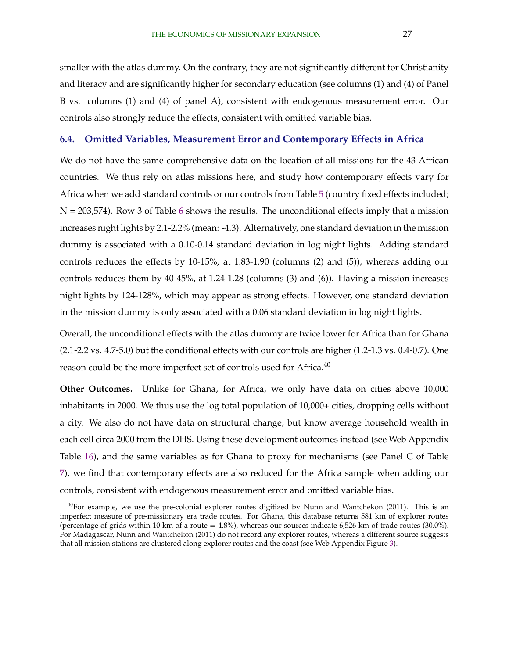smaller with the atlas dummy. On the contrary, they are not significantly different for Christianity and literacy and are significantly higher for secondary education (see columns (1) and (4) of Panel B vs. columns (1) and (4) of panel A), consistent with endogenous measurement error. Our controls also strongly reduce the effects, consistent with omitted variable bias.

#### **6.4. Omitted Variables, Measurement Error and Contemporary Effects in Africa**

We do not have the same comprehensive data on the location of all missions for the 43 African countries. We thus rely on atlas missions here, and study how contemporary effects vary for Africa when we add standard controls or our controls from Table [5](#page-42-0) (country fixed effects included;  $N = 203,574$ ). Row 3 of Table [6](#page-43-0) shows the results. The unconditional effects imply that a mission increases night lights by 2.1-2.2% (mean: -4.3). Alternatively, one standard deviation in the mission dummy is associated with a 0.10-0.14 standard deviation in log night lights. Adding standard controls reduces the effects by 10-15%, at 1.83-1.90 (columns (2) and (5)), whereas adding our controls reduces them by 40-45%, at 1.24-1.28 (columns (3) and (6)). Having a mission increases night lights by 124-128%, which may appear as strong effects. However, one standard deviation in the mission dummy is only associated with a 0.06 standard deviation in log night lights.

Overall, the unconditional effects with the atlas dummy are twice lower for Africa than for Ghana (2.1-2.2 vs. 4.7-5.0) but the conditional effects with our controls are higher (1.2-1.3 vs. 0.4-0.7). One reason could be the more imperfect set of controls used for Africa.<sup>40</sup>

**Other Outcomes.** Unlike for Ghana, for Africa, we only have data on cities above 10,000 inhabitants in 2000. We thus use the log total population of 10,000+ cities, dropping cells without a city. We also do not have data on structural change, but know average household wealth in each cell circa 2000 from the DHS. Using these development outcomes instead (see Web Appendix Table [16\)](#page-0-0), and the same variables as for Ghana to proxy for mechanisms (see Panel C of Table [7\)](#page-43-0), we find that contemporary effects are also reduced for the Africa sample when adding our controls, consistent with endogenous measurement error and omitted variable bias.

 $40$ For example, we use the pre-colonial explorer routes digitized by [Nunn and Wantchekon](#page-35-0) [\(2011\)](#page-35-0). This is an imperfect measure of pre-missionary era trade routes. For Ghana, this database returns 581 km of explorer routes (percentage of grids within 10 km of a route  $= 4.8\%$ ), whereas our sources indicate 6,526 km of trade routes (30.0%). For Madagascar, [Nunn and Wantchekon](#page-35-0) [\(2011\)](#page-35-0) do not record any explorer routes, whereas a different source suggests that all mission stations are clustered along explorer routes and the coast (see Web Appendix Figure [3\)](#page-37-0).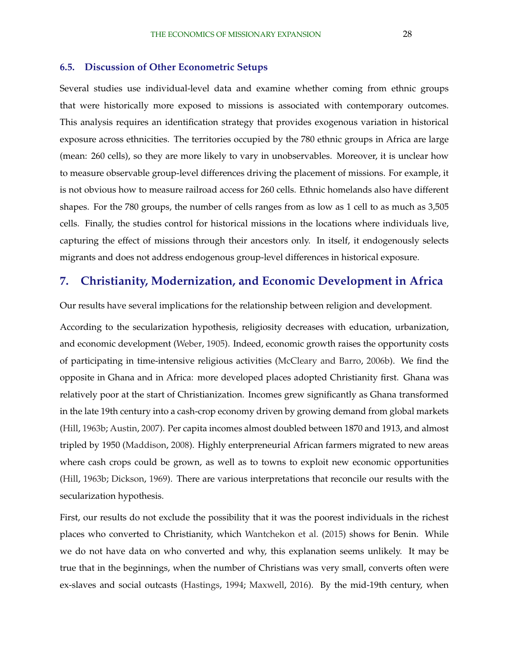#### **6.5. Discussion of Other Econometric Setups**

Several studies use individual-level data and examine whether coming from ethnic groups that were historically more exposed to missions is associated with contemporary outcomes. This analysis requires an identification strategy that provides exogenous variation in historical exposure across ethnicities. The territories occupied by the 780 ethnic groups in Africa are large (mean: 260 cells), so they are more likely to vary in unobservables. Moreover, it is unclear how to measure observable group-level differences driving the placement of missions. For example, it is not obvious how to measure railroad access for 260 cells. Ethnic homelands also have different shapes. For the 780 groups, the number of cells ranges from as low as 1 cell to as much as 3,505 cells. Finally, the studies control for historical missions in the locations where individuals live, capturing the effect of missions through their ancestors only. In itself, it endogenously selects migrants and does not address endogenous group-level differences in historical exposure.

## **7. Christianity, Modernization, and Economic Development in Africa**

Our results have several implications for the relationship between religion and development.

According to the secularization hypothesis, religiosity decreases with education, urbanization, and economic development [\(Weber,](#page-35-0) [1905\)](#page-35-0). Indeed, economic growth raises the opportunity costs of participating in time-intensive religious activities [\(McCleary and Barro,](#page-34-0) [2006b\)](#page-34-0). We find the opposite in Ghana and in Africa: more developed places adopted Christianity first. Ghana was relatively poor at the start of Christianization. Incomes grew significantly as Ghana transformed in the late 19th century into a cash-crop economy driven by growing demand from global markets [\(Hill,](#page-34-0) [1963b;](#page-34-0) [Austin,](#page-32-0) [2007\)](#page-32-0). Per capita incomes almost doubled between 1870 and 1913, and almost tripled by 1950 [\(Maddison,](#page-34-0) [2008\)](#page-34-0). Highly enterpreneurial African farmers migrated to new areas where cash crops could be grown, as well as to towns to exploit new economic opportunities [\(Hill,](#page-34-0) [1963b;](#page-34-0) [Dickson,](#page-33-0) [1969\)](#page-33-0). There are various interpretations that reconcile our results with the secularization hypothesis.

First, our results do not exclude the possibility that it was the poorest individuals in the richest places who converted to Christianity, which [Wantchekon et al.](#page-35-0) [\(2015\)](#page-35-0) shows for Benin. While we do not have data on who converted and why, this explanation seems unlikely. It may be true that in the beginnings, when the number of Christians was very small, converts often were ex-slaves and social outcasts [\(Hastings,](#page-34-0) [1994;](#page-34-0) [Maxwell,](#page-34-0) [2016\)](#page-34-0). By the mid-19th century, when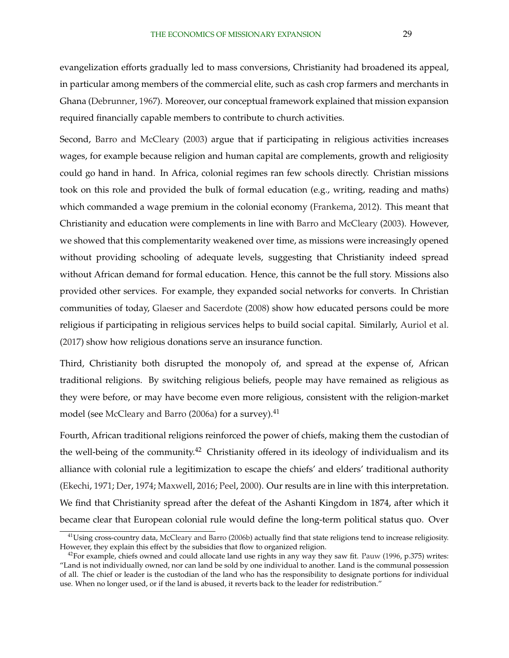evangelization efforts gradually led to mass conversions, Christianity had broadened its appeal, in particular among members of the commercial elite, such as cash crop farmers and merchants in Ghana [\(Debrunner,](#page-33-0) [1967\)](#page-33-0). Moreover, our conceptual framework explained that mission expansion required financially capable members to contribute to church activities.

Second, [Barro and McCleary](#page-32-0) [\(2003\)](#page-32-0) argue that if participating in religious activities increases wages, for example because religion and human capital are complements, growth and religiosity could go hand in hand. In Africa, colonial regimes ran few schools directly. Christian missions took on this role and provided the bulk of formal education (e.g., writing, reading and maths) which commanded a wage premium in the colonial economy [\(Frankema,](#page-33-0) [2012\)](#page-33-0). This meant that Christianity and education were complements in line with [Barro and McCleary](#page-32-0) [\(2003\)](#page-32-0). However, we showed that this complementarity weakened over time, as missions were increasingly opened without providing schooling of adequate levels, suggesting that Christianity indeed spread without African demand for formal education. Hence, this cannot be the full story. Missions also provided other services. For example, they expanded social networks for converts. In Christian communities of today, [Glaeser and Sacerdote](#page-33-0) [\(2008\)](#page-33-0) show how educated persons could be more religious if participating in religious services helps to build social capital. Similarly, [Auriol et al.](#page-32-0) [\(2017\)](#page-32-0) show how religious donations serve an insurance function.

Third, Christianity both disrupted the monopoly of, and spread at the expense of, African traditional religions. By switching religious beliefs, people may have remained as religious as they were before, or may have become even more religious, consistent with the religion-market model (see [McCleary and Barro](#page-34-0) [\(2006a\)](#page-34-0) for a survey).<sup>41</sup>

Fourth, African traditional religions reinforced the power of chiefs, making them the custodian of the well-being of the community.<sup>42</sup> Christianity offered in its ideology of individualism and its alliance with colonial rule a legitimization to escape the chiefs' and elders' traditional authority [\(Ekechi,](#page-33-0) [1971;](#page-33-0) [Der,](#page-33-0) [1974;](#page-33-0) [Maxwell,](#page-34-0) [2016;](#page-34-0) [Peel,](#page-35-0) [2000\)](#page-35-0). Our results are in line with this interpretation. We find that Christianity spread after the defeat of the Ashanti Kingdom in 1874, after which it became clear that European colonial rule would define the long-term political status quo. Over

<sup>&</sup>lt;sup>41</sup>Using cross-country data, [McCleary and Barro](#page-34-0) [\(2006b\)](#page-34-0) actually find that state religions tend to increase religiosity. However, they explain this effect by the subsidies that flow to organized religion.

 $^{42}$ For example, chiefs owned and could allocate land use rights in any way they saw fit. [Pauw](#page-35-0) [\(1996,](#page-35-0) p.375) writes: "Land is not individually owned, nor can land be sold by one individual to another. Land is the communal possession of all. The chief or leader is the custodian of the land who has the responsibility to designate portions for individual use. When no longer used, or if the land is abused, it reverts back to the leader for redistribution."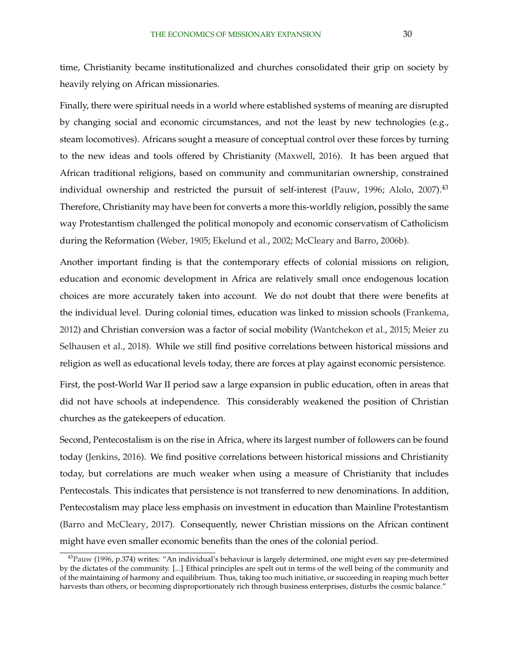time, Christianity became institutionalized and churches consolidated their grip on society by heavily relying on African missionaries.

Finally, there were spiritual needs in a world where established systems of meaning are disrupted by changing social and economic circumstances, and not the least by new technologies (e.g., steam locomotives). Africans sought a measure of conceptual control over these forces by turning to the new ideas and tools offered by Christianity [\(Maxwell,](#page-34-0) [2016\)](#page-34-0). It has been argued that African traditional religions, based on community and communitarian ownership, constrained individual ownership and restricted the pursuit of self-interest [\(Pauw,](#page-35-0) [1996;](#page-35-0) [Alolo,](#page-32-0) [2007\)](#page-32-0).<sup>43</sup> Therefore, Christianity may have been for converts a more this-worldly religion, possibly the same way Protestantism challenged the political monopoly and economic conservatism of Catholicism during the Reformation [\(Weber,](#page-35-0) [1905;](#page-35-0) [Ekelund et al.,](#page-33-0) [2002;](#page-33-0) [McCleary and Barro,](#page-34-0) [2006b\)](#page-34-0).

Another important finding is that the contemporary effects of colonial missions on religion, education and economic development in Africa are relatively small once endogenous location choices are more accurately taken into account. We do not doubt that there were benefits at the individual level. During colonial times, education was linked to mission schools [\(Frankema,](#page-33-0) [2012\)](#page-33-0) and Christian conversion was a factor of social mobility [\(Wantchekon et al.,](#page-35-0) [2015;](#page-35-0) [Meier zu](#page-34-0) [Selhausen et al.,](#page-34-0) [2018\)](#page-34-0). While we still find positive correlations between historical missions and religion as well as educational levels today, there are forces at play against economic persistence.

First, the post-World War II period saw a large expansion in public education, often in areas that did not have schools at independence. This considerably weakened the position of Christian churches as the gatekeepers of education.

Second, Pentecostalism is on the rise in Africa, where its largest number of followers can be found today [\(Jenkins,](#page-34-0) [2016\)](#page-34-0). We find positive correlations between historical missions and Christianity today, but correlations are much weaker when using a measure of Christianity that includes Pentecostals. This indicates that persistence is not transferred to new denominations. In addition, Pentecostalism may place less emphasis on investment in education than Mainline Protestantism [\(Barro and McCleary,](#page-32-0) [2017\)](#page-32-0). Consequently, newer Christian missions on the African continent might have even smaller economic benefits than the ones of the colonial period.

<sup>&</sup>lt;sup>43</sup>[Pauw](#page-35-0) [\(1996,](#page-35-0) p.374) writes: "An individual's behaviour is largely determined, one might even say pre-determined by the dictates of the community. [...] Ethical principles are spelt out in terms of the well being of the community and of the maintaining of harmony and equilibrium. Thus, taking too much initiative, or succeeding in reaping much better harvests than others, or becoming disproportionately rich through business enterprises, disturbs the cosmic balance."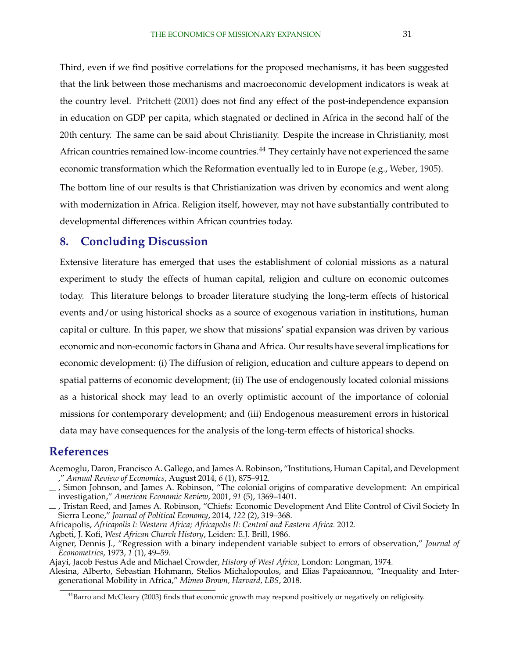<span id="page-31-0"></span>Third, even if we find positive correlations for the proposed mechanisms, it has been suggested that the link between those mechanisms and macroeconomic development indicators is weak at the country level. [Pritchett](#page-35-0) [\(2001\)](#page-35-0) does not find any effect of the post-independence expansion in education on GDP per capita, which stagnated or declined in Africa in the second half of the 20th century. The same can be said about Christianity. Despite the increase in Christianity, most African countries remained low-income countries.<sup>44</sup> They certainly have not experienced the same economic transformation which the Reformation eventually led to in Europe (e.g., [Weber,](#page-35-0) [1905\)](#page-35-0).

The bottom line of our results is that Christianization was driven by economics and went along with modernization in Africa. Religion itself, however, may not have substantially contributed to developmental differences within African countries today.

## **8. Concluding Discussion**

Extensive literature has emerged that uses the establishment of colonial missions as a natural experiment to study the effects of human capital, religion and culture on economic outcomes today. This literature belongs to broader literature studying the long-term effects of historical events and/or using historical shocks as a source of exogenous variation in institutions, human capital or culture. In this paper, we show that missions' spatial expansion was driven by various economic and non-economic factors in Ghana and Africa. Our results have several implications for economic development: (i) The diffusion of religion, education and culture appears to depend on spatial patterns of economic development; (ii) The use of endogenously located colonial missions as a historical shock may lead to an overly optimistic account of the importance of colonial missions for contemporary development; and (iii) Endogenous measurement errors in historical data may have consequences for the analysis of the long-term effects of historical shocks.

## **References**

- Acemoglu, Daron, Francisco A. Gallego, and James A. Robinson, "Institutions, Human Capital, and Development ," *Annual Review of Economics*, August 2014, *6* (1), 875–912.
- , Simon Johnson, and James A. Robinson, "The colonial origins of comparative development: An empirical investigation," *American Economic Review*, 2001, *91* (5), 1369–1401.
- $-$ , Tristan Reed, and James A. Robinson, "Chiefs: Economic Development And Elite Control of Civil Society In Sierra Leone," *Journal of Political Economy*, 2014, *122* (2), 319–368.

Africapolis, *Africapolis I: Western Africa; Africapolis II: Central and Eastern Africa.* 2012.

- Agbeti, J. Kofi, *West African Church History*, Leiden: E.J. Brill, 1986.
- Aigner, Dennis J., "Regression with a binary independent variable subject to errors of observation," *Journal of Econometrics*, 1973, *1* (1), 49–59.
- Ajayi, Jacob Festus Ade and Michael Crowder, *History of West Africa*, London: Longman, 1974.

Alesina, Alberto, Sebastian Hohmann, Stelios Michalopoulos, and Elias Papaioannou, "Inequality and Intergenerational Mobility in Africa," *Mimeo Brown, Harvard, LBS*, 2018.

<sup>44</sup>[Barro and McCleary](#page-32-0) [\(2003\)](#page-32-0) finds that economic growth may respond positively or negatively on religiosity.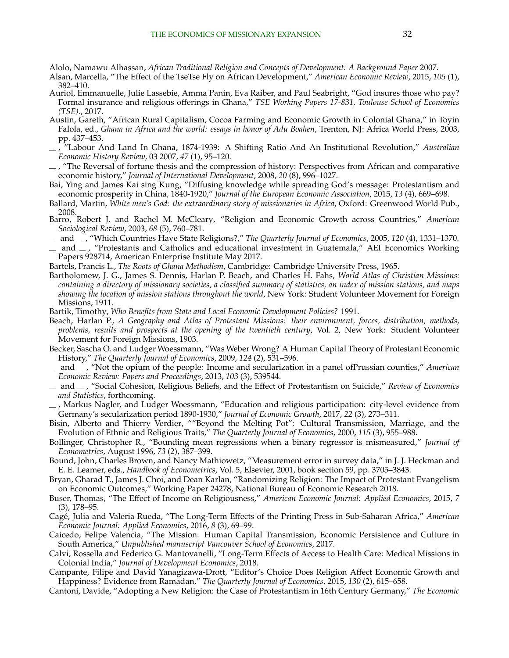<span id="page-32-0"></span>Alolo, Namawu Alhassan, *African Traditional Religion and Concepts of Development: A Background Paper* 2007.

- Alsan, Marcella, "The Effect of the TseTse Fly on African Development," *American Economic Review*, 2015, *105* (1), 382–410.
- Auriol, Emmanuelle, Julie Lassebie, Amma Panin, Eva Raiber, and Paul Seabright, "God insures those who pay? Formal insurance and religious offerings in Ghana," *TSE Working Papers 17-831, Toulouse School of Economics (TSE).*, 2017.
- Austin, Gareth, "African Rural Capitalism, Cocoa Farming and Economic Growth in Colonial Ghana," in Toyin Falola, ed., *Ghana in Africa and the world: essays in honor of Adu Boahen*, Trenton, NJ: Africa World Press, 2003, pp. 437–453.
- , "Labour And Land In Ghana, 1874-1939: A Shifting Ratio And An Institutional Revolution," *Australian Economic History Review*, 03 2007, *47* (1), 95–120.
- $-$ , "The Reversal of fortune thesis and the compression of history: Perspectives from African and comparative economic history," *Journal of International Development*, 2008, *20* (8), 996–1027.
- Bai, Ying and James Kai sing Kung, "Diffusing knowledge while spreading God's message: Protestantism and economic prosperity in China, 1840-1920," *Journal of the European Economic Association*, 2015, *13* (4), 669–698.
- Ballard, Martin, *White men's God: the extraordinary story of missionaries in Africa*, Oxford: Greenwood World Pub., 2008.
- Barro, Robert J. and Rachel M. McCleary, "Religion and Economic Growth across Countries," *American Sociological Review*, 2003, *68* (5), 760–781.
- and , "Which Countries Have State Religions?," *The Quarterly Journal of Economics*, 2005, *120* (4), 1331–1370.
- and  $\mu$ , "Protestants and Catholics and educational investment in Guatemala," AEI Economics Working Papers 928714, American Enterprise Institute May 2017.
- Bartels, Francis L., *The Roots of Ghana Methodism*, Cambridge: Cambridge University Press, 1965.
- Bartholomew, J. G., James S. Dennis, Harlan P. Beach, and Charles H. Fahs, *World Atlas of Christian Missions: containing a directory of missionary societies, a classified summary of statistics, an index of mission stations, and maps showing the location of mission stations throughout the world*, New York: Student Volunteer Movement for Foreign Missions, 1911.
- Bartik, Timothy, *Who Benefits from State and Local Economic Development Policies?* 1991.
- Beach, Harlan P., *A Geography and Atlas of Protestant Missions: their environment, forces, distribution, methods, problems, results and prospects at the opening of the twentieth century*, Vol. 2, New York: Student Volunteer Movement for Foreign Missions, 1903.
- Becker, Sascha O. and Ludger Woessmann, "Was Weber Wrong? A Human Capital Theory of Protestant Economic History," *The Quarterly Journal of Economics*, 2009, *124* (2), 531–596.
- and  $\overline{\phantom{a}}$ , "Not the opium of the people: Income and secularization in a panel ofPrussian counties," *American Economic Review: Papers and Proceedings*, 2013, *103* (3), 539544.
- $-$  and  $-$ , "Social Cohesion, Religious Beliefs, and the Effect of Protestantism on Suicide," *Review of Economics and Statistics*, forthcoming.
- , Markus Nagler, and Ludger Woessmann, "Education and religious participation: city-level evidence from Germany's secularization period 1890-1930," *Journal of Economic Growth*, 2017, *22* (3), 273–311.
- Bisin, Alberto and Thierry Verdier, ""Beyond the Melting Pot": Cultural Transmission, Marriage, and the Evolution of Ethnic and Religious Traits," *The Quarterly Journal of Economics*, 2000, *115* (3), 955–988.
- Bollinger, Christopher R., "Bounding mean regressions when a binary regressor is mismeasured," *Journal of Econometrics*, August 1996, *73* (2), 387–399.
- Bound, John, Charles Brown, and Nancy Mathiowetz, "Measurement error in survey data," in J. J. Heckman and E. E. Leamer, eds., *Handbook of Econometrics*, Vol. 5, Elsevier, 2001, book section 59, pp. 3705–3843.
- Bryan, Gharad T., James J. Choi, and Dean Karlan, "Randomizing Religion: The Impact of Protestant Evangelism on Economic Outcomes," Working Paper 24278, National Bureau of Economic Research 2018.
- Buser, Thomas, "The Effect of Income on Religiousness," *American Economic Journal: Applied Economics*, 2015, *7* (3), 178–95.
- Cage, Julia and Valeria Rueda, "The Long-Term Effects of the Printing Press in Sub-Saharan Africa," ´ *American Economic Journal: Applied Economics*, 2016, *8* (3), 69–99.
- Caicedo, Felipe Valencia, "The Mission: Human Capital Transmission, Economic Persistence and Culture in South America," *Unpublished manuscript Vancouver School of Economics*, 2017.
- Calvi, Rossella and Federico G. Mantovanelli, "Long-Term Effects of Access to Health Care: Medical Missions in Colonial India," *Journal of Development Economics*, 2018.
- Campante, Filipe and David Yanagizawa-Drott, "Editor's Choice Does Religion Affect Economic Growth and Happiness? Evidence from Ramadan," *The Quarterly Journal of Economics*, 2015, *130* (2), 615–658.
- Cantoni, Davide, "Adopting a New Religion: the Case of Protestantism in 16th Century Germany," *The Economic*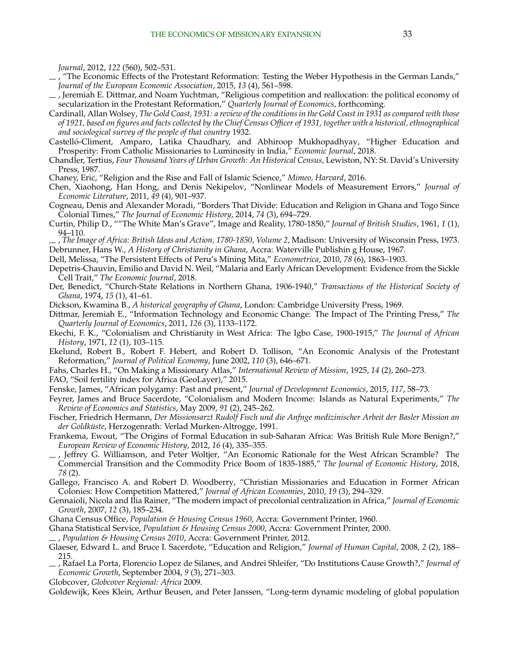<span id="page-33-0"></span>*Journal*, 2012, *122* (560), 502–531.

- , "The Economic Effects of the Protestant Reformation: Testing the Weber Hypothesis in the German Lands," *Journal of the European Economic Association*, 2015, *13* (4), 561–598.
- , Jeremiah E. Dittmar, and Noam Yuchtman, "Religious competition and reallocation: the political economy of secularization in the Protestant Reformation," *Quarterly Journal of Economics*, forthcoming.
- Cardinall, Allan Wolsey, *The Gold Coast, 1931: a review of the conditions in the Gold Coast in 1931 as compared with those of 1921, based on figures and facts collected by the Chief Census Officer of 1931, together with a historical, ethnographical and sociological survey of the people of that country* 1932.
- Castelló-Climent, Amparo, Latika Chaudhary, and Abhiroop Mukhopadhyay, "Higher Education and Prosperity: From Catholic Missionaries to Luminosity in India," *Economic Journal*, 2018.
- Chandler, Tertius, *Four Thousand Years of Urban Growth: An Historical Census*, Lewiston, NY: St. David's University Press, 1987.
- Chaney, Eric, "Religion and the Rise and Fall of Islamic Science," *Mimeo, Harvard*, 2016.
- Chen, Xiaohong, Han Hong, and Denis Nekipelov, "Nonlinear Models of Measurement Errors," *Journal of Economic Literature*, 2011, *49* (4), 901–937.
- Cogneau, Denis and Alexander Moradi, "Borders That Divide: Education and Religion in Ghana and Togo Since Colonial Times," *The Journal of Economic History*, 2014, *74* (3), 694–729.
- Curtin, Philip D., ""The White Man's Grave", Image and Reality, 1780-1850," *Journal of British Studies*, 1961, *1* (1), 94–110.
- , *The Image of Africa: British Ideas and Action, 1780-1850, Volume 2*, Madison: University of Wisconsin Press, 1973. Debrunner, Hans W., *A History of Christianity in Ghana*, Accra: Waterville Publishin g House, 1967.
- Dell, Melissa, "The Persistent Effects of Peru's Mining Mita," *Econometrica*, 2010, *78* (6), 1863–1903.
- Depetris-Chauvin, Emilio and David N. Weil, "Malaria and Early African Development: Evidence from the Sickle Cell Trait," *The Economic Journal*, 2018.
- Der, Benedict, "Church-State Relations in Northern Ghana, 1906-1940," *Transactions of the Historical Society of Ghana*, 1974, *15* (1), 41–61.
- Dickson, Kwamina B., *A historical geography of Ghana*, London: Cambridge University Press, 1969.
- Dittmar, Jeremiah E., "Information Technology and Economic Change: The Impact of The Printing Press," *The Quarterly Journal of Economics*, 2011, *126* (3), 1133–1172.
- Ekechi, F. K., "Colonialism and Christianity in West Africa: The Igbo Case, 1900-1915," *The Journal of African History*, 1971, *12* (1), 103–115.
- Ekelund, Robert B., Robert F. Hebert, and Robert D. Tollison, "An Economic Analysis of the Protestant Reformation," *Journal of Political Economy*, June 2002, *110* (3), 646–671.
- Fahs, Charles H., "On Making a Missionary Atlas," *International Review of Mission*, 1925, *14* (2), 260–273.
- FAO, "Soil fertility index for Africa (GeoLayer)," 2015.
- Fenske, James, "African polygamy: Past and present," *Journal of Development Economics*, 2015, *117*, 58–73.
- Feyrer, James and Bruce Sacerdote, "Colonialism and Modern Income: Islands as Natural Experiments," *The Review of Economics and Statistics*, May 2009, *91* (2), 245–262.
- Fischer, Friedrich Hermann, *Der Missionsarzt Rudolf Fisch und die Anfnge medizinischer Arbeit der Basler Mission an* der Goldküste, Herzogenrath: Verlad Murken-Altrogge, 1991.
- Frankema, Ewout, "The Origins of Formal Education in sub-Saharan Africa: Was British Rule More Benign?," *European Review of Economic History*, 2012, *16* (4), 335–355.
- , Jeffrey G. Williamson, and Peter Woltjer, "An Economic Rationale for the West African Scramble? The Commercial Transition and the Commodity Price Boom of 1835-1885," *The Journal of Economic History*, 2018, *78* (2).
- Gallego, Francisco A. and Robert D. Woodberry, "Christian Missionaries and Education in Former African Colonies: How Competition Mattered," *Journal of African Economies*, 2010, *19* (3), 294–329.
- Gennaioli, Nicola and Ilia Rainer, "The modern impact of precolonial centralization in Africa," *Journal of Economic Growth*, 2007, *12* (3), 185–234.
- Ghana Census Office, *Population & Housing Census 1960*, Accra: Government Printer, 1960.
- Ghana Statistical Service, *Population & Housing Census 2000*, Accra: Government Printer, 2000.
- , *Population & Housing Census 2010*, Accra: Government Printer, 2012.
- Glaeser, Edward L. and Bruce I. Sacerdote, "Education and Religion," *Journal of Human Capital*, 2008, *2* (2), 188– 215.
- , Rafael La Porta, Florencio Lopez de Silanes, and Andrei Shleifer, "Do Institutions Cause Growth?," *Journal of Economic Growth*, September 2004, *9* (3), 271–303.
- Globcover, *Globcover Regional: Africa* 2009.

Goldewijk, Kees Klein, Arthur Beusen, and Peter Janssen, "Long-term dynamic modeling of global population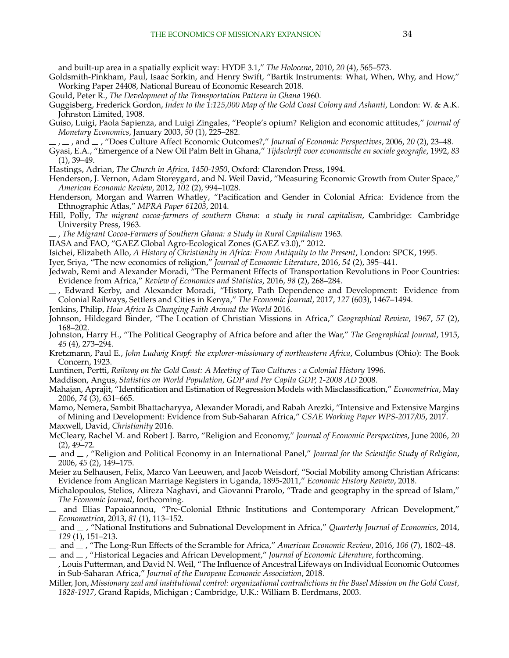<span id="page-34-0"></span>and built-up area in a spatially explicit way: HYDE 3.1," *The Holocene*, 2010, *20* (4), 565–573.

- Goldsmith-Pinkham, Paul, Isaac Sorkin, and Henry Swift, "Bartik Instruments: What, When, Why, and How," Working Paper 24408, National Bureau of Economic Research 2018.
- Gould, Peter R., *The Development of the Transportation Pattern in Ghana* 1960.
- Guggisberg, Frederick Gordon, *Index to the 1:125,000 Map of the Gold Coast Colony and Ashanti*, London: W. & A.K. Johnston Limited, 1908.
- Guiso, Luigi, Paola Sapienza, and Luigi Zingales, "People's opium? Religion and economic attitudes," *Journal of Monetary Economics*, January 2003, *50* (1), 225–282.
- , , and , "Does Culture Affect Economic Outcomes?," *Journal of Economic Perspectives*, 2006, *20* (2), 23–48.
- Gyasi, E.A., "Emergence of a New Oil Palm Belt in Ghana," *Tijdschrift voor economische en sociale geografie*, 1992, *83* (1), 39–49.
- Hastings, Adrian, *The Church in Africa, 1450-1950*, Oxford: Clarendon Press, 1994.
- Henderson, J. Vernon, Adam Storeygard, and N. Weil David, "Measuring Economic Growth from Outer Space," *American Economic Review*, 2012, *102* (2), 994–1028.
- Henderson, Morgan and Warren Whatley, "Pacification and Gender in Colonial Africa: Evidence from the Ethnographic Atlas," *MPRA Paper 61203*, 2014.
- Hill, Polly, *The migrant cocoa-farmers of southern Ghana: a study in rural capitalism*, Cambridge: Cambridge University Press, 1963.
- , *The Migrant Cocoa-Farmers of Southern Ghana: a Study in Rural Capitalism* 1963.
- IIASA and FAO, "GAEZ Global Agro-Ecological Zones (GAEZ v3.0)," 2012.
- Isichei, Elizabeth Allo, *A History of Christianity in Africa: From Antiquity to the Present*, London: SPCK, 1995.
- Iyer, Sriya, "The new economics of religion," *Journal of Economic Literature*, 2016, *54* (2), 395–441.
- Jedwab, Remi and Alexander Moradi, "The Permanent Effects of Transportation Revolutions in Poor Countries: Evidence from Africa," *Review of Economics and Statistics*, 2016, *98* (2), 268–284.
- , Edward Kerby, and Alexander Moradi, "History, Path Dependence and Development: Evidence from Colonial Railways, Settlers and Cities in Kenya," *The Economic Journal*, 2017, *127* (603), 1467–1494.
- Jenkins, Philip, *How Africa Is Changing Faith Around the World* 2016.
- Johnson, Hildegard Binder, "The Location of Christian Missions in Africa," *Geographical Review*, 1967, *57* (2), 168–202.
- Johnston, Harry H., "The Political Geography of Africa before and after the War," *The Geographical Journal*, 1915, *45* (4), 273–294.
- Kretzmann, Paul E., *John Ludwig Krapf: the explorer-missionary of northeastern Africa*, Columbus (Ohio): The Book Concern, 1923.
- Luntinen, Pertti, *Railway on the Gold Coast: A Meeting of Two Cultures : a Colonial History* 1996.
- Maddison, Angus, *Statistics on World Population, GDP and Per Capita GDP, 1-2008 AD* 2008.
- Mahajan, Aprajit, "Identification and Estimation of Regression Models with Misclassification," *Econometrica*, May 2006, *74* (3), 631–665.
- Mamo, Nemera, Sambit Bhattacharyya, Alexander Moradi, and Rabah Arezki, "Intensive and Extensive Margins of Mining and Development: Evidence from Sub-Saharan Africa," *CSAE Working Paper WPS-2017/05*, 2017. Maxwell, David, *Christianity* 2016.
- McCleary, Rachel M. and Robert J. Barro, "Religion and Economy," *Journal of Economic Perspectives*, June 2006, *20* (2), 49–72.
- and , "Religion and Political Economy in an International Panel," *Journal for the Scientific Study of Religion*, 2006, *45* (2), 149–175.
- Meier zu Selhausen, Felix, Marco Van Leeuwen, and Jacob Weisdorf, "Social Mobility among Christian Africans: Evidence from Anglican Marriage Registers in Uganda, 1895-2011," *Economic History Review*, 2018.
- Michalopoulos, Stelios, Alireza Naghavi, and Giovanni Prarolo, "Trade and geography in the spread of Islam," *The Economic Journal*, forthcoming.
- and Elias Papaioannou, "Pre-Colonial Ethnic Institutions and Contemporary African Development," *Econometrica*, 2013, *81* (1), 113–152.
- and , "National Institutions and Subnational Development in Africa," *Quarterly Journal of Economics*, 2014, *129* (1), 151–213.
- and , "The Long-Run Effects of the Scramble for Africa," *American Economic Review*, 2016, *106* (7), 1802–48.
- and , "Historical Legacies and African Development," *Journal of Economic Literature*, forthcoming.
- , Louis Putterman, and David N. Weil, "The Influence of Ancestral Lifeways on Individual Economic Outcomes in Sub-Saharan Africa," *Journal of the European Economic Association*, 2018.
- Miller, Jon, *Missionary zeal and institutional control: organizational contradictions in the Basel Mission on the Gold Coast, 1828-1917*, Grand Rapids, Michigan ; Cambridge, U.K.: William B. Eerdmans, 2003.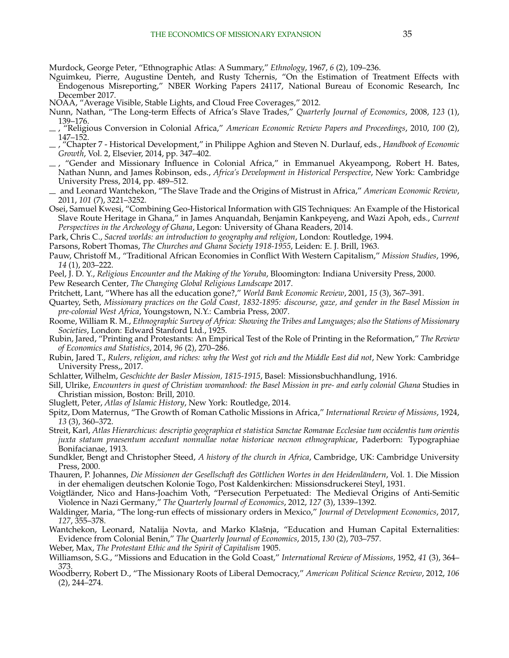<span id="page-35-0"></span>Murdock, George Peter, "Ethnographic Atlas: A Summary," *Ethnology*, 1967, *6* (2), 109–236.

- Nguimkeu, Pierre, Augustine Denteh, and Rusty Tchernis, "On the Estimation of Treatment Effects with Endogenous Misreporting," NBER Working Papers 24117, National Bureau of Economic Research, Inc December 2017.
- NOAA, "Average Visible, Stable Lights, and Cloud Free Coverages," 2012.
- Nunn, Nathan, "The Long-term Effects of Africa's Slave Trades," *Quarterly Journal of Economics*, 2008, *123* (1), 139–176.
- , "Religious Conversion in Colonial Africa," *American Economic Review Papers and Proceedings*, 2010, *100* (2), 147–152.
- , "Chapter 7 Historical Development," in Philippe Aghion and Steven N. Durlauf, eds., *Handbook of Economic Growth*, Vol. 2, Elsevier, 2014, pp. 347–402.
- , "Gender and Missionary Influence in Colonial Africa," in Emmanuel Akyeampong, Robert H. Bates, Nathan Nunn, and James Robinson, eds., *Africa's Development in Historical Perspective*, New York: Cambridge University Press, 2014, pp. 489–512.
- and Leonard Wantchekon, "The Slave Trade and the Origins of Mistrust in Africa," *American Economic Review*, 2011, *101* (7), 3221–3252.
- Osei, Samuel Kwesi, "Combining Geo-Historical Information with GIS Techniques: An Example of the Historical Slave Route Heritage in Ghana," in James Anquandah, Benjamin Kankpeyeng, and Wazi Apoh, eds., *Current Perspectives in the Archeology of Ghana*, Legon: University of Ghana Readers, 2014.

Park, Chris C., *Sacred worlds: an introduction to geography and religion*, London: Routledge, 1994.

Parsons, Robert Thomas, *The Churches and Ghana Society 1918-1955*, Leiden: E. J. Brill, 1963.

- Pauw, Christoff M., "Traditional African Economies in Conflict With Western Capitalism," *Mission Studies*, 1996, *14* (1), 203–222.
- Peel, J. D. Y., *Religious Encounter and the Making of the Yoruba*, Bloomington: Indiana University Press, 2000.
- Pew Research Center, *The Changing Global Religious Landscape* 2017.

Pritchett, Lant, "Where has all the education gone?," *World Bank Economic Review*, 2001, *15* (3), 367–391.

- Quartey, Seth, *Missionary practices on the Gold Coast, 1832-1895: discourse, gaze, and gender in the Basel Mission in pre-colonial West Africa*, Youngstown, N.Y.: Cambria Press, 2007.
- Roome, William R. M., *Ethnographic Survey of Africa: Showing the Tribes and Languages; also the Stations of Missionary Societies*, London: Edward Stanford Ltd., 1925.
- Rubin, Jared, "Printing and Protestants: An Empirical Test of the Role of Printing in the Reformation," *The Review of Economics and Statistics*, 2014, *96* (2), 270–286.
- Rubin, Jared T., *Rulers, religion, and riches: why the West got rich and the Middle East did not*, New York: Cambridge University Press,, 2017.
- Schlatter, Wilhelm, *Geschichte der Basler Mission, 1815-1915*, Basel: Missionsbuchhandlung, 1916.
- Sill, Ulrike, *Encounters in quest of Christian womanhood: the Basel Mission in pre- and early colonial Ghana* Studies in Christian mission, Boston: Brill, 2010.
- Sluglett, Peter, *Atlas of Islamic History*, New York: Routledge, 2014.
- Spitz, Dom Maternus, "The Growth of Roman Catholic Missions in Africa," *International Review of Missions*, 1924, *13* (3), 360–372.
- Streit, Karl, *Atlas Hierarchicus: descriptio geographica et statistica Sanctae Romanae Ecclesiae tum occidentis tum orientis juxta statum praesentum accedunt nonnullae notae historicae necnon ethnographicae*, Paderborn: Typographiae Bonifacianae, 1913.
- Sundkler, Bengt and Christopher Steed, *A history of the church in Africa*, Cambridge, UK: Cambridge University Press, 2000.
- Thauren, P. Johannes, *Die Missionen der Gesellschaft des Göttlichen Wortes in den Heidenländern*, Vol. 1. Die Mission in der ehemaligen deutschen Kolonie Togo, Post Kaldenkirchen: Missionsdruckerei Steyl, 1931.
- Voigtlander, Nico and Hans-Joachim Voth, "Persecution Perpetuated: The Medieval Origins of Anti-Semitic ¨ Violence in Nazi Germany," *The Quarterly Journal of Economics*, 2012, *127* (3), 1339–1392.
- Waldinger, Maria, "The long-run effects of missionary orders in Mexico," *Journal of Development Economics*, 2017, *127*, 355–378.
- Wantchekon, Leonard, Natalija Novta, and Marko Klašnja, "Education and Human Capital Externalities: Evidence from Colonial Benin," *The Quarterly Journal of Economics*, 2015, *130* (2), 703–757.
- Weber, Max, *The Protestant Ethic and the Spirit of Capitalism* 1905.
- Williamson, S.G., "Missions and Education in the Gold Coast," *International Review of Missions*, 1952, *41* (3), 364– 373.
- Woodberry, Robert D., "The Missionary Roots of Liberal Democracy," *American Political Science Review*, 2012, *106* (2), 244–274.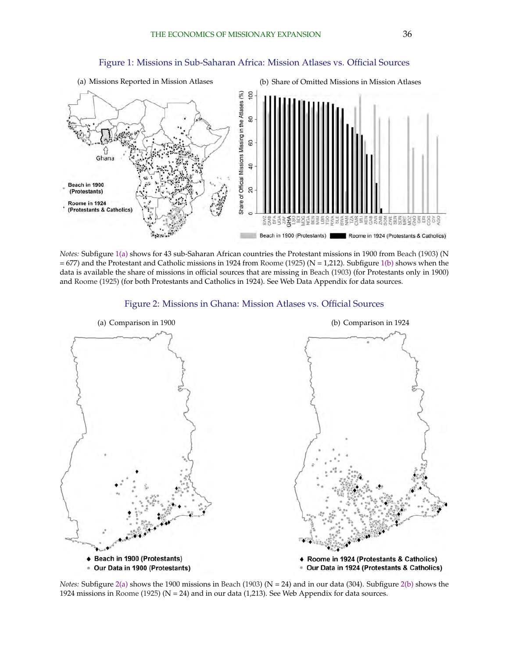<span id="page-36-0"></span>

#### Figure 1: Missions in Sub-Saharan Africa: Mission Atlases vs. Official Sources

*Notes:* Subfigure 1(a) shows for 43 sub-Saharan African countries the Protestant missions in 1900 from [Beach](#page-32-0) [\(1903\)](#page-32-0) (N  $= 677$ ) and the Protestant and Catholic missions in 1924 from [Roome](#page-35-0) [\(1925\)](#page-35-0) (N = 1,212). Subfigure 1(b) shows when the data is available the share of missions in official sources that are missing in [Beach](#page-32-0) [\(1903\)](#page-32-0) (for Protestants only in 1900) and [Roome](#page-35-0) [\(1925\)](#page-35-0) (for both Protestants and Catholics in 1924). See Web Data Appendix for data sources.





*Notes:* Subfigure  $2(a)$  shows the 1900 missions in [Beach](#page-32-0) [\(1903\)](#page-32-0) ( $N = 24$ ) and in our data (304). Subfigure  $2(b)$  shows the 1924 missions in [Roome](#page-35-0) [\(1925\)](#page-35-0) ( $N = 24$ ) and in our data (1,213). See Web Appendix for data sources.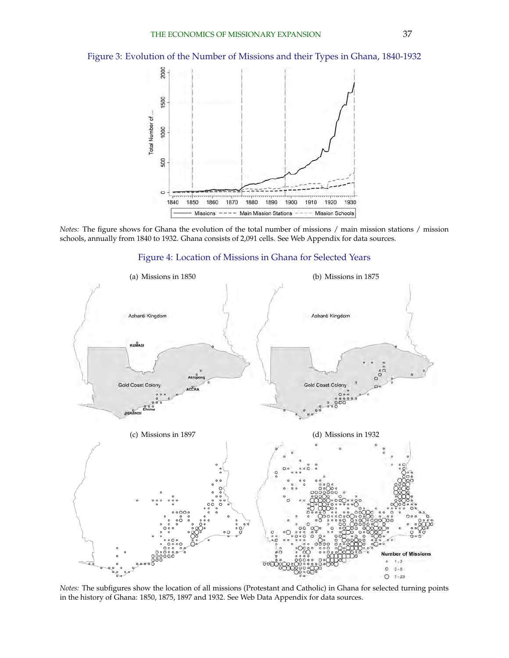<span id="page-37-0"></span>Figure 3: Evolution of the Number of Missions and their Types in Ghana, 1840-1932



*Notes:* The figure shows for Ghana the evolution of the total number of missions / main mission stations / mission schools, annually from 1840 to 1932. Ghana consists of 2,091 cells. See Web Appendix for data sources.





*Notes:* The subfigures show the location of all missions (Protestant and Catholic) in Ghana for selected turning points in the history of Ghana: 1850, 1875, 1897 and 1932. See Web Data Appendix for data sources.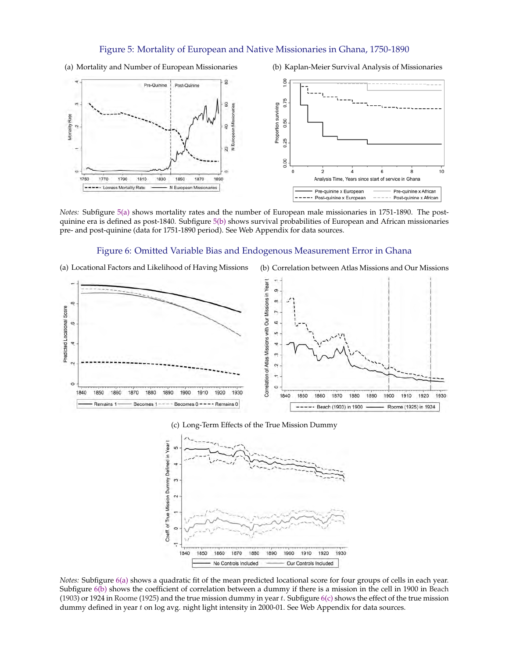#### Figure 5: Mortality of European and Native Missionaries in Ghana, 1750-1890

<span id="page-38-0"></span>(a) Mortality and Number of European Missionaries (b) Kaplan-Meier Survival Analysis of Missionaries



*Notes:* Subfigure 5(a) shows mortality rates and the number of European male missionaries in 1751-1890. The postquinine era is defined as post-1840. Subfigure 5(b) shows survival probabilities of European and African missionaries pre- and post-quinine (data for 1751-1890 period). See Web Appendix for data sources.

#### Figure 6: Omitted Variable Bias and Endogenous Measurement Error in Ghana

(a) Locational Factors and Likelihood of Having Missions (b) Correlation between Atlas Missions and Our Missions



#### (c) Long-Term Effects of the True Mission Dummy



*Notes:* Subfigure 6(a) shows a quadratic fit of the mean predicted locational score for four groups of cells in each year. Subfigure 6(b) shows the coefficient of correlation between a dummy if there is a mission in the cell in 1900 in [Beach](#page-32-0) [\(1903\)](#page-32-0) or 1924 in [Roome](#page-35-0) [\(1925\)](#page-35-0) and the true mission dummy in year t. Subfigure  $6(c)$  shows the effect of the true mission dummy defined in year  $t$  on log avg. night light intensity in 2000-01. See Web Appendix for data sources.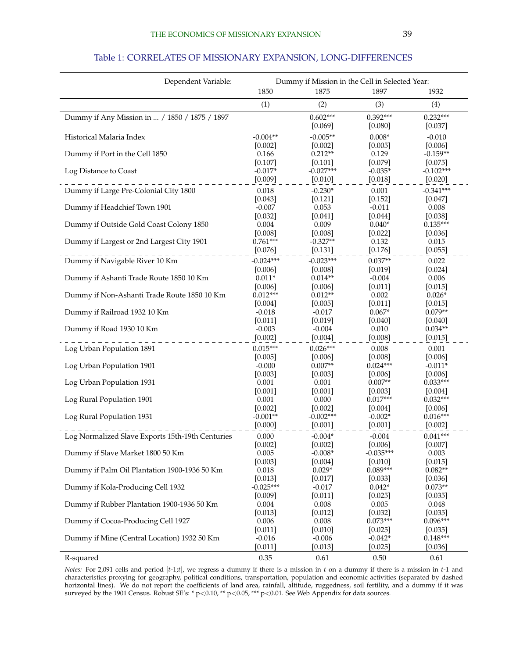#### Table 1: CORRELATES OF MISSIONARY EXPANSION, LONG-DIFFERENCES

<span id="page-39-0"></span>

| Dependent Variable:                              |                      | Dummy if Mission in the Cell in Selected Year: |                       |                          |
|--------------------------------------------------|----------------------|------------------------------------------------|-----------------------|--------------------------|
|                                                  | 1850                 | 1875                                           | 1897                  | 1932                     |
|                                                  | (1)                  | (2)                                            | (3)                   | (4)                      |
| Dummy if Any Mission in  / 1850 / 1875 / 1897    |                      | $0.602***$                                     | $0.392***$            | $0.232***$               |
|                                                  |                      | [0.069]                                        | [0.080]               | [0.037]                  |
| Historical Malaria Index                         | $-0.004**$           | $-0.005**$                                     | $0.008*$              | $-0.010$                 |
|                                                  | [0.002]              | [0.002]                                        | [0.005]               | [0.006]                  |
| Dummy if Port in the Cell 1850                   | 0.166                | $0.212**$                                      | 0.129                 | $-0.159**$               |
| Log Distance to Coast                            | [0.107]<br>$-0.017*$ | [0.101]<br>$-0.027***$                         | [0.079]<br>$-0.035*$  | $[0.075]$<br>$-0.102***$ |
|                                                  | [0.009]              | [0.010]                                        | [0.018]               | [0.020]                  |
| Dummy if Large Pre-Colonial City 1800            | 0.018                | $-0.230*$                                      | 0.001                 | $-0.341***$              |
|                                                  | [0.043]              | [0.121]                                        | [0.152]               | $[0.047]$                |
| Dummy if Headchief Town 1901                     | $-0.007$             | 0.053                                          | $-0.011$              | 0.008                    |
|                                                  | [0.032]              | [0.041]                                        | [0.044]               | [0.038]                  |
| Dummy if Outside Gold Coast Colony 1850          | 0.004                | 0.009                                          | $0.040*$              | $0.135***$               |
|                                                  | [0.008]              | [0.008]                                        | [0.022]               | [0.036]                  |
| Dummy if Largest or 2nd Largest City 1901        | $0.761***$           | $-0.327**$                                     | 0.132                 | 0.015                    |
|                                                  | [0.076]              | [0.131]                                        | [0.176]               | [0.055]                  |
| Dummy if Navigable River 10 Km                   | $-0.024***$          | $-0.023***$                                    | $0.037**$             | 0.022                    |
|                                                  | [0.006]              | [0.008]                                        | [0.019]               | [0.024]                  |
| Dummy if Ashanti Trade Route 1850 10 Km          | $0.011*$             | $0.014**$                                      | $-0.004$              | 0.006                    |
|                                                  | [0.006]              | [0.006]                                        | [0.011]               | [0.015]                  |
| Dummy if Non-Ashanti Trade Route 1850 10 Km      | $0.012***$           | $0.012**$                                      | 0.002                 | $0.026*$                 |
| Dummy if Railroad 1932 10 Km                     | [0.004]<br>$-0.018$  | [0.005]<br>$-0.017$                            | [0.011]<br>$0.067*$   | [0.015]<br>$0.079**$     |
|                                                  | [0.011]              | [0.019]                                        | $[0.040]$             | [0.040]                  |
| Dummy if Road 1930 10 Km                         | $-0.003$             | $-0.004$                                       | 0.010                 | $0.034**$                |
|                                                  | [0.002]              | [0.004]                                        | [0.008]               | [0.015]                  |
| Log Urban Population 1891                        | $0.015***$           | $0.026***$                                     | 0.008                 | 0.001                    |
|                                                  | [0.005]              | [0.006]                                        | [0.008]               | [0.006]                  |
| Log Urban Population 1901                        | $-0.000$             | $0.007**$                                      | $0.024***$            | $-0.011*$                |
|                                                  | [0.003]              | [0.003]                                        | [0.006]               | [0.006]                  |
| Log Urban Population 1931                        | 0.001                | 0.001                                          | $0.007**$             | $0.033***$               |
|                                                  | $[0.001]$            | [0.001]                                        | [0.003]               | [0.004]                  |
| Log Rural Population 1901                        | 0.001<br>[0.002]     | 0.000<br>[0.002]                               | $0.017***$<br>[0.004] | $0.032***$               |
| Log Rural Population 1931                        | $-0.001**$           | $-0.002***$                                    | $-0.002*$             | [0.006]<br>$0.016***$    |
|                                                  | [0.000]              | [0.001]                                        | [0.001]               | [0.002]                  |
| Log Normalized Slave Exports 15th-19th Centuries | 0.000                | $-0.004*$                                      | $-0.004$              | $0.041***$               |
|                                                  | [0.002]              | [0.002]                                        | [0.006]               | [0.007]                  |
| Dummy if Slave Market 1800 50 Km                 | 0.005                | $-0.008*$                                      | $-0.035***$           | 0.003                    |
|                                                  | [0.003]              | [0.004]                                        | [0.010]               | [0.015]                  |
| Dummy if Palm Oil Plantation 1900-1936 50 Km     | 0.018                | $0.029*$                                       | $0.089***$            | $0.082**$                |
|                                                  | [0.013]              | [0.017]                                        | [0.033]               | [0.036]                  |
| Dummy if Kola-Producing Cell 1932                | $-0.025***$          | $-0.017$                                       | $0.042*$              | $0.073**$                |
|                                                  | [0.009]              | [0.011]                                        | [0.025]               | [0.035]                  |
| Dummy if Rubber Plantation 1900-1936 50 Km       | 0.004                | 0.008                                          | 0.005                 | 0.048                    |
| Dummy if Cocoa-Producing Cell 1927               | [0.013]<br>0.006     | [0.012]<br>0.008                               | [0.032]<br>$0.073***$ | [0.035]<br>$0.096***$    |
|                                                  | [0.011]              | $[0.010]$                                      | [0.025]               | [0.035]                  |
| Dummy if Mine (Central Location) 1932 50 Km      | $-0.016$             | $-0.006$                                       | $-0.042*$             | $0.148***$               |
|                                                  | [0.011]              | [0.013]                                        | [0.025]               | [0.036]                  |
| R-squared                                        | 0.35                 | 0.61                                           | 0.50                  | 0.61                     |

*Notes:* For 2,091 cells and period [t-1;t], we regress a dummy if there is a mission in t on a dummy if there is a mission in t-1 and characteristics proxying for geography, political conditions, transportation, population and economic activities (separated by dashed horizontal lines). We do not report the coefficients of land area, rainfall, altitude, ruggedness, soil fertility, and a dummy if it was surveyed by the 1901 Census. Robust SE's: \* p<0.10, \*\* p<0.05, \*\*\* p<0.01. See Web Appendix for data sources.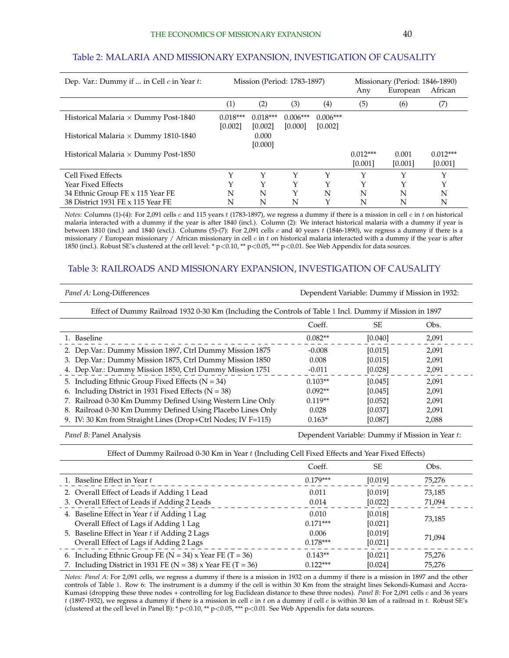### <span id="page-40-0"></span>Table 2: MALARIA AND MISSIONARY EXPANSION, INVESTIGATION OF CAUSALITY

| Dep. Var.: Dummy if  in Cell $c$ in Year $t$ : | Mission (Period: 1783-1897) |            |                 |                   |             |         | Missionary (Period: 1846-1890) |  |
|------------------------------------------------|-----------------------------|------------|-----------------|-------------------|-------------|---------|--------------------------------|--|
|                                                |                             |            |                 | Any               | European    | African |                                |  |
|                                                | (1)                         | (2)        | (3)             | $\left( 4\right)$ | (5)         | (6)     | (7)                            |  |
| Historical Malaria $\times$ Dummy Post-1840    | $0.018***$                  | $0.018***$ | $0.006***$      | $0.006***$        |             |         |                                |  |
|                                                | [0.002]                     | [0.002]    | [0.000]         | [0.002]           |             |         |                                |  |
| Historical Malaria $\times$ Dummy 1810-1840    |                             | 0.000      |                 |                   |             |         |                                |  |
|                                                |                             | [0.000]    |                 |                   |             |         |                                |  |
| Historical Malaria $\times$ Dummy Post-1850    |                             |            |                 |                   | $0.012***$  | 0.001   | $0.012***$                     |  |
|                                                |                             |            |                 |                   | [0.001]     | [0.001] | [0.001]                        |  |
| Cell Fixed Effects                             |                             | Υ          | $_{\mathsf{v}}$ | Y                 | $\check{ }$ |         | Υ                              |  |
| Year Fixed Effects                             |                             | Υ          | $\check{ }$     | $\check{~}$       | $\check{~}$ |         | Υ                              |  |
| 34 Ethnic Group FE x 115 Year FE               | N                           | N          | Y               | N                 | N           | N       | N                              |  |
| 38 District 1931 FE x 115 Year FE              | N                           | N          | N               |                   | N           | N       | N                              |  |

*Notes:* Columns (1)-(4): For 2,091 cells c and 115 years t (1783-1897), we regress a dummy if there is a mission in cell c in t on historical malaria interacted with a dummy if the year is after 1840 (incl.). Column (2): We interact historical malaria with a dummy if year is between 1810 (incl.) and 1840 (excl.). Columns (5)-(7): For 2,091 cells c and 40 years t (1846-1890), we regress a dummy if there is a missionary / European missionary / African missionary in cell  $c$  in  $t$  on historical malaria interacted with a dummy if the year is after 1850 (incl.). Robust SE's clustered at the cell level: \* p<0.10, \*\* p<0.05, \*\*\* p<0.01. See Web Appendix for data sources.

#### Table 3: RAILROADS AND MISSIONARY EXPANSION, INVESTIGATION OF CAUSALITY

| Dependent Variable: Dummy if Mission in 1932: |         |                                                                                                         |  |  |
|-----------------------------------------------|---------|---------------------------------------------------------------------------------------------------------|--|--|
|                                               |         |                                                                                                         |  |  |
| Coeff.                                        | SE.     | Obs.                                                                                                    |  |  |
| $0.082**$                                     | [0.040] | 2,091                                                                                                   |  |  |
| $-0.008$                                      | [0.015] | 2.091                                                                                                   |  |  |
| 0.008                                         | [0.015] | 2,091                                                                                                   |  |  |
| $-0.011$                                      | [0.028] | 2,091                                                                                                   |  |  |
| $0.103**$                                     | [0.045] | 2.091                                                                                                   |  |  |
| $0.092**$                                     | [0.045] | 2,091                                                                                                   |  |  |
| $0.119**$                                     | [0.052] | 2,091                                                                                                   |  |  |
| 0.028                                         | [0.037] | 2,091                                                                                                   |  |  |
| $0.163*$                                      | [0.087] | 2,088                                                                                                   |  |  |
|                                               |         | Effect of Dummy Railroad 1932 0-30 Km (Including the Controls of Table 1 Incl. Dummy if Mission in 1897 |  |  |

*Panel B:* Panel Analysis **Dependent Variable: Dummy if Mission in Year t:** Dependent Variable: Dummy if Mission in Year t:

Effect of Dummy Railroad 0-30 Km in Year t (Including Cell Fixed Effects and Year Fixed Effects)

|                                                                  | Coeff.     | SE        | Obs.   |
|------------------------------------------------------------------|------------|-----------|--------|
| 1. Baseline Effect in Year t                                     | $0.179***$ | [0.019]   | 75,276 |
| 2. Overall Effect of Leads if Adding 1 Lead                      | 0.011      | [0.019]   | 73,185 |
| 3. Overall Effect of Leads if Adding 2 Leads                     | 0.014      | $[0.022]$ | 71,094 |
| 4. Baseline Effect in Year $t$ if Adding 1 Lag                   | 0.010      | [0.018]   |        |
| Overall Effect of Lags if Adding 1 Lag                           | $0.171***$ | [0.021]   | 73,185 |
| 5. Baseline Effect in Year t if Adding 2 Lags                    | 0.006      | [0.019]   | 71,094 |
| Overall Effect of Lags if Adding 2 Lags                          | $0.178***$ | [0.021]   |        |
| 6. Including Ethnic Group FE ( $N = 34$ ) x Year FE (T = 36)     | $0.143**$  | [0.021]   | 75,276 |
| 7. Including District in 1931 FE ( $N = 38$ ) x Year FE (T = 36) | $0.122***$ | [0.024]   | 75,276 |

*Notes: Panel A:* For 2,091 cells, we regress a dummy if there is a mission in 1932 on a dummy if there is a mission in 1897 and the other controls of Table [1.](#page-39-0) Row 6: The instrument is a dummy if the cell is within 30 Km from the straight lines Sekondi-Kumasi and Accra-Kumasi (dropping these three nodes + controlling for log Euclidean distance to these three nodes). *Panel B:* For 2,091 cells c and 36 years  $t$  (1897-1932), we regress a dummy if there is a mission in cell c in t on a dummy if cell c is within 30 km of a railroad in t. Robust SE's (clustered at the cell level in Panel B): \* p<0.10, \*\* p<0.05, \*\*\* p<0.01. See Web Appendix for data sources.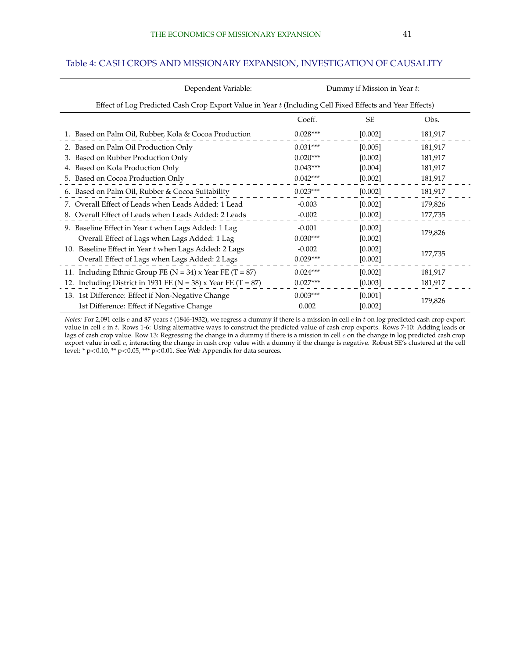| Dependent Variable:                                                                                      | Dummy if Mission in Year t: |           |         |  |  |
|----------------------------------------------------------------------------------------------------------|-----------------------------|-----------|---------|--|--|
| Effect of Log Predicted Cash Crop Export Value in Year t (Including Cell Fixed Effects and Year Effects) |                             |           |         |  |  |
|                                                                                                          | Coeff.                      | <b>SE</b> | Obs.    |  |  |
| 1. Based on Palm Oil, Rubber, Kola & Cocoa Production                                                    | $0.028***$                  | [0.002]   | 181,917 |  |  |
| Based on Palm Oil Production Only                                                                        | $0.031***$                  | [0.005]   | 181,917 |  |  |
| Based on Rubber Production Only<br>3.                                                                    | $0.020***$                  | [0.002]   | 181,917 |  |  |
| Based on Kola Production Only                                                                            | $0.043***$                  | [0.004]   | 181,917 |  |  |
| 5. Based on Cocoa Production Only                                                                        | $0.042***$                  | [0.002]   | 181,917 |  |  |
| 6. Based on Palm Oil, Rubber & Cocoa Suitability                                                         | $0.023***$                  | [0.002]   | 181,917 |  |  |
| Overall Effect of Leads when Leads Added: 1 Lead<br>7.                                                   | $-0.003$                    | [0.002]   | 179,826 |  |  |
| 8. Overall Effect of Leads when Leads Added: 2 Leads                                                     | $-0.002$                    | $[0.002]$ | 177,735 |  |  |
| 9. Baseline Effect in Year $t$ when Lags Added: 1 Lag                                                    | $-0.001$                    | [0.002]   |         |  |  |
| Overall Effect of Lags when Lags Added: 1 Lag                                                            | $0.030***$                  | [0.002]   | 179,826 |  |  |
| 10. Baseline Effect in Year t when Lags Added: 2 Lags                                                    | $-0.002$                    | [0.002]   | 177,735 |  |  |
| Overall Effect of Lags when Lags Added: 2 Lags                                                           | $0.029***$                  | [0.002]   |         |  |  |
| 11. Including Ethnic Group FE ( $N = 34$ ) x Year FE (T = 87)                                            | $0.024***$                  | [0.002]   | 181,917 |  |  |
| 12. Including District in 1931 FE (N = 38) x Year FE (T = 87)                                            | $0.027***$                  | [0.003]   | 181,917 |  |  |
| 13. 1st Difference: Effect if Non-Negative Change                                                        | $0.003***$                  | [0.001]   |         |  |  |
| 1st Difference: Effect if Negative Change                                                                | 0.002                       | [0.002]   | 179,826 |  |  |

### <span id="page-41-0"></span>Table 4: CASH CROPS AND MISSIONARY EXPANSION, INVESTIGATION OF CAUSALITY

*Notes:* For 2,091 cells c and 87 years t (1846-1932), we regress a dummy if there is a mission in cell c in t on log predicted cash crop export value in cell  $c$  in  $t$ . Rows 1-6: Using alternative ways to construct the predicted value of cash crop exports. Rows 7-10: Adding leads or lags of cash crop value. Row 13: Regressing the change in a dummy if there is a mission in cell c on the change in log predicted cash crop export value in cell c, interacting the change in cash crop value with a dummy if the change is negative. Robust SE's clustered at the cell level: \* p<0.10, \*\* p<0.05, \*\*\* p<0.01. See Web Appendix for data sources.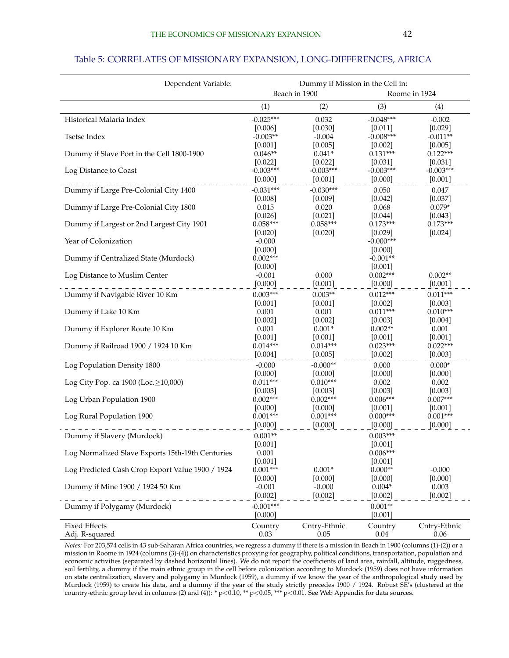<span id="page-42-0"></span>

| Dependent Variable:                              | Dummy if Mission in the Cell in: |                       |                       |                       |  |
|--------------------------------------------------|----------------------------------|-----------------------|-----------------------|-----------------------|--|
|                                                  |                                  | Beach in 1900         | Roome in 1924         |                       |  |
|                                                  | (1)                              | (2)                   | (3)                   | (4)                   |  |
| Historical Malaria Index                         | $-0.025***$                      | 0.032                 | $-0.048***$           | $-0.002$              |  |
|                                                  | [0.006]                          | [0.030]               | [0.011]               | [0.029]               |  |
| <b>Tsetse Index</b>                              | $-0.003**$                       | $-0.004$              | $-0.008***$           | $-0.011**$            |  |
|                                                  | [0.001]<br>$0.046**$             | [0.005]               | [0.002]<br>$0.131***$ | [0.005]<br>$0.122***$ |  |
| Dummy if Slave Port in the Cell 1800-1900        | [0.022]                          | $0.041*$<br>[0.022]   | [0.031]               | [0.031]               |  |
| Log Distance to Coast                            | $-0.003***$                      | $-0.003***$           | $-0.003***$           | $-0.003***$           |  |
|                                                  | [0.000]                          | [0.001]               | [0.000]               | [0.001]               |  |
| Dummy if Large Pre-Colonial City 1400            | $-0.031***$                      | $-0.030***$           | 0.050                 | 0.047                 |  |
|                                                  | [0.008]                          | [0.009]               | [0.042]               | [0.037]               |  |
| Dummy if Large Pre-Colonial City 1800            | 0.015                            | 0.020                 | 0.068                 | $0.079*$              |  |
|                                                  | [0.026]                          | [0.021]               | [0.044]               | [0.043]               |  |
| Dummy if Largest or 2nd Largest City 1901        | $0.058***$                       | $0.058***$            | $0.173***$            | $0.173***$            |  |
|                                                  | [0.020]                          | [0.020]               | [0.029]               | [0.024]               |  |
| Year of Colonization                             | $-0.000$                         |                       | $-0.000***$           |                       |  |
|                                                  | [0.000]                          |                       | [0.000]               |                       |  |
| Dummy if Centralized State (Murdock)             | $0.002***$                       |                       | $-0.001**$            |                       |  |
| Log Distance to Muslim Center                    | [0.000]<br>$-0.001$              | 0.000                 | [0.001]<br>$0.002***$ | $0.002**$             |  |
|                                                  | [0.000]                          | [0.001]               | [0.000]               | [0.001]               |  |
| Dummy if Navigable River 10 Km                   | $0.003***$                       | $0.003**$             | $0.012***$            | $0.011***$            |  |
|                                                  | [0.001]                          | [0.001]               | [0.002]               | [0.003]               |  |
| Dummy if Lake 10 Km                              | 0.001                            | 0.001                 | $0.011***$            | $0.010***$            |  |
|                                                  | [0.002]                          | $[0.002]$             | [0.003]               | [0.004]               |  |
| Dummy if Explorer Route 10 Km                    | 0.001                            | $0.001*$              | $0.002**$             | 0.001                 |  |
|                                                  | [0.001]                          | [0.001]               | [0.001]               | [0.001]               |  |
| Dummy if Railroad 1900 / 1924 10 Km              | $0.014***$                       | $0.014***$            | $0.023***$            | $0.022***$            |  |
|                                                  | [0.004]                          | [0.005]               | [0.002]               | [0.003]               |  |
| Log Population Density 1800                      | $-0.000$                         | $-0.000**$            | 0.000                 | $0.000*$              |  |
|                                                  | [0.000]                          | [0.000]               | [0.000]               | [0.000]               |  |
| Log City Pop. ca 1900 (Loc.≥10,000)              | $0.011***$                       | $0.010***$            | 0.002<br>[0.003]      | 0.002                 |  |
| Log Urban Population 1900                        | [0.003]<br>$0.002***$            | [0.003]<br>$0.002***$ | $0.006***$            | [0.003]<br>$0.007***$ |  |
|                                                  | [0.000]                          | [0.000]               | [0.001]               | $[0.001]$             |  |
| Log Rural Population 1900                        | $0.001***$                       | $0.001***$            | $0.000***$            | $0.001***$            |  |
|                                                  | [0.000]                          | [0.000]               | [0.000]               | [0.000]               |  |
| Dummy if Slavery (Murdock)                       | $0.001**$                        |                       | $0.003***$            |                       |  |
|                                                  | [0.001]                          |                       | [0.001]               |                       |  |
| Log Normalized Slave Exports 15th-19th Centuries | 0.001                            |                       | $0.006***$            |                       |  |
|                                                  | [0.001]                          |                       | [0.001]               |                       |  |
| Log Predicted Cash Crop Export Value 1900 / 1924 | $0.001***$                       | $0.001*$              | $0.000**$             | $-0.000$              |  |
|                                                  | [0.000]                          | [0.000]               | [0.000]               | [0.000]               |  |
| Dummy if Mine 1900 / 1924 50 Km                  | $-0.001$                         | $-0.000$              | $0.004*$              | 0.003                 |  |
|                                                  | [0.002]                          | [0.002]               | [0.002]               | [0.002]               |  |
| Dummy if Polygamy (Murdock)                      | $-0.001***$                      |                       | $0.001**$             |                       |  |
|                                                  | [0.000]                          |                       | $[0.001]$             |                       |  |
| <b>Fixed Effects</b>                             | Country                          | Cntry-Ethnic          | Country               | Cntry-Ethnic          |  |
| Adj. R-squared                                   | 0.03                             | 0.05                  | 0.04                  | 0.06                  |  |

*Notes:* For 203,574 cells in 43 sub-Saharan Africa countries, we regress a dummy if there is a mission in Beach in 1900 (columns (1)-(2)) or a mission in Roome in 1924 (columns (3)-(4)) on characteristics proxying for geography, political conditions, transportation, population and economic activities (separated by dashed horizontal lines). We do not report the coefficients of land area, rainfall, altitude, ruggedness, soil fertility, a dummy if the main ethnic group in the cell before colonization according to Murdock (1959) does not have information on state centralization, slavery and polygamy in Murdock (1959), a dummy if we know the year of the anthropological study used by Murdock (1959) to create his data, and a dummy if the year of the study strictly precedes 1900 / 1924. Robust SE's (clustered at the country-ethnic group level in columns (2) and (4)):  $*$  p<0.10,  $**$  p<0.05,  $***$  p<0.01. See Web Appendix for data sources.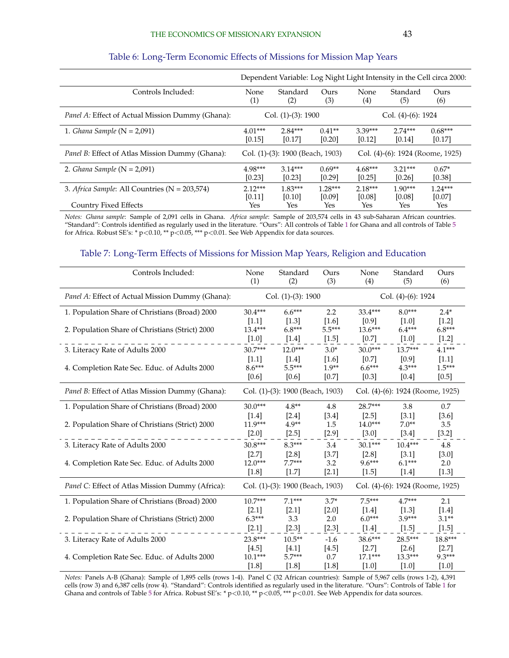<span id="page-43-0"></span>

|                                                         | Dependent Variable: Log Night Light Intensity in the Cell circa 2000: |                                  |           |                                  |           |           |
|---------------------------------------------------------|-----------------------------------------------------------------------|----------------------------------|-----------|----------------------------------|-----------|-----------|
| Controls Included:                                      | None                                                                  | Standard                         | Ours      | None                             | Standard  | Ours      |
|                                                         | $\left( 1\right)$                                                     | (2)                              | (3)       | (4)                              | (5)       | (6)       |
| <i>Panel A:</i> Effect of Actual Mission Dummy (Ghana): | Col. $(1)-(3)$ : 1900<br>Col. $(4)-(6)$ : 1924                        |                                  |           |                                  |           |           |
| 1. Ghana Sample $(N = 2,091)$                           | $4.01***$                                                             | $2.84***$                        | $0.41**$  | $3.39***$                        | $2.74***$ | $0.68***$ |
|                                                         | [0.15]                                                                | [0.17]                           | [0.20]    | [0.12]                           | [0.14]    | [0.17]    |
| <i>Panel B:</i> Effect of Atlas Mission Dummy (Ghana):  |                                                                       | Col. (1)-(3): 1900 (Beach, 1903) |           | Col. (4)-(6): 1924 (Roome, 1925) |           |           |
| 2. Ghana Sample ( $N = 2,091$ )                         | $4.98***$                                                             | $3.14***$                        | $0.69**$  | $4.68***$                        | $3.21***$ | $0.67*$   |
|                                                         | [0.23]                                                                | [0.23]                           | [0.29]    | [0.25]                           | [0.26]    | [0.38]    |
| 3. Africa Sample: All Countries (N = 203,574)           | $2.12***$                                                             | $1.83***$                        | $1.28***$ | $2.18***$                        | $1.90***$ | $1.24***$ |
|                                                         | [0.11]                                                                | [0.10]                           | [0.09]    | [0.08]                           | [0.08]    | [0.07]    |
| <b>Country Fixed Effects</b>                            | Yes                                                                   | Yes                              | Yes       | Yes                              | Yes       | Yes       |

#### Table 6: Long-Term Economic Effects of Missions for Mission Map Years

*Notes: Ghana sample*: Sample of 2,091 cells in Ghana. *Africa sample*: Sample of 203,574 cells in 43 sub-Saharan African countries. "Standard": Controls identified as regularly used in the literature. "Ours": All controls of Table [1](#page-39-0) for Ghana and all controls of Table [5](#page-42-0) for Africa. Robust SE's: \* p<0.10, \*\*  $p$  <0.05, \*\*\* p<0.01. See Web Appendix for data sources.

#### Table 7: Long-Term Effects of Missions for Mission Map Years, Religion and Education

| Controls Included:                               | None<br>(1)           | Standard<br>(2)                  | Ours<br>(3) | None<br>(4)        | Standard<br>(5)                  | Ours<br>(6) |
|--------------------------------------------------|-----------------------|----------------------------------|-------------|--------------------|----------------------------------|-------------|
| Panel A: Effect of Actual Mission Dummy (Ghana): | Col. $(1)-(3)$ : 1900 |                                  |             |                    | Col. $(4)-(6)$ : 1924            |             |
| 1. Population Share of Christians (Broad) 2000   | $30.4***$             | $6.6***$                         | 2.2         | $33.4***$          | $8.0***$                         | $2.4*$      |
|                                                  | $[1.1]$               | $[1.3]$                          | $[1.6]$     | [0.9]              | $[1.0]$                          | $[1.2]$     |
| 2. Population Share of Christians (Strict) 2000  | 13.4***               | $6.8***$                         | $5.5***$    | $13.6***$          | $6.4***$                         | $6.8***$    |
|                                                  | $[1.0]$               | $[1.4]$                          | $[1.5]$     | $[0.7]$            | $[1.0]$                          | $[1.2]$     |
| 3. Literacy Rate of Adults 2000                  | $30.7***$             | $12.0***$                        | $3.0*$      | $30.0***$          | $13.7***$                        | $4.1***$    |
|                                                  | $[1.1]$               | $\left[1.4\right]$               | [1.6]       | [0.7]              | [0.9]                            | $[1.1]$     |
| 4. Completion Rate Sec. Educ. of Adults 2000     | $8.6***$              | $5.5***$                         | $1.9**$     | $6.6***$           | $4.3***$                         | $1.5***$    |
|                                                  | $[0.6]$               | $[0.6]$                          | $[0.7]$     | $[0.3]$            | $[0.4]$                          | $[0.5]$     |
| Panel B: Effect of Atlas Mission Dummy (Ghana):  |                       | Col. (1)-(3): 1900 (Beach, 1903) |             |                    | Col. (4)-(6): 1924 (Roome, 1925) |             |
| 1. Population Share of Christians (Broad) 2000   | $30.0***$             | $4.8**$                          | 4.8         | 28.7***            | 3.8                              | 0.7         |
|                                                  | [1.4]                 | $[2.4]$                          | $[3.4]$     | $[2.5]$            | [3.1]                            | $[3.6]$     |
| 2. Population Share of Christians (Strict) 2000  | 11.9***               | $4.9**$                          | 1.5         | $14.0***$          | $7.0**$                          | 3.5         |
|                                                  | $[2.0]$               | $[2.5]$                          | $[2.9]$     | $[3.0]$            | $[3.4]$                          | $[3.2]$     |
| 3. Literacy Rate of Adults 2000                  | $30.8***$             | $8.3***$                         | 3.4         | $30.1***$          | $10.4***$                        | 4.8         |
|                                                  | $[2.7]$               | $[2.8]$                          | $[3.7]$     | $[2.8]$            | $[3.1]$                          | $[3.0]$     |
| 4. Completion Rate Sec. Educ. of Adults 2000     | $12.0***$             | $7.7***$                         | 3.2         | $9.6***$           | $6.1***$                         | 2.0         |
|                                                  | $[1.8]$               | $[1.7]$                          | $[2.1]$     | $[1.5]$            | $[1.4]$                          | $[1.3]$     |
| Panel C: Effect of Atlas Mission Dummy (Africa): |                       | Col. (1)-(3): 1900 (Beach, 1903) |             |                    | Col. (4)-(6): 1924 (Roome, 1925) |             |
| 1. Population Share of Christians (Broad) 2000   | $10.7***$             | $7.1***$                         | $3.7*$      | $7.5***$           | $4.7***$                         | 2.1         |
|                                                  | $[2.1]$               | $[2.1]$                          | $[2.0]$     | $\left[1.4\right]$ | $[1.3]$                          | $[1.4]$     |
| 2. Population Share of Christians (Strict) 2000  | $6.3***$              | 3.3                              | 2.0         | $6.0***$           | $3.9***$                         | $3.1**$     |
|                                                  | $[2.1]$               | $[2.3]$                          | $[2.3]$     | $[1.4]$            | $[1.5]$                          | $[1.5]$     |
| 3. Literacy Rate of Adults 2000                  | 23.8***               | $10.5**$                         | $-1.6$      | 38.6***            | 28.5***                          | $18.8***$   |
|                                                  | [4.5]                 | [4.1]                            | $[4.5]$     | $[2.7]$            | $[2.6]$                          | $[2.7]$     |
| 4. Completion Rate Sec. Educ. of Adults 2000     | $10.1***$             | $5.7***$                         | 0.7         | $17.1***$          | $13.3***$                        | $9.3***$    |
|                                                  | $[1.8]$               | [1.8]                            | $[1.8]$     | $[1.0]$            | $[1.0]$                          | $[1.0]$     |

*Notes:* Panels A-B (Ghana): Sample of 1,895 cells (rows 1-4). Panel C (32 African countries): Sample of 5,967 cells (rows 1-2), 4,391 cells (row 3) and 6,387 cells (row 4). "Standard": Controls identified as regularly used in the literature. "Ours": Controls of Table [1](#page-39-0) for Ghana and controls of Table [5](#page-42-0) for Africa. Robust SE's: \* p<0.10, \*\* p<0.05, \*\*\* p<0.01. See Web Appendix for data sources.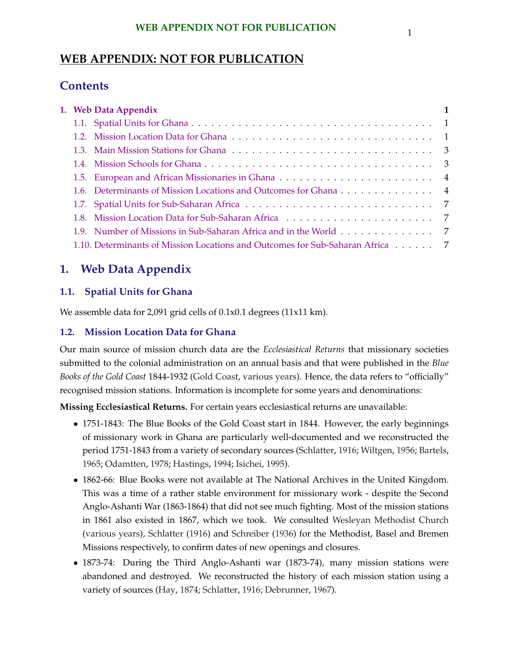## **WEB APPENDIX NOT FOR PUBLICATION** 1

## **WEB APPENDIX: NOT FOR PUBLICATION**

## **Contents**

|  | 1. Web Data Appendix                                                          |  |
|--|-------------------------------------------------------------------------------|--|
|  |                                                                               |  |
|  |                                                                               |  |
|  |                                                                               |  |
|  |                                                                               |  |
|  |                                                                               |  |
|  |                                                                               |  |
|  |                                                                               |  |
|  |                                                                               |  |
|  | 1.9. Number of Missions in Sub-Saharan Africa and in the World 7              |  |
|  | 1.10. Determinants of Mission Locations and Outcomes for Sub-Saharan Africa 7 |  |

## **1. Web Data Appendix**

## **1.1. Spatial Units for Ghana**

We assemble data for 2,091 grid cells of 0.1x0.1 degrees (11x11 km).

## **1.2. Mission Location Data for Ghana**

Our main source of mission church data are the *Ecclesiastical Returns* that missionary societies submitted to the colonial administration on an annual basis and that were published in the *Blue Books of the Gold Coast* 1844-1932 [\(Gold Coast,](#page-54-0) [various years\)](#page-54-0). Hence, the data refers to "officially" recognised mission stations. Information is incomplete for some years and denominations:

**Missing Ecclesiastical Returns.** For certain years ecclesiastical returns are unavailable:

- 1751-1843: The Blue Books of the Gold Coast start in 1844. However, the early beginnings of missionary work in Ghana are particularly well-documented and we reconstructed the period 1751-1843 from a variety of secondary sources [\(Schlatter,](#page-56-0) [1916;](#page-56-0) [Wiltgen,](#page-56-0) [1956;](#page-56-0) [Bartels,](#page-53-0) [1965;](#page-53-0) [Odamtten,](#page-55-0) [1978;](#page-55-0) [Hastings,](#page-54-0) [1994;](#page-54-0) [Isichei,](#page-54-0) [1995\)](#page-54-0).
- 1862-66: Blue Books were not available at The National Archives in the United Kingdom. This was a time of a rather stable environment for missionary work - despite the Second Anglo-Ashanti War (1863-1864) that did not see much fighting. Most of the mission stations in 1861 also existed in 1867, which we took. We consulted [Wesleyan Methodist Church](#page-56-0) [\(various years\)](#page-56-0), [Schlatter](#page-56-0) [\(1916\)](#page-56-0) and [Schreiber](#page-56-0) [\(1936\)](#page-56-0) for the Methodist, Basel and Bremen Missions respectively, to confirm dates of new openings and closures.
- 1873-74: During the Third Anglo-Ashanti war (1873-74), many mission stations were abandoned and destroyed. We reconstructed the history of each mission station using a variety of sources [\(Hay,](#page-54-0) [1874;](#page-54-0) [Schlatter,](#page-56-0) [1916;](#page-56-0) [Debrunner,](#page-54-0) [1967\)](#page-54-0).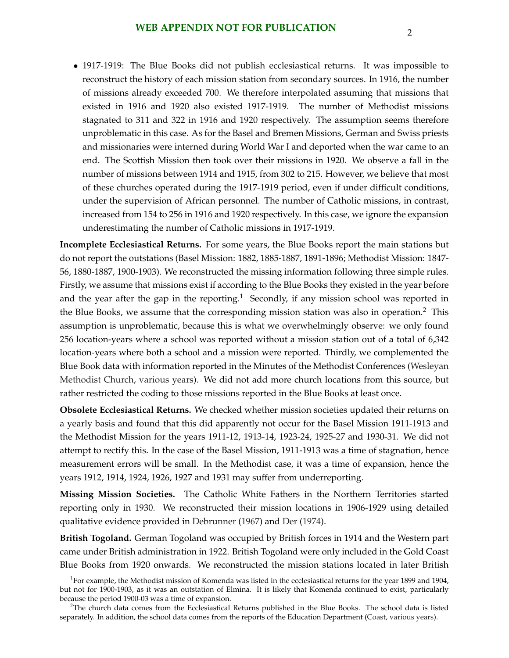• 1917-1919: The Blue Books did not publish ecclesiastical returns. It was impossible to reconstruct the history of each mission station from secondary sources. In 1916, the number of missions already exceeded 700. We therefore interpolated assuming that missions that existed in 1916 and 1920 also existed 1917-1919. The number of Methodist missions stagnated to 311 and 322 in 1916 and 1920 respectively. The assumption seems therefore unproblematic in this case. As for the Basel and Bremen Missions, German and Swiss priests and missionaries were interned during World War I and deported when the war came to an end. The Scottish Mission then took over their missions in 1920. We observe a fall in the number of missions between 1914 and 1915, from 302 to 215. However, we believe that most of these churches operated during the 1917-1919 period, even if under difficult conditions, under the supervision of African personnel. The number of Catholic missions, in contrast, increased from 154 to 256 in 1916 and 1920 respectively. In this case, we ignore the expansion underestimating the number of Catholic missions in 1917-1919.

**Incomplete Ecclesiastical Returns.** For some years, the Blue Books report the main stations but do not report the outstations (Basel Mission: 1882, 1885-1887, 1891-1896; Methodist Mission: 1847- 56, 1880-1887, 1900-1903). We reconstructed the missing information following three simple rules. Firstly, we assume that missions exist if according to the Blue Books they existed in the year before and the year after the gap in the reporting.<sup>1</sup> Secondly, if any mission school was reported in the Blue Books, we assume that the corresponding mission station was also in operation.<sup>2</sup> This assumption is unproblematic, because this is what we overwhelmingly observe: we only found 256 location-years where a school was reported without a mission station out of a total of 6,342 location-years where both a school and a mission were reported. Thirdly, we complemented the Blue Book data with information reported in the Minutes of the Methodist Conferences [\(Wesleyan](#page-56-0) [Methodist Church,](#page-56-0) [various years\)](#page-56-0). We did not add more church locations from this source, but rather restricted the coding to those missions reported in the Blue Books at least once.

**Obsolete Ecclesiastical Returns.** We checked whether mission societies updated their returns on a yearly basis and found that this did apparently not occur for the Basel Mission 1911-1913 and the Methodist Mission for the years 1911-12, 1913-14, 1923-24, 1925-27 and 1930-31. We did not attempt to rectify this. In the case of the Basel Mission, 1911-1913 was a time of stagnation, hence measurement errors will be small. In the Methodist case, it was a time of expansion, hence the years 1912, 1914, 1924, 1926, 1927 and 1931 may suffer from underreporting.

**Missing Mission Societies.** The Catholic White Fathers in the Northern Territories started reporting only in 1930. We reconstructed their mission locations in 1906-1929 using detailed qualitative evidence provided in [Debrunner](#page-54-0) [\(1967\)](#page-54-0) and [Der](#page-54-0) [\(1974\)](#page-54-0).

**British Togoland.** German Togoland was occupied by British forces in 1914 and the Western part came under British administration in 1922. British Togoland were only included in the Gold Coast Blue Books from 1920 onwards. We reconstructed the mission stations located in later British

 $^1$ For example, the Methodist mission of Komenda was listed in the ecclesiastical returns for the year 1899 and 1904, but not for 1900-1903, as it was an outstation of Elmina. It is likely that Komenda continued to exist, particularly because the period 1900-03 was a time of expansion.

<sup>&</sup>lt;sup>2</sup>The church data comes from the Ecclesiastical Returns published in the Blue Books. The school data is listed separately. In addition, the school data comes from the reports of the Education Department [\(Coast,](#page-54-0) [various years\)](#page-54-0).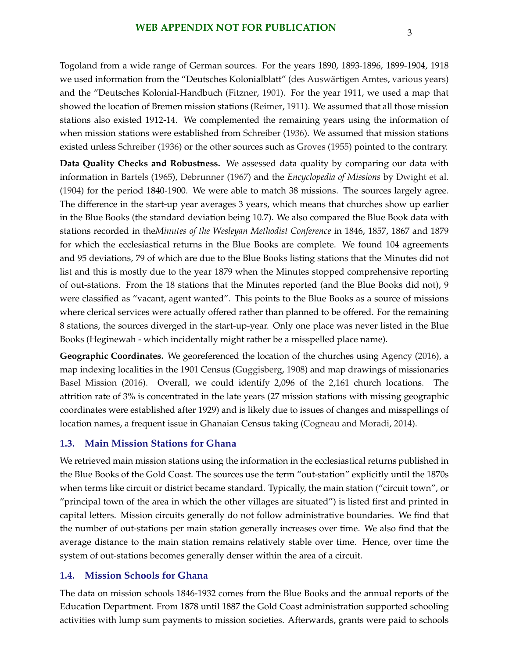<span id="page-46-0"></span>Togoland from a wide range of German sources. For the years 1890, 1893-1896, 1899-1904, 1918 we used information from the "Deutsches Kolonialblatt" (des Auswärtigen Amtes, [various years\)](#page-54-0) and the "Deutsches Kolonial-Handbuch [\(Fitzner,](#page-54-0) [1901\)](#page-54-0). For the year 1911, we used a map that showed the location of Bremen mission stations [\(Reimer,](#page-55-0) [1911\)](#page-55-0). We assumed that all those mission stations also existed 1912-14. We complemented the remaining years using the information of when mission stations were established from [Schreiber](#page-56-0) [\(1936\)](#page-56-0). We assumed that mission stations existed unless [Schreiber](#page-56-0) [\(1936\)](#page-56-0) or the other sources such as [Groves](#page-54-0) [\(1955\)](#page-54-0) pointed to the contrary.

**Data Quality Checks and Robustness.** We assessed data quality by comparing our data with information in [Bartels](#page-53-0) [\(1965\)](#page-53-0), [Debrunner](#page-54-0) [\(1967\)](#page-54-0) and the *Encyclopedia of Missions* by [Dwight et al.](#page-54-0) [\(1904\)](#page-54-0) for the period 1840-1900. We were able to match 38 missions. The sources largely agree. The difference in the start-up year averages 3 years, which means that churches show up earlier in the Blue Books (the standard deviation being 10.7). We also compared the Blue Book data with stations recorded in the*Minutes of the Wesleyan Methodist Conference* in 1846, 1857, 1867 and 1879 for which the ecclesiastical returns in the Blue Books are complete. We found 104 agreements and 95 deviations, 79 of which are due to the Blue Books listing stations that the Minutes did not list and this is mostly due to the year 1879 when the Minutes stopped comprehensive reporting of out-stations. From the 18 stations that the Minutes reported (and the Blue Books did not), 9 were classified as "vacant, agent wanted". This points to the Blue Books as a source of missions where clerical services were actually offered rather than planned to be offered. For the remaining 8 stations, the sources diverged in the start-up-year. Only one place was never listed in the Blue Books (Heginewah - which incidentally might rather be a misspelled place name).

Geographic Coordinates. We georeferenced the location of the churches using [Agency](#page-53-0) [\(2016\)](#page-53-0), a map indexing localities in the 1901 Census [\(Guggisberg,](#page-54-0) [1908\)](#page-54-0) and map drawings of missionaries [Basel Mission](#page-53-0) [\(2016\)](#page-53-0). Overall, we could identify 2,096 of the 2,161 church locations. The attrition rate of 3% is concentrated in the late years (27 mission stations with missing geographic coordinates were established after 1929) and is likely due to issues of changes and misspellings of location names, a frequent issue in Ghanaian Census taking [\(Cogneau and Moradi,](#page-54-0) [2014\)](#page-54-0).

### **1.3. Main Mission Stations for Ghana**

We retrieved main mission stations using the information in the ecclesiastical returns published in the Blue Books of the Gold Coast. The sources use the term "out-station" explicitly until the 1870s when terms like circuit or district became standard. Typically, the main station ("circuit town", or "principal town of the area in which the other villages are situated") is listed first and printed in capital letters. Mission circuits generally do not follow administrative boundaries. We find that the number of out-stations per main station generally increases over time. We also find that the average distance to the main station remains relatively stable over time. Hence, over time the system of out-stations becomes generally denser within the area of a circuit.

### **1.4. Mission Schools for Ghana**

The data on mission schools 1846-1932 comes from the Blue Books and the annual reports of the Education Department. From 1878 until 1887 the Gold Coast administration supported schooling activities with lump sum payments to mission societies. Afterwards, grants were paid to schools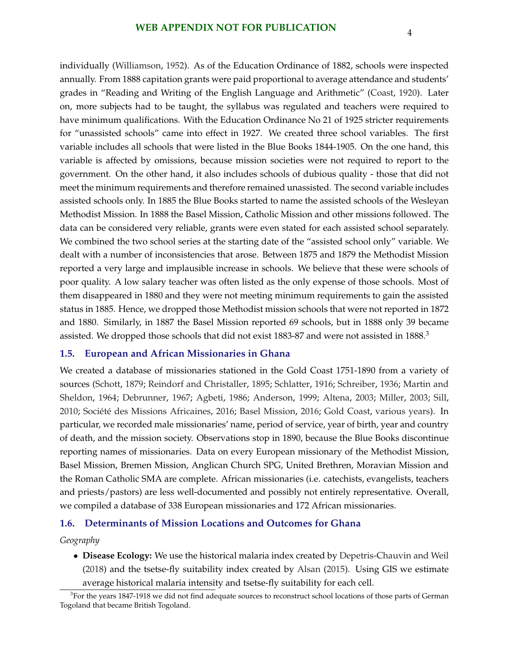<span id="page-47-0"></span>individually [\(Williamson,](#page-56-0) [1952\)](#page-56-0). As of the Education Ordinance of 1882, schools were inspected annually. From 1888 capitation grants were paid proportional to average attendance and students' grades in "Reading and Writing of the English Language and Arithmetic" [\(Coast,](#page-54-0) [1920\)](#page-54-0). Later on, more subjects had to be taught, the syllabus was regulated and teachers were required to have minimum qualifications. With the Education Ordinance No 21 of 1925 stricter requirements for "unassisted schools" came into effect in 1927. We created three school variables. The first variable includes all schools that were listed in the Blue Books 1844-1905. On the one hand, this variable is affected by omissions, because mission societies were not required to report to the government. On the other hand, it also includes schools of dubious quality - those that did not meet the minimum requirements and therefore remained unassisted. The second variable includes assisted schools only. In 1885 the Blue Books started to name the assisted schools of the Wesleyan Methodist Mission. In 1888 the Basel Mission, Catholic Mission and other missions followed. The data can be considered very reliable, grants were even stated for each assisted school separately. We combined the two school series at the starting date of the "assisted school only" variable. We dealt with a number of inconsistencies that arose. Between 1875 and 1879 the Methodist Mission reported a very large and implausible increase in schools. We believe that these were schools of poor quality. A low salary teacher was often listed as the only expense of those schools. Most of them disappeared in 1880 and they were not meeting minimum requirements to gain the assisted status in 1885. Hence, we dropped those Methodist mission schools that were not reported in 1872 and 1880. Similarly, in 1887 the Basel Mission reported 69 schools, but in 1888 only 39 became assisted. We dropped those schools that did not exist 1883-87 and were not assisted in 1888.<sup>3</sup>

#### **1.5. European and African Missionaries in Ghana**

We created a database of missionaries stationed in the Gold Coast 1751-1890 from a variety of sources [\(Schott,](#page-56-0) [1879;](#page-56-0) [Reindorf and Christaller,](#page-55-0) [1895;](#page-55-0) [Schlatter,](#page-56-0) [1916;](#page-56-0) [Schreiber,](#page-56-0) [1936;](#page-56-0) [Martin and](#page-55-0) [Sheldon,](#page-55-0) [1964;](#page-55-0) [Debrunner,](#page-54-0) [1967;](#page-54-0) [Agbeti,](#page-53-0) [1986;](#page-53-0) [Anderson,](#page-53-0) [1999;](#page-53-0) [Altena,](#page-53-0) [2003;](#page-53-0) [Miller,](#page-55-0) [2003;](#page-55-0) [Sill,](#page-56-0) [2010;](#page-56-0) Société des Missions Africaines, [2016;](#page-53-0) [Basel Mission,](#page-53-0) 2016; [Gold Coast,](#page-54-0) [various years\)](#page-54-0). In particular, we recorded male missionaries' name, period of service, year of birth, year and country of death, and the mission society. Observations stop in 1890, because the Blue Books discontinue reporting names of missionaries. Data on every European missionary of the Methodist Mission, Basel Mission, Bremen Mission, Anglican Church SPG, United Brethren, Moravian Mission and the Roman Catholic SMA are complete. African missionaries (i.e. catechists, evangelists, teachers and priests/pastors) are less well-documented and possibly not entirely representative. Overall, we compiled a database of 338 European missionaries and 172 African missionaries.

#### **1.6. Determinants of Mission Locations and Outcomes for Ghana**

#### *Geography*

• **Disease Ecology:** We use the historical malaria index created by [Depetris-Chauvin and Weil](#page-54-0) [\(2018\)](#page-54-0) and the tsetse-fly suitability index created by [Alsan](#page-53-0) [\(2015\)](#page-53-0). Using GIS we estimate average historical malaria intensity and tsetse-fly suitability for each cell.

 $3$ For the years 1847-1918 we did not find adequate sources to reconstruct school locations of those parts of German Togoland that became British Togoland.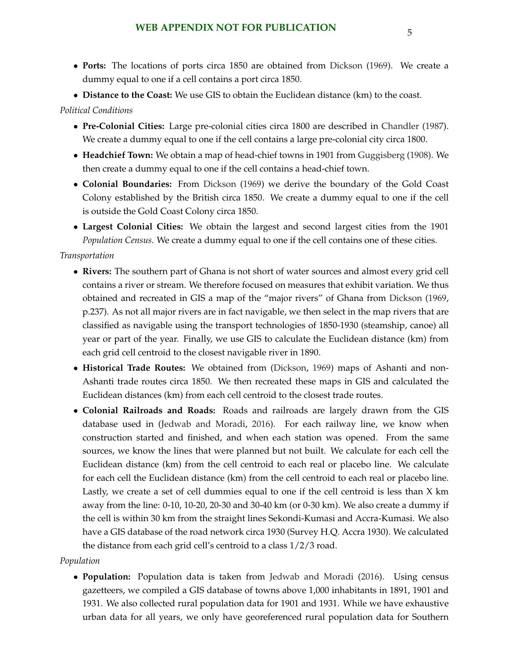- **Ports:** The locations of ports circa 1850 are obtained from [Dickson](#page-54-0) [\(1969\)](#page-54-0). We create a dummy equal to one if a cell contains a port circa 1850.
- **Distance to the Coast:** We use GIS to obtain the Euclidean distance (km) to the coast.

### *Political Conditions*

- **Pre-Colonial Cities:** Large pre-colonial cities circa 1800 are described in [Chandler](#page-54-0) [\(1987\)](#page-54-0). We create a dummy equal to one if the cell contains a large pre-colonial city circa 1800.
- **Headchief Town:** We obtain a map of head-chief towns in 1901 from [Guggisberg](#page-54-0) [\(1908\)](#page-54-0). We then create a dummy equal to one if the cell contains a head-chief town.
- **Colonial Boundaries:** From [Dickson](#page-54-0) [\(1969\)](#page-54-0) we derive the boundary of the Gold Coast Colony established by the British circa 1850. We create a dummy equal to one if the cell is outside the Gold Coast Colony circa 1850.
- **Largest Colonial Cities:** We obtain the largest and second largest cities from the 1901 *Population Census*. We create a dummy equal to one if the cell contains one of these cities.

#### *Transportation*

- **Rivers:** The southern part of Ghana is not short of water sources and almost every grid cell contains a river or stream. We therefore focused on measures that exhibit variation. We thus obtained and recreated in GIS a map of the "major rivers" of Ghana from [Dickson](#page-54-0) [\(1969,](#page-54-0) p.237). As not all major rivers are in fact navigable, we then select in the map rivers that are classified as navigable using the transport technologies of 1850-1930 (steamship, canoe) all year or part of the year. Finally, we use GIS to calculate the Euclidean distance (km) from each grid cell centroid to the closest navigable river in 1890.
- **Historical Trade Routes:** We obtained from [\(Dickson,](#page-54-0) [1969\)](#page-54-0) maps of Ashanti and non-Ashanti trade routes circa 1850. We then recreated these maps in GIS and calculated the Euclidean distances (km) from each cell centroid to the closest trade routes.
- **Colonial Railroads and Roads:** Roads and railroads are largely drawn from the GIS database used in [\(Jedwab and Moradi,](#page-54-0) [2016\)](#page-54-0). For each railway line, we know when construction started and finished, and when each station was opened. From the same sources, we know the lines that were planned but not built. We calculate for each cell the Euclidean distance (km) from the cell centroid to each real or placebo line. We calculate for each cell the Euclidean distance (km) from the cell centroid to each real or placebo line. Lastly, we create a set of cell dummies equal to one if the cell centroid is less than X km away from the line: 0-10, 10-20, 20-30 and 30-40 km (or 0-30 km). We also create a dummy if the cell is within 30 km from the straight lines Sekondi-Kumasi and Accra-Kumasi. We also have a GIS database of the road network circa 1930 (Survey H.Q. Accra 1930). We calculated the distance from each grid cell's centroid to a class 1/2/3 road.

#### *Population*

• **Population:** Population data is taken from [Jedwab and Moradi](#page-54-0) [\(2016\)](#page-54-0). Using census gazetteers, we compiled a GIS database of towns above 1,000 inhabitants in 1891, 1901 and 1931. We also collected rural population data for 1901 and 1931. While we have exhaustive urban data for all years, we only have georeferenced rural population data for Southern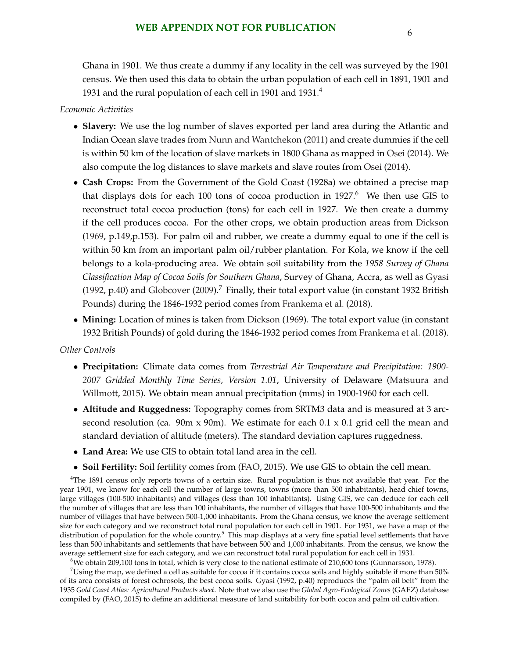Ghana in 1901. We thus create a dummy if any locality in the cell was surveyed by the 1901 census. We then used this data to obtain the urban population of each cell in 1891, 1901 and 1931 and the rural population of each cell in 1901 and  $1931<sup>4</sup>$ 

#### *Economic Activities*

- **Slavery:** We use the log number of slaves exported per land area during the Atlantic and Indian Ocean slave trades from [Nunn and Wantchekon](#page-55-0) [\(2011\)](#page-55-0) and create dummies if the cell is within 50 km of the location of slave markets in 1800 Ghana as mapped in [Osei](#page-55-0) [\(2014\)](#page-55-0). We also compute the log distances to slave markets and slave routes from [Osei](#page-55-0) [\(2014\)](#page-55-0).
- **Cash Crops:** From the Government of the Gold Coast (1928a) we obtained a precise map that displays dots for each 100 tons of cocoa production in  $1927.6$  We then use GIS to reconstruct total cocoa production (tons) for each cell in 1927. We then create a dummy if the cell produces cocoa. For the other crops, we obtain production areas from [Dickson](#page-54-0) [\(1969,](#page-54-0) p.149,p.153). For palm oil and rubber, we create a dummy equal to one if the cell is within 50 km from an important palm oil/rubber plantation. For Kola, we know if the cell belongs to a kola-producing area. We obtain soil suitability from the *1958 Survey of Ghana Classification Map of Cocoa Soils for Southern Ghana*, Survey of Ghana, Accra, as well as [Gyasi](#page-54-0) [\(1992,](#page-54-0) p.40) and [Globcover](#page-54-0) [\(2009\)](#page-54-0).<sup>7</sup> Finally, their total export value (in constant 1932 British Pounds) during the 1846-1932 period comes from [Frankema et al.](#page-54-0) [\(2018\)](#page-54-0).
- **Mining:** Location of mines is taken from [Dickson](#page-54-0) [\(1969\)](#page-54-0). The total export value (in constant 1932 British Pounds) of gold during the 1846-1932 period comes from [Frankema et al.](#page-54-0) [\(2018\)](#page-54-0).

#### *Other Controls*

- **Precipitation:** Climate data comes from *Terrestrial Air Temperature and Precipitation: 1900- 2007 Gridded Monthly Time Series, Version 1.01*, University of Delaware [\(Matsuura and](#page-55-0) [Willmott,](#page-55-0) [2015\)](#page-55-0). We obtain mean annual precipitation (mms) in 1900-1960 for each cell.
- **Altitude and Ruggedness:** Topography comes from SRTM3 data and is measured at 3 arcsecond resolution (ca. 90m x 90m). We estimate for each 0.1 x 0.1 grid cell the mean and standard deviation of altitude (meters). The standard deviation captures ruggedness.
- **Land Area:** We use GIS to obtain total land area in the cell.
- **Soil Fertility:** Soil fertility comes from [\(FAO,](#page-54-0) [2015\)](#page-54-0). We use GIS to obtain the cell mean.

<sup>4</sup>The 1891 census only reports towns of a certain size. Rural population is thus not available that year. For the year 1901, we know for each cell the number of large towns, towns (more than 500 inhabitants), head chief towns, large villages (100-500 inhabitants) and villages (less than 100 inhabitants). Using GIS, we can deduce for each cell the number of villages that are less than 100 inhabitants, the number of villages that have 100-500 inhabitants and the number of villages that have between 500-1,000 inhabitants. From the Ghana census, we know the average settlement size for each category and we reconstruct total rural population for each cell in 1901. For 1931, we have a map of the distribution of population for the whole country.<sup>5</sup> This map displays at a very fine spatial level settlements that have less than 500 inhabitants and settlements that have between 500 and 1,000 inhabitants. From the census, we know the average settlement size for each category, and we can reconstruct total rural population for each cell in 1931.

<sup>6</sup>We obtain 209,100 tons in total, which is very close to the national estimate of 210,600 tons [\(Gunnarsson,](#page-54-0) [1978\)](#page-54-0).

 $7$ Using the map, we defined a cell as suitable for cocoa if it contains cocoa soils and highly suitable if more than 50% of its area consists of forest ochrosols, the best cocoa soils. [Gyasi](#page-54-0) [\(1992,](#page-54-0) p.40) reproduces the "palm oil belt" from the 1935 *Gold Coast Atlas: Agricultural Products sheet*. Note that we also use the *Global Agro-Ecological Zones* (GAEZ) database compiled by [\(FAO,](#page-54-0) [2015\)](#page-54-0) to define an additional measure of land suitability for both cocoa and palm oil cultivation.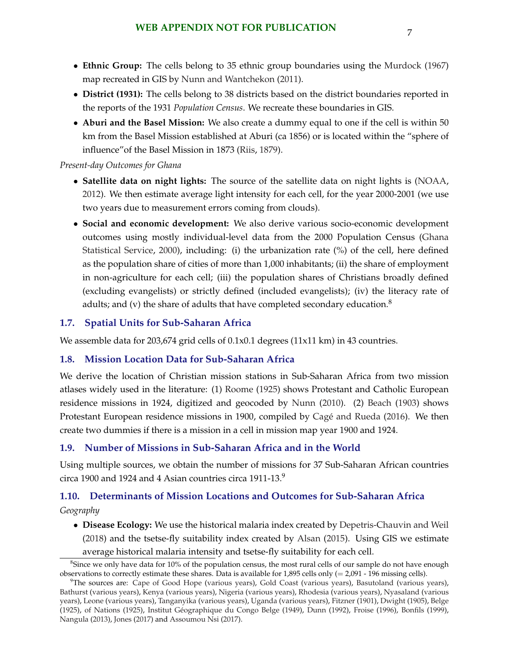- <span id="page-50-0"></span>• **Ethnic Group:** The cells belong to 35 ethnic group boundaries using the [Murdock](#page-55-0) [\(1967\)](#page-55-0) map recreated in GIS by [Nunn and Wantchekon](#page-55-0) [\(2011\)](#page-55-0).
- **District (1931):** The cells belong to 38 districts based on the district boundaries reported in the reports of the 1931 *Population Census*. We recreate these boundaries in GIS.
- **Aburi and the Basel Mission:** We also create a dummy equal to one if the cell is within 50 km from the Basel Mission established at Aburi (ca 1856) or is located within the "sphere of influence"of the Basel Mission in 1873 [\(Riis,](#page-56-0) [1879\)](#page-56-0).

### *Present-day Outcomes for Ghana*

- **Satellite data on night lights:** The source of the satellite data on night lights is [\(NOAA,](#page-55-0) [2012\)](#page-55-0). We then estimate average light intensity for each cell, for the year 2000-2001 (we use two years due to measurement errors coming from clouds).
- **Social and economic development:** We also derive various socio-economic development outcomes using mostly individual-level data from the 2000 Population Census [\(Ghana](#page-54-0) [Statistical Service,](#page-54-0) [2000\)](#page-54-0), including: (i) the urbanization rate (%) of the cell, here defined as the population share of cities of more than 1,000 inhabitants; (ii) the share of employment in non-agriculture for each cell; (iii) the population shares of Christians broadly defined (excluding evangelists) or strictly defined (included evangelists); (iv) the literacy rate of adults; and (v) the share of adults that have completed secondary education.<sup>8</sup>

## **1.7. Spatial Units for Sub-Saharan Africa**

We assemble data for 203,674 grid cells of 0.1x0.1 degrees (11x11 km) in 43 countries.

## **1.8. Mission Location Data for Sub-Saharan Africa**

We derive the location of Christian mission stations in Sub-Saharan Africa from two mission atlases widely used in the literature: (1) [Roome](#page-56-0) [\(1925\)](#page-56-0) shows Protestant and Catholic European residence missions in 1924, digitized and geocoded by [Nunn](#page-55-0) [\(2010\)](#page-55-0). (2) [Beach](#page-53-0) [\(1903\)](#page-53-0) shows Protestant European residence missions in 1900, compiled by Cagé and Rueda [\(2016\)](#page-53-0). We then create two dummies if there is a mission in a cell in mission map year 1900 and 1924.

## **1.9. Number of Missions in Sub-Saharan Africa and in the World**

Using multiple sources, we obtain the number of missions for 37 Sub-Saharan African countries circa 1900 and 1924 and 4 Asian countries circa 1911-13.9

## **1.10. Determinants of Mission Locations and Outcomes for Sub-Saharan Africa**

*Geography*

• **Disease Ecology:** We use the historical malaria index created by [Depetris-Chauvin and Weil](#page-54-0) [\(2018\)](#page-54-0) and the tsetse-fly suitability index created by [Alsan](#page-53-0) [\(2015\)](#page-53-0). Using GIS we estimate average historical malaria intensity and tsetse-fly suitability for each cell.

<sup>&</sup>lt;sup>8</sup>Since we only have data for 10% of the population census, the most rural cells of our sample do not have enough observations to correctly estimate these shares. Data is available for 1,895 cells only (= 2,091 - 196 missing cells).

<sup>9</sup>The sources are: [Cape of Good Hope](#page-54-0) [\(various years\)](#page-54-0), [Gold Coast](#page-54-0) [\(various years\)](#page-54-0), [Basutoland](#page-53-0) [\(various years\)](#page-53-0), [Bathurst](#page-53-0) [\(various years\)](#page-53-0), [Kenya](#page-55-0) [\(various years\)](#page-55-0), [Nigeria](#page-55-0) [\(various years\)](#page-55-0), [Rhodesia](#page-56-0) [\(various years\)](#page-56-0), [Nyasaland](#page-55-0) [\(various](#page-55-0) [years\)](#page-55-0), [Leone](#page-55-0) [\(various years\)](#page-55-0), [Tanganyika](#page-56-0) [\(various years\)](#page-56-0), [Uganda](#page-56-0) [\(various years\)](#page-56-0), [Fitzner](#page-54-0) [\(1901\)](#page-54-0), [Dwight](#page-54-0) [\(1905\)](#page-54-0), [Belge](#page-53-0) [\(1925\)](#page-55-0), [of Nations](#page-55-0) (1925), Institut Géographique du Congo Belge [\(1949\)](#page-54-0), [Dunn](#page-54-0) [\(1992\)](#page-54-0), [Froise](#page-54-0) [\(1996\)](#page-54-0), [Bonfils](#page-53-0) [\(1999\)](#page-53-0), [Nangula](#page-55-0) [\(2013\)](#page-55-0), [Jones](#page-54-0) [\(2017\)](#page-54-0) and [Assoumou Nsi](#page-55-0) [\(2017\)](#page-55-0).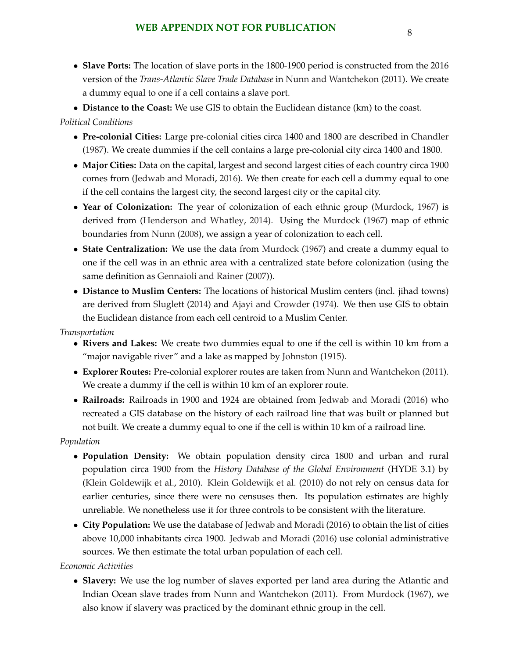• **Slave Ports:** The location of slave ports in the 1800-1900 period is constructed from the 2016 version of the *Trans-Atlantic Slave Trade Database* in [Nunn and Wantchekon](#page-55-0) [\(2011\)](#page-55-0). We create a dummy equal to one if a cell contains a slave port.

• **Distance to the Coast:** We use GIS to obtain the Euclidean distance (km) to the coast.

## *Political Conditions*

- **Pre-colonial Cities:** Large pre-colonial cities circa 1400 and 1800 are described in [Chandler](#page-54-0) [\(1987\)](#page-54-0). We create dummies if the cell contains a large pre-colonial city circa 1400 and 1800.
- **Major Cities:** Data on the capital, largest and second largest cities of each country circa 1900 comes from [\(Jedwab and Moradi,](#page-54-0) [2016\)](#page-54-0). We then create for each cell a dummy equal to one if the cell contains the largest city, the second largest city or the capital city.
- **Year of Colonization:** The year of colonization of each ethnic group [\(Murdock,](#page-55-0) [1967\)](#page-55-0) is derived from [\(Henderson and Whatley,](#page-54-0) [2014\)](#page-54-0). Using the [Murdock](#page-55-0) [\(1967\)](#page-55-0) map of ethnic boundaries from [Nunn](#page-55-0) [\(2008\)](#page-55-0), we assign a year of colonization to each cell.
- **State Centralization:** We use the data from [Murdock](#page-55-0) [\(1967\)](#page-55-0) and create a dummy equal to one if the cell was in an ethnic area with a centralized state before colonization (using the same definition as [Gennaioli and Rainer](#page-54-0) [\(2007\)](#page-54-0)).
- **Distance to Muslim Centers:** The locations of historical Muslim centers (incl. jihad towns) are derived from [Sluglett](#page-56-0) [\(2014\)](#page-56-0) and [Ajayi and Crowder](#page-53-0) [\(1974\)](#page-53-0). We then use GIS to obtain the Euclidean distance from each cell centroid to a Muslim Center.

## *Transportation*

- **Rivers and Lakes:** We create two dummies equal to one if the cell is within 10 km from a "major navigable river" and a lake as mapped by [Johnston](#page-54-0) [\(1915\)](#page-54-0).
- **Explorer Routes:** Pre-colonial explorer routes are taken from [Nunn and Wantchekon](#page-55-0) [\(2011\)](#page-55-0). We create a dummy if the cell is within 10 km of an explorer route.
- **Railroads:** Railroads in 1900 and 1924 are obtained from [Jedwab and Moradi](#page-54-0) [\(2016\)](#page-54-0) who recreated a GIS database on the history of each railroad line that was built or planned but not built. We create a dummy equal to one if the cell is within 10 km of a railroad line.

## *Population*

- **Population Density:** We obtain population density circa 1800 and urban and rural population circa 1900 from the *History Database of the Global Environment* (HYDE 3.1) by [\(Klein Goldewijk et al.,](#page-54-0) [2010\)](#page-54-0). [Klein Goldewijk et al.](#page-54-0) [\(2010\)](#page-54-0) do not rely on census data for earlier centuries, since there were no censuses then. Its population estimates are highly unreliable. We nonetheless use it for three controls to be consistent with the literature.
- **City Population:** We use the database of [Jedwab and Moradi](#page-54-0) [\(2016\)](#page-54-0) to obtain the list of cities above 10,000 inhabitants circa 1900. [Jedwab and Moradi](#page-54-0) [\(2016\)](#page-54-0) use colonial administrative sources. We then estimate the total urban population of each cell.

## *Economic Activities*

• **Slavery:** We use the log number of slaves exported per land area during the Atlantic and Indian Ocean slave trades from [Nunn and Wantchekon](#page-55-0) [\(2011\)](#page-55-0). From [Murdock](#page-55-0) [\(1967\)](#page-55-0), we also know if slavery was practiced by the dominant ethnic group in the cell.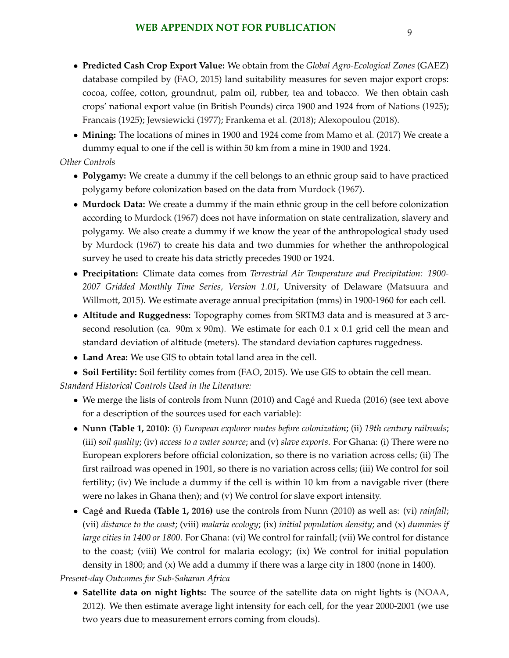- **Predicted Cash Crop Export Value:** We obtain from the *Global Agro-Ecological Zones* (GAEZ) database compiled by [\(FAO,](#page-54-0) [2015\)](#page-54-0) land suitability measures for seven major export crops: cocoa, coffee, cotton, groundnut, palm oil, rubber, tea and tobacco. We then obtain cash crops' national export value (in British Pounds) circa 1900 and 1924 from [of Nations](#page-55-0) [\(1925\)](#page-55-0); [Francais](#page-54-0) [\(1925\)](#page-54-0); [Jewsiewicki](#page-54-0) [\(1977\)](#page-54-0); [Frankema et al.](#page-54-0) [\(2018\)](#page-54-0); [Alexopoulou](#page-53-0) [\(2018\)](#page-53-0).
- **Mining:** The locations of mines in 1900 and 1924 come from [Mamo et al.](#page-55-0) [\(2017\)](#page-55-0) We create a dummy equal to one if the cell is within 50 km from a mine in 1900 and 1924.

### *Other Controls*

- **Polygamy:** We create a dummy if the cell belongs to an ethnic group said to have practiced polygamy before colonization based on the data from [Murdock](#page-55-0) [\(1967\)](#page-55-0).
- **Murdock Data:** We create a dummy if the main ethnic group in the cell before colonization according to [Murdock](#page-55-0) [\(1967\)](#page-55-0) does not have information on state centralization, slavery and polygamy. We also create a dummy if we know the year of the anthropological study used by [Murdock](#page-55-0) [\(1967\)](#page-55-0) to create his data and two dummies for whether the anthropological survey he used to create his data strictly precedes 1900 or 1924.
- **Precipitation:** Climate data comes from *Terrestrial Air Temperature and Precipitation: 1900- 2007 Gridded Monthly Time Series, Version 1.01*, University of Delaware [\(Matsuura and](#page-55-0) [Willmott,](#page-55-0) [2015\)](#page-55-0). We estimate average annual precipitation (mms) in 1900-1960 for each cell.
- **Altitude and Ruggedness:** Topography comes from SRTM3 data and is measured at 3 arcsecond resolution (ca. 90m x 90m). We estimate for each 0.1 x 0.1 grid cell the mean and standard deviation of altitude (meters). The standard deviation captures ruggedness.
- **Land Area:** We use GIS to obtain total land area in the cell.
- **Soil Fertility:** Soil fertility comes from [\(FAO,](#page-54-0) [2015\)](#page-54-0). We use GIS to obtain the cell mean.

*Standard Historical Controls Used in the Literature:*

- We merge the lists of controls from [Nunn](#page-55-0) [\(2010\)](#page-55-0) and Cagé and Rueda [\(2016\)](#page-53-0) (see text above for a description of the sources used for each variable):
- **[Nunn](#page-55-0) (Table 1, [2010\)](#page-55-0)**: (i) *European explorer routes before colonization*; (ii) *19th century railroads*; (iii) *soil quality*; (iv) *access to a water source*; and (v) *slave exports*. For Ghana: (i) There were no European explorers before official colonization, so there is no variation across cells; (ii) The first railroad was opened in 1901, so there is no variation across cells; (iii) We control for soil fertility; (iv) We include a dummy if the cell is within 10 km from a navigable river (there were no lakes in Ghana then); and (v) We control for slave export intensity.
- **[Cag´e and Rueda](#page-53-0) (Table 1, [2016\)](#page-53-0)** use the controls from [Nunn](#page-55-0) [\(2010\)](#page-55-0) as well as: (vi) *rainfall*; (vii) *distance to the coast*; (viii) *malaria ecology*; (ix) *initial population density*; and (x) *dummies if large cities in 1400 or 1800*. For Ghana: (vi) We control for rainfall; (vii) We control for distance to the coast; (viii) We control for malaria ecology; (ix) We control for initial population density in 1800; and  $(x)$  We add a dummy if there was a large city in 1800 (none in 1400).

### *Present-day Outcomes for Sub-Saharan Africa*

• **Satellite data on night lights:** The source of the satellite data on night lights is [\(NOAA,](#page-55-0) [2012\)](#page-55-0). We then estimate average light intensity for each cell, for the year 2000-2001 (we use two years due to measurement errors coming from clouds).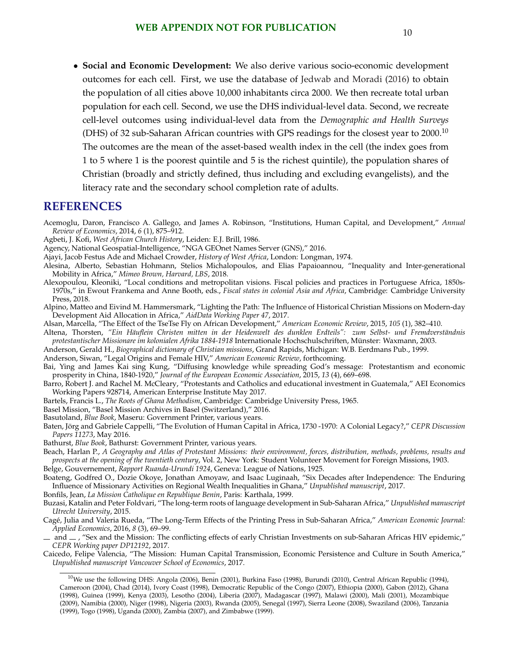<span id="page-53-0"></span>• **Social and Economic Development:** We also derive various socio-economic development outcomes for each cell. First, we use the database of [Jedwab and Moradi](#page-54-0) [\(2016\)](#page-54-0) to obtain the population of all cities above 10,000 inhabitants circa 2000. We then recreate total urban population for each cell. Second, we use the DHS individual-level data. Second, we recreate cell-level outcomes using individual-level data from the *Demographic and Health Surveys* (DHS) of 32 sub-Saharan African countries with GPS readings for the closest year to  $2000$ .<sup>10</sup> The outcomes are the mean of the asset-based wealth index in the cell (the index goes from 1 to 5 where 1 is the poorest quintile and 5 is the richest quintile), the population shares of Christian (broadly and strictly defined, thus including and excluding evangelists), and the literacy rate and the secondary school completion rate of adults.

## **REFERENCES**

- Acemoglu, Daron, Francisco A. Gallego, and James A. Robinson, "Institutions, Human Capital, and Development," *Annual Review of Economics*, 2014, *6* (1), 875–912.
- Agbeti, J. Kofi, *West African Church History*, Leiden: E.J. Brill, 1986.
- Agency, National Geospatial-Intelligence, "NGA GEOnet Names Server (GNS)," 2016.
- Ajayi, Jacob Festus Ade and Michael Crowder, *History of West Africa*, London: Longman, 1974.
- Alesina, Alberto, Sebastian Hohmann, Stelios Michalopoulos, and Elias Papaioannou, "Inequality and Inter-generational Mobility in Africa," *Mimeo Brown, Harvard, LBS*, 2018.
- Alexopoulou, Kleoniki, "Local conditions and metropolitan visions. Fiscal policies and practices in Portuguese Africa, 1850s-1970s," in Ewout Frankema and Anne Booth, eds., *Fiscal states in colonial Asia and Africa*, Cambridge: Cambridge University Press, 2018.
- Alpino, Matteo and Eivind M. Hammersmark, "Lighting the Path: The Influence of Historical Christian Missions on Modern-day Development Aid Allocation in Africa," *AidData Working Paper 47*, 2017.
- Alsan, Marcella, "The Effect of the TseTse Fly on African Development," *American Economic Review*, 2015, *105* (1), 382–410.
- Altena, Thorsten, "Ein Häuflein Christen mitten in der Heidenwelt des dunklen Erdteils": zum Selbst- und Fremdverständnis *protestantischer Missionare im kolonialen Afrika 1884-1918* Internationale Hochschulschriften, Munster: Waxmann, 2003. ¨
- Anderson, Gerald H., *Biographical dictionary of Christian missions*, Grand Rapids, Michigan: W.B. Eerdmans Pub., 1999.
- Anderson, Siwan, "Legal Origins and Female HIV," *American Economic Review*, forthcoming.
- Bai, Ying and James Kai sing Kung, "Diffusing knowledge while spreading God's message: Protestantism and economic prosperity in China, 1840-1920," *Journal of the European Economic Association*, 2015, *13* (4), 669–698.
- Barro, Robert J. and Rachel M. McCleary, "Protestants and Catholics and educational investment in Guatemala," AEI Economics Working Papers 928714, American Enterprise Institute May 2017.
- Bartels, Francis L., *The Roots of Ghana Methodism*, Cambridge: Cambridge University Press, 1965.
- Basel Mission, "Basel Mission Archives in Basel (Switzerland)," 2016.
- Basutoland, *Blue Book*, Maseru: Government Printer, various years.
- Baten, Jorg and Gabriele Cappelli, "The Evolution of Human Capital in Africa, 1730 -1970: A Colonial Legacy?," ¨ *CEPR Discussion Papers 11273*, May 2016.
- Bathurst, *Blue Book*, Bathurst: Government Printer, various years.
- Beach, Harlan P., *A Geography and Atlas of Protestant Missions: their environment, forces, distribution, methods, problems, results and prospects at the opening of the twentieth century*, Vol. 2, New York: Student Volunteer Movement for Foreign Missions, 1903.
- Belge, Gouvernement, *Rapport Ruanda-Urundi 1924*, Geneva: League of Nations, 1925.
- Boateng, Godfred O., Dozie Okoye, Jonathan Amoyaw, and Isaac Luginaah, "Six Decades after Independence: The Enduring Influence of Missionary Activities on Regional Wealth Inequalities in Ghana," *Unpublished manuscript*, 2017.
- Bonfils, Jean, *La Mission Catholique en Republique Benin*, Paris: Karthala, 1999.
- Buzasi, Katalin and Peter Foldvari, "The long-term roots of language development in Sub-Saharan Africa," *Unpublished manuscript Utrecht University*, 2015.
- Cage, Julia and Valeria Rueda, "The Long-Term Effects of the Printing Press in Sub-Saharan Africa," ´ *American Economic Journal: Applied Economics*, 2016, *8* (3), 69–99.
- $-$  and  $-$ , "Sex and the Mission: The conflicting effects of early Christian Investments on sub-Saharan Africas HIV epidemic," *CEPR Working paper DP12192*, 2017.
- Caicedo, Felipe Valencia, "The Mission: Human Capital Transmission, Economic Persistence and Culture in South America," *Unpublished manuscript Vancouver School of Economics*, 2017.
	- $10$ We use the following DHS: Angola (2006), Benin (2001), Burkina Faso (1998), Burundi (2010), Central African Republic (1994), Cameroon (2004), Chad (2014), Ivory Coast (1998), Democratic Republic of the Congo (2007), Ethiopia (2000), Gabon (2012), Ghana (1998), Guinea (1999), Kenya (2003), Lesotho (2004), Liberia (2007), Madagascar (1997), Malawi (2000), Mali (2001), Mozambique (2009), Namibia (2000), Niger (1998), Nigeria (2003), Rwanda (2005), Senegal (1997), Sierra Leone (2008), Swaziland (2006), Tanzania (1999), Togo (1998), Uganda (2000), Zambia (2007), and Zimbabwe (1999).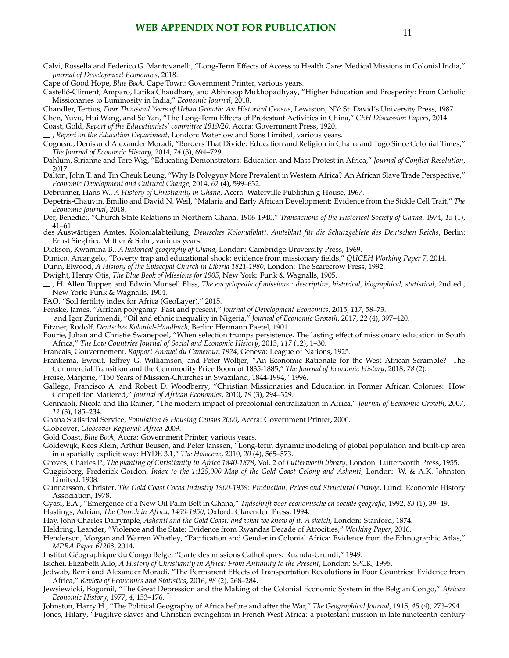<span id="page-54-0"></span>Calvi, Rossella and Federico G. Mantovanelli, "Long-Term Effects of Access to Health Care: Medical Missions in Colonial India," *Journal of Development Economics*, 2018.

Cape of Good Hope, *Blue Book*, Cape Town: Government Printer, various years.

Castelló-Climent, Amparo, Latika Chaudhary, and Abhiroop Mukhopadhyay, "Higher Education and Prosperity: From Catholic Missionaries to Luminosity in India," *Economic Journal*, 2018.

Chandler, Tertius, *Four Thousand Years of Urban Growth: An Historical Census*, Lewiston, NY: St. David's University Press, 1987.

Chen, Yuyu, Hui Wang, and Se Yan, "The Long-Term Effects of Protestant Activities in China," *CEH Discussion Papers*, 2014.

Coast, Gold, *Report of the Educationists' committee 1919/20*, Accra: Government Press, 1920.

, *Report on the Education Department*, London: Waterlow and Sons Limited, various years.

Cogneau, Denis and Alexander Moradi, "Borders That Divide: Education and Religion in Ghana and Togo Since Colonial Times," *The Journal of Economic History*, 2014, *74* (3), 694–729.

Dahlum, Sirianne and Tore Wig, "Educating Demonstrators: Education and Mass Protest in Africa," *Journal of Conflict Resolution*, 2017.

Dalton, John T. and Tin Cheuk Leung, "Why Is Polygyny More Prevalent in Western Africa? An African Slave Trade Perspective," *Economic Development and Cultural Change*, 2014, *62* (4), 599–632.

Debrunner, Hans W., *A History of Christianity in Ghana*, Accra: Waterville Publishin g House, 1967.

Depetris-Chauvin, Emilio and David N. Weil, "Malaria and Early African Development: Evidence from the Sickle Cell Trait," *The Economic Journal*, 2018.

Der, Benedict, "Church-State Relations in Northern Ghana, 1906-1940," *Transactions of the Historical Society of Ghana*, 1974, *15* (1), 41–61.

des Auswärtigen Amtes, Kolonialabteilung, Deutsches Kolonialblatt. Amtsblatt für die Schutzgebiete des Deutschen Reichs, Berlin: Ernst Siegfried Mittler & Sohn, various years.

Dickson, Kwamina B., *A historical geography of Ghana*, London: Cambridge University Press, 1969.

Dimico, Arcangelo, "Poverty trap and educational shock: evidence from missionary fields," *QUCEH Working Paper 7*, 2014.

Dunn, Elwood, *A History of the Episcopal Church in Liberia 1821-1980*, London: The Scarecrow Press, 1992.

Dwight, Henry Otis, *The Blue Book of Missions for 1905*, New York: Funk & Wagnalls, 1905.

, H. Allen Tupper, and Edwin Munsell Bliss, *The encyclopedia of missions : descriptive, historical, biographical, statistical*, 2nd ed., New York: Funk & Wagnalls, 1904.

FAO, "Soil fertility index for Africa (GeoLayer)," 2015.

Fenske, James, "African polygamy: Past and present," *Journal of Development Economics*, 2015, *117*, 58–73.

and Igor Zurimendi, "Oil and ethnic inequality in Nigeria," *Journal of Economic Growth*, 2017, *22* (4), 397–420.

Fitzner, Rudolf, *Deutsches Kolonial-Handbuch*, Berlin: Hermann Paetel, 1901.

Fourie, Johan and Christie Swanepoel, "When selection trumps persistence. The lasting effect of missionary education in South Africa," *The Low Countries Journal of Social and Economic History*, 2015, *117* (12), 1–30.

Francais, Gouvernement, *Rapport Annuel du Cameroun 1924*, Geneva: League of Nations, 1925.

Frankema, Ewout, Jeffrey G. Williamson, and Peter Woltjer, "An Economic Rationale for the West African Scramble? The Commercial Transition and the Commodity Price Boom of 1835-1885," *The Journal of Economic History*, 2018, *78* (2).

Froise, Marjorie, "150 Years of Mission-Churches in Swaziland, 1844-1994," 1996.

Gallego, Francisco A. and Robert D. Woodberry, "Christian Missionaries and Education in Former African Colonies: How Competition Mattered," *Journal of African Economies*, 2010, *19* (3), 294–329.

Gennaioli, Nicola and Ilia Rainer, "The modern impact of precolonial centralization in Africa," *Journal of Economic Growth*, 2007, *12* (3), 185–234.

Ghana Statistical Service, *Population & Housing Census 2000*, Accra: Government Printer, 2000.

Globcover, *Globcover Regional: Africa* 2009.

Gold Coast, *Blue Book*, Accra: Government Printer, various years.

Goldewijk, Kees Klein, Arthur Beusen, and Peter Janssen, "Long-term dynamic modeling of global population and built-up area in a spatially explicit way: HYDE 3.1," *The Holocene*, 2010, *20* (4), 565–573.

Groves, Charles P., *The planting of Christianity in Africa 1840-1878*, Vol. 2 of *Lutterworth library*, London: Lutterworth Press, 1955.

Guggisberg, Frederick Gordon, *Index to the 1:125,000 Map of the Gold Coast Colony and Ashanti*, London: W. & A.K. Johnston Limited, 1908.

Gunnarsson, Christer, *The Gold Coast Cocoa Industry 1900-1939: Production, Prices and Structural Change*, Lund: Economic History Association, 1978.

Gyasi, E.A., "Emergence of a New Oil Palm Belt in Ghana," *Tijdschrift voor economische en sociale geografie*, 1992, *83* (1), 39–49.

Hastings, Adrian, *The Church in Africa, 1450-1950*, Oxford: Clarendon Press, 1994.

Hay, John Charles Dalrymple, *Ashanti and the Gold Coast: and what we know of it. A sketch*, London: Stanford, 1874.

Heldring, Leander, "Violence and the State: Evidence from Rwandas Decade of Atrocities," *Working Paper*, 2016.

Henderson, Morgan and Warren Whatley, "Pacification and Gender in Colonial Africa: Evidence from the Ethnographic Atlas," *MPRA Paper 61203*, 2014.

Institut Geographique du Congo Belge, "Carte des missions Catholiques: Ruanda-Urundi," 1949. ´

Isichei, Elizabeth Allo, *A History of Christianity in Africa: From Antiquity to the Present*, London: SPCK, 1995.

Jedwab, Remi and Alexander Moradi, "The Permanent Effects of Transportation Revolutions in Poor Countries: Evidence from Africa," *Review of Economics and Statistics*, 2016, *98* (2), 268–284.

Jewsiewicki, Bogumil, "The Great Depression and the Making of the Colonial Economic System in the Belgian Congo," *African Economic History*, 1977, *4*, 153–176.

Johnston, Harry H., "The Political Geography of Africa before and after the War," *The Geographical Journal*, 1915, *45* (4), 273–294. Jones, Hilary, "Fugitive slaves and Christian evangelism in French West Africa: a protestant mission in late nineteenth-century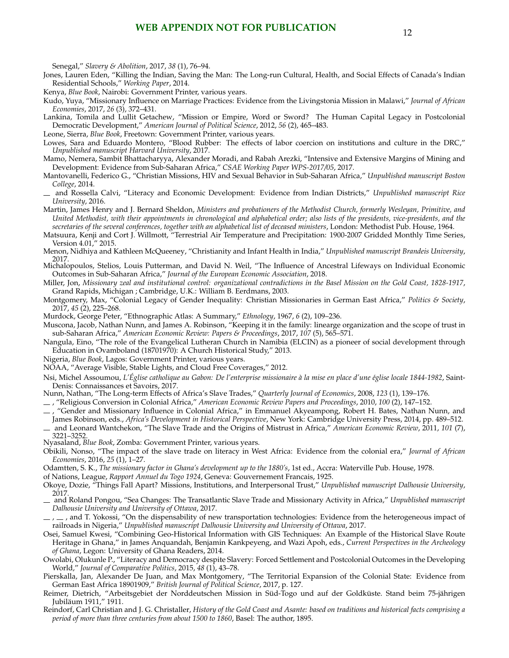<span id="page-55-0"></span>Senegal," *Slavery & Abolition*, 2017, *38* (1), 76–94.

Jones, Lauren Eden, "Killing the Indian, Saving the Man: The Long-run Cultural, Health, and Social Effects of Canada's Indian Residential Schools," *Working Paper*, 2014.

Kenya, *Blue Book*, Nairobi: Government Printer, various years.

Kudo, Yuya, "Missionary Influence on Marriage Practices: Evidence from the Livingstonia Mission in Malawi," *Journal of African Economies*, 2017, *26* (3), 372–431.

Lankina, Tomila and Lullit Getachew, "Mission or Empire, Word or Sword? The Human Capital Legacy in Postcolonial Democratic Development," *American Journal of Political Science*, 2012, *56* (2), 465–483.

Leone, Sierra, *Blue Book*, Freetown: Government Printer, various years.

- Lowes, Sara and Eduardo Montero, "Blood Rubber: The effects of labor coercion on institutions and culture in the DRC," *Unpublished manuscript Harvard University*, 2017.
- Mamo, Nemera, Sambit Bhattacharyya, Alexander Moradi, and Rabah Arezki, "Intensive and Extensive Margins of Mining and Development: Evidence from Sub-Saharan Africa," *CSAE Working Paper WPS-2017/05*, 2017.
- Mantovanelli, Federico G., "Christian Missions, HIV and Sexual Behavior in Sub-Saharan Africa," *Unpublished manuscript Boston College*, 2014.
- and Rossella Calvi, "Literacy and Economic Development: Evidence from Indian Districts," *Unpublished manuscript Rice University*, 2016.
- Martin, James Henry and J. Bernard Sheldon, *Ministers and probationers of the Methodist Church, formerly Wesleyan, Primitive, and United Methodist, with their appointments in chronological and alphabetical order; also lists of the presidents, vice-presidents, and the secretaries of the several conferences, together with an alphabetical list of deceased ministers*, London: Methodist Pub. House, 1964.
- Matsuura, Kenji and Cort J. Willmott, "Terrestrial Air Temperature and Precipitation: 1900-2007 Gridded Monthly Time Series, Version 4.01," 2015.

Menon, Nidhiya and Kathleen McQueeney, "Christianity and Infant Health in India," *Unpublished manuscript Brandeis University*, 2017.

- Michalopoulos, Stelios, Louis Putterman, and David N. Weil, "The Influence of Ancestral Lifeways on Individual Economic Outcomes in Sub-Saharan Africa," *Journal of the European Economic Association*, 2018.
- Miller, Jon, *Missionary zeal and institutional control: organizational contradictions in the Basel Mission on the Gold Coast, 1828-1917*, Grand Rapids, Michigan ; Cambridge, U.K.: William B. Eerdmans, 2003.
- Montgomery, Max, "Colonial Legacy of Gender Inequality: Christian Missionaries in German East Africa," *Politics & Society*, 2017, *45* (2), 225–268.
- Murdock, George Peter, "Ethnographic Atlas: A Summary," *Ethnology*, 1967, *6* (2), 109–236.
- Muscona, Jacob, Nathan Nunn, and James A. Robinson, "Keeping it in the family: linearge organization and the scope of trust in sub-Saharan Africa," *American Economic Review: Papers & Proceedings*, 2017, *107* (5), 565–571.
- Nangula, Eino, "The role of the Evangelical Lutheran Church in Namibia (ELCIN) as a pioneer of social development through Education in Ovamboland (18701970): A Church Historical Study," 2013.
- Nigeria, *Blue Book*, Lagos: Government Printer, various years.
- NOAA, "Average Visible, Stable Lights, and Cloud Free Coverages," 2012.
- Nsi, Michel Assoumou, *L'Eglise catholique au Gabon: De l'enterprise missionaire `a la mise en place d'une ´eglise locale 1844-1982 ´* , Saint-Denis: Connaissances et Savoirs, 2017.

Nunn, Nathan, "The Long-term Effects of Africa's Slave Trades," *Quarterly Journal of Economics*, 2008, *123* (1), 139–176.

, "Religious Conversion in Colonial Africa," *American Economic Review Papers and Proceedings*, 2010, *100* (2), 147–152.

- , "Gender and Missionary Influence in Colonial Africa," in Emmanuel Akyeampong, Robert H. Bates, Nathan Nunn, and James Robinson, eds., *Africa's Development in Historical Perspective*, New York: Cambridge University Press, 2014, pp. 489–512.
- and Leonard Wantchekon, "The Slave Trade and the Origins of Mistrust in Africa," *American Economic Review*, 2011, *101* (7), 3221–3252.
- Nyasaland, *Blue Book*, Zomba: Government Printer, various years.
- Obikili, Nonso, "The impact of the slave trade on literacy in West Africa: Evidence from the colonial era," *Journal of African Economies*, 2016, *25* (1), 1–27.

Odamtten, S. K., *The missionary factor in Ghana's development up to the 1880's*, 1st ed., Accra: Waterville Pub. House, 1978.

of Nations, League, *Rapport Annuel du Togo 1924*, Geneva: Gouvernement Francais, 1925.

- Okoye, Dozie, "Things Fall Apart? Missions, Institutions, and Interpersonal Trust," *Unpublished manuscript Dalhousie University*, 2017.
- and Roland Pongou, "Sea Changes: The Transatlantic Slave Trade and Missionary Activity in Africa," *Unpublished manuscript Dalhousie University and University of Ottawa*, 2017.
- $\ldots$ ,  $\ldots$ , and T. Yokossi, "On the dispensability of new transportation technologies: Evidence from the heterogeneous impact of railroads in Nigeria," *Unpublished manuscript Dalhousie University and University of Ottawa*, 2017.
- Osei, Samuel Kwesi, "Combining Geo-Historical Information with GIS Techniques: An Example of the Historical Slave Route Heritage in Ghana," in James Anquandah, Benjamin Kankpeyeng, and Wazi Apoh, eds., *Current Perspectives in the Archeology of Ghana*, Legon: University of Ghana Readers, 2014.
- Owolabi, Olukunle P., "Literacy and Democracy despite Slavery: Forced Settlement and Postcolonial Outcomes in the Developing World," *Journal of Comparative Politics*, 2015, *48* (1), 43–78.
- Pierskalla, Jan, Alexander De Juan, and Max Montgomery, "The Territorial Expansion of the Colonial State: Evidence from German East Africa 18901909," *British Journal of Political Science*, 2017, p. 127.
- Reimer, Dietrich, "Arbeitsgebiet der Norddeutschen Mission in Süd-Togo und auf der Goldküste. Stand beim 75-jährigen Jubilaum 1911," 1911. ¨
- Reindorf, Carl Christian and J. G. Christaller, *History of the Gold Coast and Asante: based on traditions and historical facts comprising a period of more than three centuries from about 1500 to 1860*, Basel: The author, 1895.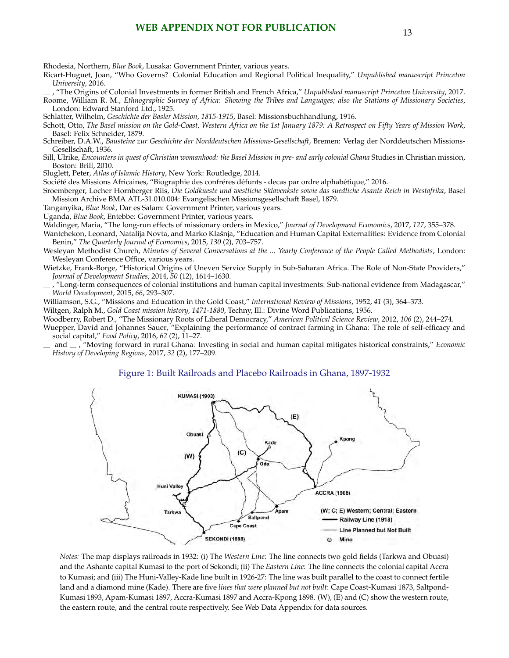## **WEB APPENDIX NOT FOR PUBLICATION** 13

<span id="page-56-0"></span>Rhodesia, Northern, *Blue Book*, Lusaka: Government Printer, various years.

Ricart-Huguet, Joan, "Who Governs? Colonial Education and Regional Political Inequality," *Unpublished manuscript Princeton University*, 2016.

, "The Origins of Colonial Investments in former British and French Africa," *Unpublished manuscript Princeton University*, 2017.

Roome, William R. M., *Ethnographic Survey of Africa: Showing the Tribes and Languages; also the Stations of Missionary Societies*, London: Edward Stanford Ltd., 1925.

Schlatter, Wilhelm, *Geschichte der Basler Mission, 1815-1915*, Basel: Missionsbuchhandlung, 1916.

- Schott, Otto, *The Basel mission on the Gold-Coast, Western Africa on the 1st January 1879: A Retrospect on Fifty Years of Mission Work*, Basel: Felix Schneider, 1879.
- Schreiber, D.A.W., *Bausteine zur Geschichte der Norddeutschen Missions-Gesellschaft*, Bremen: Verlag der Norddeutschen Missions-Gesellschaft, 1936.
- Sill, Ulrike, *Encounters in quest of Christian womanhood: the Basel Mission in pre- and early colonial Ghana* Studies in Christian mission, Boston: Brill, 2010.

Sluglett, Peter, *Atlas of Islamic History*, New York: Routledge, 2014.

Société des Missions Africaines, "Biographie des confréres défunts - decas par ordre alphabétique," 2016.

Sroemberger, Locher Hornberger Riis, *Die Goldkueste und westliche Sklavenkste sowie das suedliche Asante Reich in Westafrika*, Basel Mission Archive BMA ATL-31.010.004: Evangelischen Missionsgesellschaft Basel, 1879.

Tanganyika, *Blue Book*, Dar es Salam: Government Printer, various years.

Uganda, *Blue Book*, Entebbe: Government Printer, various years.

Waldinger, Maria, "The long-run effects of missionary orders in Mexico," *Journal of Development Economics*, 2017, *127*, 355–378.

- Wantchekon, Leonard, Natalija Novta, and Marko Klašnja, "Education and Human Capital Externalities: Evidence from Colonial Benin," *The Quarterly Journal of Economics*, 2015, *130* (2), 703–757.
- Wesleyan Methodist Church, *Minutes of Several Conversations at the ... Yearly Conference of the People Called Methodists*, London: Wesleyan Conference Office, various years.
- Wietzke, Frank-Borge, "Historical Origins of Uneven Service Supply in Sub-Saharan Africa. The Role of Non-State Providers," *Journal of Development Studies*, 2014, *50* (12), 1614–1630.
- , "Long-term consequences of colonial institutions and human capital investments: Sub-national evidence from Madagascar," *World Development*, 2015, *66*, 293–307.
- Williamson, S.G., "Missions and Education in the Gold Coast," *International Review of Missions*, 1952, *41* (3), 364–373.

Wiltgen, Ralph M., *Gold Coast mission history, 1471-1880*, Techny, Ill.: Divine Word Publications, 1956.

Woodberry, Robert D., "The Missionary Roots of Liberal Democracy," *American Political Science Review*, 2012, *106* (2), 244–274.

- Wuepper, David and Johannes Sauer, "Explaining the performance of contract farming in Ghana: The role of self-efficacy and social capital," *Food Policy*, 2016, *62* (2), 11–27.
- and , "Moving forward in rural Ghana: Investing in social and human capital mitigates historical constraints," *Economic History of Developing Regions*, 2017, *32* (2), 177–209.

#### Figure 1: Built Railroads and Placebo Railroads in Ghana, 1897-1932



*Notes:* The map displays railroads in 1932: (i) The *Western Line*: The line connects two gold fields (Tarkwa and Obuasi) and the Ashante capital Kumasi to the port of Sekondi; (ii) The *Eastern Line*: The line connects the colonial capital Accra to Kumasi; and (iii) The Huni-Valley-Kade line built in 1926-27: The line was built parallel to the coast to connect fertile land and a diamond mine (Kade). There are five *lines that were planned but not built*: Cape Coast-Kumasi 1873, Saltpond-Kumasi 1893, Apam-Kumasi 1897, Accra-Kumasi 1897 and Accra-Kpong 1898. (W), (E) and (C) show the western route, the eastern route, and the central route respectively. See Web Data Appendix for data sources.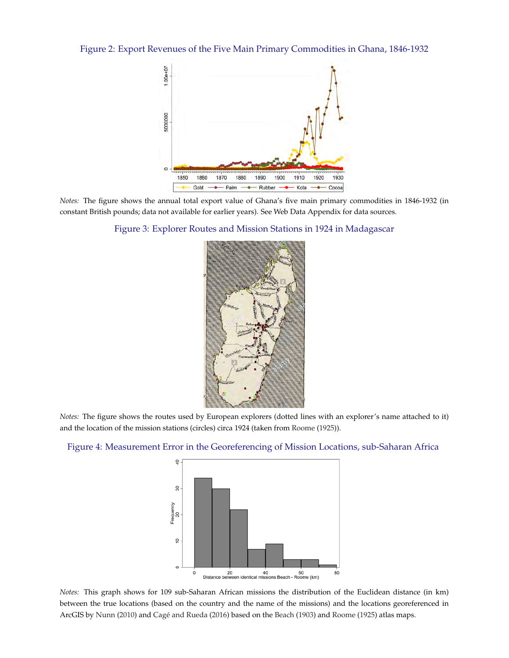Figure 2: Export Revenues of the Five Main Primary Commodities in Ghana, 1846-1932



*Notes:* The figure shows the annual total export value of Ghana's five main primary commodities in 1846-1932 (in constant British pounds; data not available for earlier years). See Web Data Appendix for data sources.





*Notes:* The figure shows the routes used by European explorers (dotted lines with an explorer's name attached to it) and the location of the mission stations (circles) circa 1924 (taken from [Roome](#page-56-0) [\(1925\)](#page-56-0)).



#### Figure 4: Measurement Error in the Georeferencing of Mission Locations, sub-Saharan Africa

*Notes:* This graph shows for 109 sub-Saharan African missions the distribution of the Euclidean distance (in km) between the true locations (based on the country and the name of the missions) and the locations georeferenced in ArcGIS by [Nunn](#page-55-0) [\(2010\)](#page-55-0) and Cagé and Rueda [\(2016\)](#page-53-0) based on the [Beach](#page-53-0) [\(1903\)](#page-53-0) and [Roome](#page-56-0) [\(1925\)](#page-56-0) atlas maps.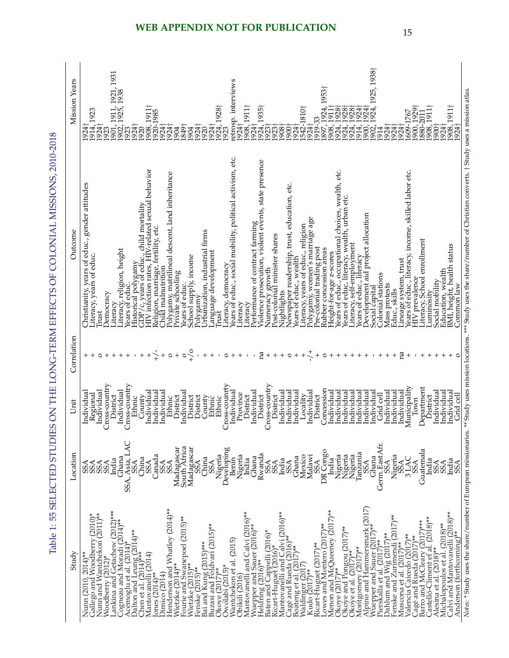<span id="page-58-0"></span>

| <b>Mission Years</b> | 1931<br>1921,<br>1938<br>1902, 1925, 1<br>1923<br>1911,<br>1923<br>[901,<br>924 <sup>†</sup><br>914.<br>1924†<br>1924<br>920<br>923                                                                                                                           | $1911+$<br>1924, 1928†<br>1923<br>920-1985<br>.849†<br>1908,<br>924<br>924†<br>924<br>924<br>1904<br>904<br>920                                                                                                                                                                                                                      | etrosp. interviews<br>1911+<br>1935†<br>542-1810†<br>1924<br>924†<br>1908.<br>924 <sub>1</sub><br>924,<br>1923<br>924<br>908<br>900                                                                                                                                                                                                                                                                                | 1925, 1938†<br>1953†<br>1924.<br>1928<br>928<br>1924<br>1928<br>1924<br>924<br>$\overline{5}$<br>1919-33<br>.900<br>914,<br>924,<br>924,<br>1902.<br>924.<br>924<br>924<br>908<br> 924 <br>914<br>897                                                                                                                                                                            | 1911†<br>900, 1929<br>1911<br>1<br>609-1767<br>880-2011<br>1908,<br>$1900+$<br>1908,<br>1924<br>1924                                                                                                                                                                                                                                  |
|----------------------|---------------------------------------------------------------------------------------------------------------------------------------------------------------------------------------------------------------------------------------------------------------|--------------------------------------------------------------------------------------------------------------------------------------------------------------------------------------------------------------------------------------------------------------------------------------------------------------------------------------|--------------------------------------------------------------------------------------------------------------------------------------------------------------------------------------------------------------------------------------------------------------------------------------------------------------------------------------------------------------------------------------------------------------------|----------------------------------------------------------------------------------------------------------------------------------------------------------------------------------------------------------------------------------------------------------------------------------------------------------------------------------------------------------------------------------|---------------------------------------------------------------------------------------------------------------------------------------------------------------------------------------------------------------------------------------------------------------------------------------------------------------------------------------|
| Outcome              | Christianity, years of educ., gender attitudes<br>GDP/c, years of educ., child mortality<br>iteracy, religion, height<br>iteracy, years of educ.<br>Historical polygamy<br>ears of educ<br>Jemocracy<br>iteracy<br>rust                                       | HIV infection rates, HIV-related sexual behavior<br>Polygamy, matrilineal descent, land inheritance<br>Religion, marriage, fertility, etc.<br>Jrbanization, industrial firms<br>anguage development<br>school supply, income<br>iteracy, democracy.<br>Child malnutrition<br>Private schooling<br>lears of educ.<br>Polygamy<br>rust | ears of educ., social mobility, political activism, etc.<br>Performance of contract farming<br>Violence prosecution, violent events, state presence<br>Jewspaper readership, trust, education, etc.<br>Polygamy, women's marriage age<br>iteracy, years of educ., religion<br>Numeracy growth<br>Post-colonial minister shares<br>lears of educ., wealth<br><b><i><u>dightlights</u></i></b><br>iteracy<br>iteracy | lears of educ, occupational choices, wealth, etc.<br>ears of educ, literacy, wealth, urban etc.<br>Development aid project allocation<br>iteracy, self-employment<br>Pre-colonial trading post<br>Rubber concession areas<br>Height-for-age z-scores<br>ears of educ., literacy<br>ineage system, trust<br>Colonial stations<br>Mass protests<br>Social capital<br>Educ., skills | ** Study uses mission locations. *** Study uses the share/number of Christian converts. † Study uses a mission atlas.<br>(ears of educ., literacy, income, skilled labor etc.<br>iteracy, School enrollment<br>BMI, height, health status<br>Education, wealth<br><b>HIV</b> prevalence<br>Social mobility<br>Common law<br>uminosity |
| Correlation          | $\circ$                                                                                                                                                                                                                                                       | $^{+/-}$<br>$\circ$<br>$\circ$<br>$\ddot{}$<br>$\circ$                                                                                                                                                                                                                                                                               | na<br>$\circ$<br>$^{+}$<br>$^{+}$<br>$\ddot{}$<br>$^{+}$<br>- 1                                                                                                                                                                                                                                                                                                                                                    | na<br>$\circ$                                                                                                                                                                                                                                                                                                                                                                    | $\,{}^+$<br>$\,{}^+$<br>$\circ$                                                                                                                                                                                                                                                                                                       |
| Unit                 | Cross-country<br>Cross-country<br>Individual<br>Individual<br>Individual<br>Regional<br>District<br>County<br>Ethnic                                                                                                                                          | Cross-counrty<br>Individual<br>Individual<br>ndividual<br>ndividua<br>District<br>District<br>District<br>County<br>Ethnic<br>Ethnic<br>Ethnic                                                                                                                                                                                       | Cross-country<br>Individual<br>ndividual<br>Individual<br>Individual<br>Individua<br>Individual<br>Province<br>Locality<br>District<br>District<br>District                                                                                                                                                                                                                                                        | Concession<br>ndividual<br>Individual<br>ndividual<br>ndividual<br>Individual<br>Individual<br>Individual<br>ndividual<br>Individual<br>Individua<br>Grid cell<br>District                                                                                                                                                                                                       | Municipality<br>Department<br>Individual<br>Individual<br>Individua<br>Grid cell<br>District<br>Iown                                                                                                                                                                                                                                  |
| Location             | Asia, LAC<br>Ghana<br>China<br>India<br>SSA<br><b>SSS</b><br>SSA<br>SSA,                                                                                                                                                                                      | Madagascar<br>South Africa<br>Madagascar<br>SSA<br>Nigeria<br>Developing<br>Canada<br>China<br>SSA<br>ASS<br><b>SSA</b><br><b>SSA</b>                                                                                                                                                                                                | Rwanda<br>Nigeria<br>Mexico<br>Malawi<br>Ghana<br>Ghana<br>Benin<br>India<br>India<br>SSA<br>SSA                                                                                                                                                                                                                                                                                                                   | Germ. East Afr.<br>DR Congo<br>Tanzania<br>Nigeria<br>Nigeria<br>Nigeria<br>SSA<br>Nigeria<br>Ghana<br>India<br>SSA<br>SSA<br>SSA                                                                                                                                                                                                                                                | Guatemala<br>3LAC<br>India<br>India<br>SSA<br>SSA<br>ASA<br>SSA                                                                                                                                                                                                                                                                       |
| Study                | ankina and Getachew (2012)***<br>Num and Wantchekon (2011)**<br>$(2010)*$<br>Cogneau and Moradi (2014)**<br>Acemoglu et al. (2014)*<br>Dalton ănd Leung (2014)**<br>Chen et al. (2014)***<br>Num (2010, 2014)**<br>Gallego and Woodberry<br>Woodberry (2012)* | Henderson and Whatley (2014)**<br>Fourie and Swanepoel (2015)**<br>Buzasi and Foldvari (2015)**<br>Okoye (2017)**<br>Bai and Kung (2015)***<br>Mantovanelli (2014)<br>Wietzke (2014)**<br>Wietzke (2015)**<br>Owólabi (2015)*<br>Fenske (2015)**<br>ones (2014)**<br>Dimico $(2014)$                                                 | Mantovanelli and Calvi (2016)**<br>Mantovanelli and Calvi (2016)**<br>Wuepper and Sauer $(2016)^{**}$<br>Heldring $(2016)^{**}$<br>Baten and Cappelli $(2016)^*$<br>Ricart-Huguet $(2016)^*$<br>Cagé and Rueda (2016)**<br>Wantchekon et al. (2015)<br>Boateng et al. (2017)**<br>Waldinger (2017)<br>Kudo (2017)**<br>Obikili (2016)                                                                              | Alpino and Hammersmark (2017)<br>Menon and McQueeney (2017)**<br>Okoye (2017)**<br>Dahlum and Wig (2017)**<br>Fenske and Zurimendi (2017)**<br>Muscona et al. (2017)**<br>Ricart-Huguet (2017)**<br>Lowes and Montero (2017)**<br>Wuepper and Sauer (2017)**<br>Okoye and Pongou (2017)**<br>Okoye et al. (2017)**<br>Pierskalla et al. (2017)**<br>Montgomery (2017)**          | Calvi and Mantovanelli (2018)**<br>Anderson (forthcoming)**<br>Castelló-Climent et al. (2018)**<br>3amo and McCleary (2017)***<br>Michalopoulos et al. (2018)**<br>Valencia Caicedo (2017)**<br>Cagé and Rueda (2017)**<br>Alesina et al. (2018)**                                                                                    |

Table 1: 55 SELECTED STUDIES ON THE LONG-TERM EFFECTS OF COLONIAL MISSIONS, 2010-2018 Table 1: 55 SELECTED STUDIES ON THE LONG-TERM EFFECTS OF COLONIAL MISSIONS, 2010-2018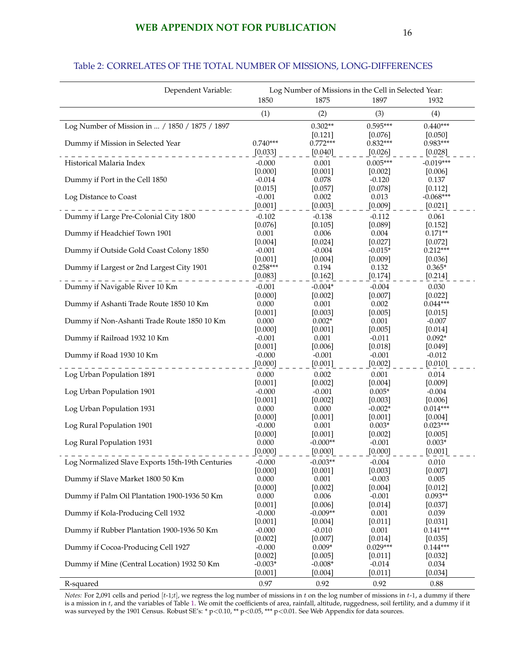### Table 2: CORRELATES OF THE TOTAL NUMBER OF MISSIONS, LONG-DIFFERENCES

| Dependent Variable:                              | Log Number of Missions in the Cell in Selected Year: |                       |                       |                        |  |
|--------------------------------------------------|------------------------------------------------------|-----------------------|-----------------------|------------------------|--|
|                                                  | 1850                                                 | 1875                  | 1897                  | 1932                   |  |
|                                                  | (1)                                                  | (2)                   | (3)                   | (4)                    |  |
| Log Number of Mission in  / 1850 / 1875 / 1897   |                                                      | $0.302**$             | $0.595***$            | $0.440***$             |  |
|                                                  |                                                      | [0.121]               | [0.076]               | [0.050]                |  |
| Dummy if Mission in Selected Year                | $0.740***$                                           | $0.772***$            | $0.832***$            | $0.983***$             |  |
|                                                  | [0.033]                                              | [0.040]               | [0.026]               | [0.028]                |  |
| Historical Malaria Index                         | $-0.000$<br>[0.000]                                  | 0.001<br>[0.001]      | $0.005***$<br>[0.002] | $-0.019***$<br>[0.006] |  |
| Dummy if Port in the Cell 1850                   | $-0.014$                                             | 0.078                 | $-0.120$              | 0.137                  |  |
|                                                  | [0.015]                                              | [0.057]               | [0.078]               | [0.112]                |  |
| Log Distance to Coast                            | $-0.001$                                             | 0.002                 | 0.013                 | $-0.068***$            |  |
|                                                  | [0.001]                                              | [0.003]               | [0.009]               | [0.021]                |  |
| Dummy if Large Pre-Colonial City 1800            | $-0.102$                                             | $-0.138$              | $-0.112$              | 0.061                  |  |
|                                                  | [0.076]                                              | [0.105]               | [0.089]               | [0.152]                |  |
| Dummy if Headchief Town 1901                     | 0.001                                                | 0.006                 | 0.004                 | $0.171**$              |  |
|                                                  | [0.004]                                              | $[0.024]$             | [0.027]               | $[0.072]$              |  |
| Dummy if Outside Gold Coast Colony 1850          | $-0.001$                                             | $-0.004$              | $-0.015*$             | $0.212***$             |  |
|                                                  | [0.001]                                              | [0.004]               | [0.009]               | [0.036]                |  |
| Dummy if Largest or 2nd Largest City 1901        | $0.258***$                                           | 0.194<br>[0.162]      | 0.132                 | $0.365*$               |  |
|                                                  | [0.083]                                              |                       | [0.174]               | [0.214]                |  |
| Dummy if Navigable River 10 Km                   | $-0.001$                                             | $-0.004*$             | $-0.004$              | 0.030                  |  |
| Dummy if Ashanti Trade Route 1850 10 Km          | [0.000]<br>0.000                                     | [0.002]<br>0.001      | [0.007]<br>0.002      | [0.022]<br>$0.044***$  |  |
|                                                  | [0.001]                                              | [0.003]               | [0.005]               | [0.015]                |  |
| Dummy if Non-Ashanti Trade Route 1850 10 Km      | 0.000                                                | $0.002*$              | 0.001                 | $-0.007$               |  |
|                                                  | [0.000]                                              | [0.001]               | [0.005]               | [0.014]                |  |
| Dummy if Railroad 1932 10 Km                     | $-0.001$                                             | 0.001                 | $-0.011$              | $0.092*$               |  |
|                                                  | [0.001]                                              | [0.006]               | [0.018]               | [0.049]                |  |
| Dummy if Road 1930 10 Km                         | $-0.000$                                             | $-0.001$              | $-0.001$              | $-0.012$               |  |
|                                                  | [0.000]                                              | [0.001]               | [0.002]               | [0.010]                |  |
| Log Urban Population 1891                        | 0.000                                                | 0.002                 | 0.001                 | 0.014                  |  |
|                                                  | [0.001]                                              | [0.002]               | [0.004]               | [0.009]                |  |
| Log Urban Population 1901                        | $-0.000$<br>[0.001]                                  | $-0.001$<br>$[0.002]$ | $0.005*$<br>[0.003]   | $-0.004$<br>[0.006]    |  |
| Log Urban Population 1931                        | 0.000                                                | 0.000                 | $-0.002*$             | $0.014***$             |  |
|                                                  | [0.000]                                              | [0.001]               | $[0.001]$             | $[0.004]$              |  |
| Log Rural Population 1901                        | $-0.000$                                             | 0.001                 | $0.003*$              | $0.023***$             |  |
|                                                  | $[0.000]$                                            | [0.001]               | $[0.002]$             | [0.005]                |  |
| Log Rural Population 1931                        | 0.000                                                | $-0.000**$            | $-0.001$              | $0.003*$               |  |
|                                                  | [0.000]                                              | [0.000]               | [0.000]               | [0.001]                |  |
| Log Normalized Slave Exports 15th-19th Centuries | $-0.000$                                             | $-0.003**$            | $-0.004$              | 0.010                  |  |
|                                                  | [0.000]                                              | [0.001]               | [0.003]               | [0.007]                |  |
| Dummy if Slave Market 1800 50 Km                 | 0.000                                                | 0.001                 | $-0.003$              | 0.005                  |  |
| Dummy if Palm Oil Plantation 1900-1936 50 Km     | [0.000]<br>0.000                                     | [0.002]<br>0.006      | [0.004]<br>$-0.001$   | [0.012]<br>$0.093**$   |  |
|                                                  | [0.001]                                              | [0.006]               | $[0.014]$             | [0.037]                |  |
| Dummy if Kola-Producing Cell 1932                | $-0.000$                                             | $-0.009**$            | 0.001                 | 0.039                  |  |
|                                                  | [0.001]                                              | [0.004]               | [0.011]               | [0.031]                |  |
| Dummy if Rubber Plantation 1900-1936 50 Km       | $-0.000$                                             | $-0.010$              | 0.001                 | $0.141***$             |  |
|                                                  | [0.002]                                              | [0.007]               | [0.014]               | [0.035]                |  |
| Dummy if Cocoa-Producing Cell 1927               | $-0.000$                                             | $0.009*$              | $0.029***$            | $0.144***$             |  |
|                                                  | [0.002]                                              | [0.005]               | [0.011]               | [0.032]                |  |
| Dummy if Mine (Central Location) 1932 50 Km      | $-0.003*$<br>[0.001]                                 | $-0.008*$<br>[0.004]  | $-0.014$<br>[0.011]   | 0.034<br>[0.034]       |  |
|                                                  | 0.97                                                 | 0.92                  | 0.92                  | 0.88                   |  |
| R-squared                                        |                                                      |                       |                       |                        |  |

*Notes:* For 2,091 cells and period [t-1;t], we regress the log number of missions in t on the log number of missions in t-1, a dummy if there is a mission in  $t$ , and the variables of Table [1.](#page-58-0) We omit the coefficients of area, rainfall, altitude, ruggedness, soil fertility, and a dummy if it was surveyed by the 1901 Census. Robust SE's: \* p<0.10, \*\* p<0.05, \*\*\* p<0.01. See Web Appendix for data sources.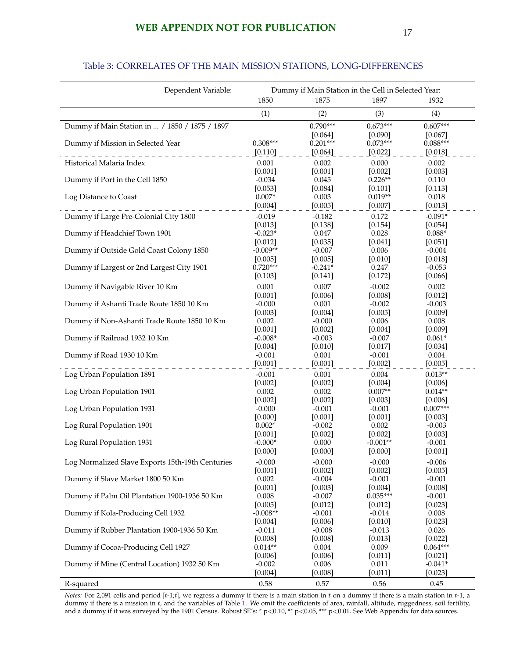## **WEB APPENDIX NOT FOR PUBLICATION** 17

#### Dependent Variable: Dummy if Main Station in the Cell in Selected Year: 1850 1875 1897 1932 (1)  $(2)$   $(3)$   $(4)$ Dummy if Main Station in ... / 1850 / 1875 / 1897 0.790\*\*\* 0.673\*\*\* 0.607\*\*\* 0.607\*\*\*  $[0.064]$   $[0.090]$   $[0.067]$ <br>0.201\*\*\* 0.073\*\*\* 0.088\*\*\* Dummy if Mission in Selected Year 0.308\*\*\*  $[0.110]$   $[0.064]$   $[0.022]$   $[0.018]$ Historical Malaria Index **0.001** 0.002 0.000 0.002 0.000 0.002  $[0.001]$   $[0.001]$   $[0.002]$   $[0.003]$ Dummy if Port in the Cell 1850 -0.034 0.045 0.226<sup>\*\*</sup> 0.110<br>
[0.113] 0.053] 0.053] 0.064] 0.101] 0.113]  $[0.101]$ Log Distance to Coast  $0.007*$  0.003 0.019<sup>\*\*</sup> 0.018  $[0.004]$   $[0.005]$   $[0.007]$   $[0.013]$ Dummy if Large Pre-Colonial City 1800 -0.019 -0.182 0.172 -0.091\*  $[0.013]$   $[0.138]$   $[0.154]$   $[0.054]$ Dummy if Headchief Town 1901 -0.023\* 0.047 0.028 0.088\* 0.047 0.028 0.088\*  $[0.041]$ Dummy if Outside Gold Coast Colony 1850 -0.009<sup>\*\*</sup> -0.007 -0.006 -0.004<br>[0.018] [0.018] [0.018] -0.007  $[0.005]$   $[0.005]$   $[0.010]$   $[0.018]$ Dummy if Largest or 2nd Largest City 1901 0.720\*\*\*  $0.241*$  0.247  $0.053$  $[0.103]$   $[0.141]$   $[0.172]$   $[0.066]$ Dummy if Navigable River 10 Km  $10 \text{ km}$  0.001  $0.007$  -0.002 0.002 0.002 0.002 0.002 0.002 0.002 0.002 0.002 0.002 0.002 0.002 0.002 0.002 0.002 0.002 0.002 0.002 0.002 0.002 0.002 0.002 0.002 0.002 0.002 0.002 0.002 0.00  $[0.001]$   $[0.006]$   $[0.008]$   $[0.012]$ Dummy if Ashanti Trade Route 1850 10 Km -0.000 0.001 -0.002 -0.003  $[0.003]$   $[0.004]$   $[0.005]$   $[0.009]$ Dummy if Non-Ashanti Trade Route 1850 10 Km  $0.002$  -0.000 0.006 0.008 0.008  $[0.001]$   $[0.002]$   $[0.004]$   $[0.009]$ <br>-0.008\* -0.003 -0.007 0.061\* Dummy if Railroad 1932 10 Km  $-0.008^*$   $-0.003$   $-0.007$   $0.061^*$ <br> $[0.010]$   $[0.017]$   $[0.034]$  $[0.004]$   $[0.010]$   $[0.017]$   $[0.034]$ <br>-0.001 0.001 -0.001 0.004 Dummy if Road 1930 10 Km  $-0.001$   $-0.001$   $-0.001$   $-0.001$   $-0.001$   $-0.004$  $[0.001]$   $\_\,\_\,\_\,\_\,\_$   $[0.001]$   $\_\,\_\,\_\,\_$   $[0.002]$   $\_\,\_\,\_\,\_$   $[0.005]$ Log Urban Population 1891 **-0.001** 0.001 0.001 0.004 0.013<sup>\*\*</sup>  $[0.002]$   $[0.002]$   $[0.004]$   $[0.006]$ <br>0.002 0.002 0.007\*\* 0.014\*\* Log Urban Population 1901  $[0.002]$   $[0.002]$   $[0.003]$   $[0.006]$ <br>-0.000 -0.001 -0.001 0.007\*\*\* Log Urban Population 1931 -0.000 -0.000 -0.001 -0.001 -0.001 -0.001 -0.007\*\*<br>[0.001] -0.001 -0.001 -0.001 -0.001  $[0.000]$   $[0.001]$   $[0.001]$   $[0.003]$ Log Rural Population 1901 **0.002\*** -0.002 0.002 -0.003 -0.003<br>[0.002] 0.002 0.002 0.003  $[0.001]$   $[0.002]$   $[0.002]$   $[0.003]$ <br>-0.000\* 0.000 -0.001\*\* -0.001 Log Rural Population 1931  $[0.000]$   $[0.000]$   $[0.000]$   $[0.000]$   $[0.001]$

#### Table 3: CORRELATES OF THE MAIN MISSION STATIONS, LONG-DIFFERENCES

*Notes:* For 2,091 cells and period  $[t-1,t]$ , we regress a dummy if there is a main station in t on a dummy if there is a main station in  $t-1$ , a dummy if there is a mission in t, and the variables of Table [1.](#page-58-0) We omit the coefficients of area, rainfall, altitude, ruggedness, soil fertility, and a dummy if it was surveyed by the 1901 Census. Robust SE's: \*  $p<0.10$ , \*\*  $p<0.05$ , \*\*\*  $p<0.01$ . See Web Appendix for data sources.

Log Normalized Slave Exports 15th-19th Centuries -0.000 -0.000 -0.000 -0.000 -0.006<br>[0.005] -0.000 -0.000 -0.000 -0.000 -0.000 -0.000 -0.000 -0.000 -0.000 -0.000 -0.000 -0.000 -0.000 -0.000 -0.

Dummy if Slave Market 1800 50 Km  $[0.002$   $-0.004$   $-0.001$   $-0.001$   $-0.008$ <br> $[0.003]$   $[0.004]$   $[0.008]$ 

Dummy if Palm Oil Plantation 1900-1936 50 Km  $0.008$  -0.007  $0.035***$  -0.001

Dummy if Kola-Producing Cell 1932 -0.008<sup>\*\*</sup> -0.001 -0.014 0.008

Dummy if Rubber Plantation 1900-1936 50 Km  $-0.011$   $-0.008$   $-0.013$   $-0.013$  0.026

R-squared 0.58 0.57 0.56 0.45

Dummy if Cocoa-Producing Cell 1927 0.014\*\* 0.009 0.004 0.009

Dummy if Mine (Central Location) 1932 50 Km

 $[0.001]$   $[0.002]$   $[0.002]$   $[0.005]$ 

 $[0.005]$   $[0.012]$   $[0.012]$   $[0.023]$ 

 $[0.004]$   $[0.006]$   $[0.010]$   $[0.023]$ 

 $[0.008]$   $[0.008]$   $[0.013]$   $[0.022]$ <br> $0.014***$   $0.004$   $0.009$   $0.064***$ 

 $[0.006]$   $[0.006]$   $[0.011]$   $[0.021]$ <br>  $-0.002$   $0.006$   $0.011$   $-0.041*$ 

 $[0.004]$   $[0.008]$   $[0.011]$   $[0.023]$ 

 $[0.003]$   $[0.004]$   $[0.008]$ <br>-0.007  $0.035***$  -0.001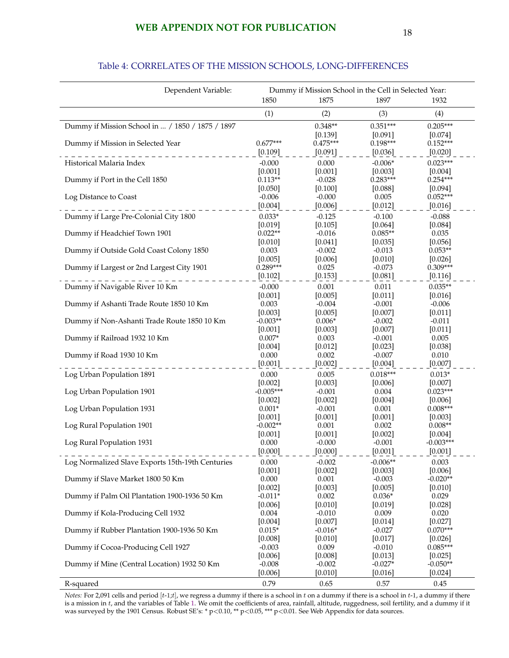#### Dependent Variable: Dummy if Mission School in the Cell in Selected Year: 1850 1875 1897 1932 (1)  $(2)$   $(3)$   $(4)$ Dummy if Mission School in ... / 1850 / 1875 / 1897 0.348\*\* 0.351\*\*\* 0.351\*\*\* 0.205\*\*\*  $[0.139]$   $[0.091]$   $[0.074]$ <br> $0.475***$   $0.198***$   $0.152***$ Dummy if Mission in Selected Year 0.677\*\*\*  $[0.109]$   $[0.091]$   $[0.036]$   $[0.020]$ Historical Malaria Index  $-0.000$  0.000  $-0.006*$  0.023\*\*\*  $[0.001]$   $[0.001]$   $[0.003]$   $[0.004]$ Dummy if Port in the Cell 1850 0.113\*\* -0.028 0.283\*\*\* 0.254\*\*\* 0.254\*\*\*<br>
[0.050] 0.100] 0.088] [0.094]  $[0.094]$ Log Distance to Coast  $-0.006$   $-0.000$   $0.005$   $0.052**$  $[0.004]$   $[0.006]$   $[0.012]$   $[0.016]$ Dummy if Large Pre-Colonial City 1800 0.033\* -0.125 -0.100 -0.088  $[0.019]$   $[0.105]$   $[0.064]$   $[0.084]$ Dummy if Headchief Town 1901 0.022<sup>\*\*</sup> -0.016 0.085<sup>\*\*</sup> 0.035<br>[0.041] 0.035 0.035 0.036] 0.046  $[0.041]$   $[0.035]$   $[0.056]$ <br>-0.002 -0.013 0.053\*\* Dummy if Outside Gold Coast Colony 1850 0.003 -0.002 -0.013 0.053\*\*  $[0.005]$   $[0.006]$   $[0.010]$   $[0.026]$ <br>0.289\*\*\* 0.025 -0.073 0.309\*\* Dummy if Largest or 2nd Largest City 1901  $[0.102]$   $[0.153]$   $[0.081]$   $[0.081]$   $[0.116]$ Dummy if Navigable River 10 Km  $[0.000]$   $[0.001$   $[0.001]$   $[0.011]$   $[0.016]$  $[0.001]$   $[0.005]$   $[0.011]$   $[0.016]$ Dummy if Ashanti Trade Route 1850 10 Km 0.003 -0.004 -0.001 -0.006  $[0.003]$   $[0.005]$   $[0.007]$   $[0.011]$ Dummy if Non-Ashanti Trade Route 1850 10 Km -0.003\*\* 0.006\* -0.002 -0.011  $[0.001]$   $[0.003]$   $[0.007]$   $[0.011]$ <br>0.007\* 0.003 -0.001 0.005 Dummy if Railroad 1932 10 Km  $0.007^*$   $0.003$   $0.001$   $0.005$   $0.03$   $0.003$   $0.003$   $0.005$   $0.038$  $[0.004]$   $[0.012]$   $[0.023]$   $[0.038]$ Dummy if Road 1930 10 Km 0.000 0.000 0.002 -0.007 0.010  $[0.001]$   $[0.002]$   $[0.004]$   $[0.007]$ Log Urban Population 1891 **0.000** 0.000 0.000 0.000 0.018\*\*\* 0.013\*  $[0.002]$   $[0.003]$   $[0.006]$   $[0.007]$ <br>-0.005\*\*\* -0.001 0.004 0.023\*\*\* Log Urban Population 1901  $[0.002]$   $[0.002]$   $[0.004]$   $[0.006]$ Log Urban Population 1931 **120 10001** 10.001 <sup>+</sup> 0.001 10.001 10.008<sup>\*\*\*</sup><br>
[0.001] 10.001 10.001 10.001 10.001 10.001 10.003  $[0.001]$   $[0.001]$   $[0.001]$   $[0.003]$ Log Rural Population 1901 **c** 0.002<sup>\*\*</sup> 0.001 0.002 0.008<sup>\*\*</sup>  $[0.001]$   $[0.001]$   $[0.002]$   $[0.004]$ <br>0.000 -0.000 -0.001 -0.003\*\*\* Log Rural Population 1931  $[0.000]$   $[0.000]$   $[0.000]$   $[0.001]$   $[0.001]$   $[0.001]$ Log Normalized Slave Exports 15th-19th Centuries  $0.000$   $-0.002$   $-0.006**$  0.003<br>[0.003] [0.003] [0.006]  $[0.001]$   $[0.002]$   $[0.003]$ Dummy if Slave Market 1800 50 Km  $[0.000$   $0.001$   $0.003$   $-0.003$   $-0.020**$ <br> $[0.003]$   $[0.005]$   $[0.010]$  $[0.002]$   $[0.003]$   $[0.005]$ Dummy if Palm Oil Plantation 1900-1936 50 Km  $-0.011*$  0.002 0.036\* 0.029  $[0.006]$   $[0.010]$   $[0.019]$   $[0.028]$ Dummy if Kola-Producing Cell 1932 0.004 -0.010 0.009 0.020  $[0.004]$   $[0.007]$   $[0.014]$   $[0.027]$ Dummy if Rubber Plantation 1900-1936 50 Km  $0.015*$  -0.016\* -0.027 0.070\*\*\*  $[0.008]$   $[0.010]$   $[0.017]$   $[0.026]$ <br>  $-0.003$   $0.009$   $-0.010$   $0.085***$ Dummy if Cocoa-Producing Cell 1927 -0.003 0.009 -0.010  $[0.006]$   $[0.008]$   $[0.013]$   $[0.025]$ <br>-0.008 -0.002 -0.027\* -0.050\*\* Dummy if Mine (Central Location) 1932 50 Km  $[0.006]$   $[0.010]$   $[0.016]$   $[0.024]$

#### Table 4: CORRELATES OF THE MISSION SCHOOLS, LONG-DIFFERENCES

*Notes:* For 2,091 cells and period  $[t-1,t]$ , we regress a dummy if there is a school in t on a dummy if there is a school in t-1, a dummy if there is a mission in  $t$ , and the variables of Table [1.](#page-58-0) We omit the coefficients of area, rainfall, altitude, ruggedness, soil fertility, and a dummy if it was surveyed by the 1901 Census. Robust SE's: \* p<0.10, \*\* p<0.05, \*\*\* p<0.01. See Web Appendix for data sources.

R-squared 0.79 0.65 0.57 0.45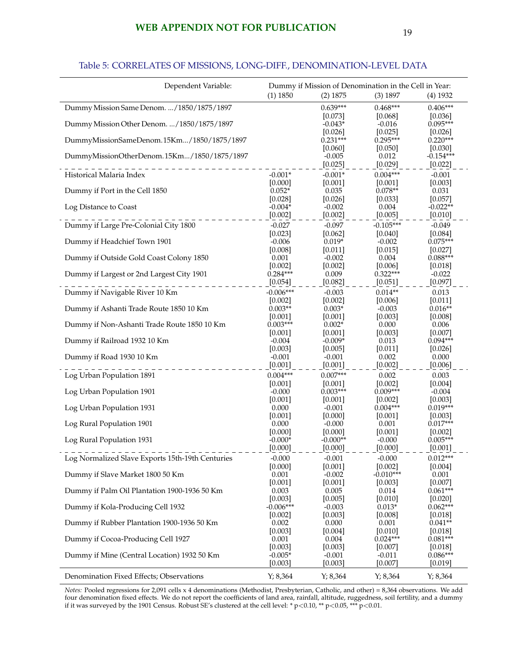## **WEB APPENDIX NOT FOR PUBLICATION** 19

## Table 5: CORRELATES OF MISSIONS, LONG-DIFF., DENOMINATION-LEVEL DATA

<span id="page-62-0"></span>

| Dependent Variable:                              | Dummy if Mission of Denomination in the Cell in Year: |                       |                         |                         |
|--------------------------------------------------|-------------------------------------------------------|-----------------------|-------------------------|-------------------------|
|                                                  | (1) 1850                                              | (2) 1875              | $(3)$ 1897              | $(4)$ 1932              |
| Dummy Mission Same Denom. /1850/1875/1897        |                                                       | $0.639***$            | $0.468***$              | $0.406***$              |
| Dummy Mission Other Denom.  / 1850/1875/1897     |                                                       | [0.073]<br>$-0.043*$  | [0.068]<br>$-0.016$     | [0.036]<br>$0.095***$   |
|                                                  |                                                       | [0.026]               | [0.025]                 | [0.026]                 |
| DummyMissionSameDenom.15Km/1850/1875/1897        |                                                       | $0.231***$<br>[0.060] | $0.295***$<br>$[0.050]$ | $0.220***$<br>$[0.030]$ |
| DummyMissionOtherDenom.15Km/1850/1875/1897       |                                                       | $-0.005$              | 0.012                   | $-0.154***$             |
|                                                  |                                                       | [0.025]               | [0.029]                 | [0.022]                 |
| Historical Malaria Index                         | $-0.001*$<br>[0.000]                                  | $-0.001*$<br>[0.001]  | $0.004***$<br>[0.001]   | $-0.001$<br>[0.003]     |
| Dummy if Port in the Cell 1850                   | $0.052*$                                              | 0.035                 | $0.078**$               | 0.031                   |
|                                                  | [0.028]                                               | [0.026]               | [0.033]                 | [0.057]                 |
| Log Distance to Coast                            | $-0.004*$<br>[0.002]                                  | $-0.002$<br>[0.002]   | 0.004<br>[0.005]        | $-0.022**$<br>[0.010]   |
| Dummy if Large Pre-Colonial City 1800            | $-0.027$                                              | $-0.097$              | $-0.105***$             | $-0.049$                |
|                                                  | [0.023]                                               | [0.062]               | [0.040]                 | [0.084]                 |
| Dummy if Headchief Town 1901                     | $-0.006$<br>[0.008]                                   | $0.019*$<br>[0.011]   | $-0.002$<br>[0.015]     | $0.075***$<br>[0.027]   |
| Dummy if Outside Gold Coast Colony 1850          | 0.001                                                 | $-0.002$              | 0.004                   | $0.088***$              |
|                                                  | [0.002]                                               | [0.002]               | [0.006]                 | $[0.018]$               |
| Dummy if Largest or 2nd Largest City 1901        | $0.284***$                                            | 0.009                 | $0.322***$              | $-0.022$                |
| Dummy if Navigable River 10 Km                   | $[0.054]$<br>$-0.006***$                              | [0.082]<br>$-0.003$   | [0.051]<br>$0.014**$    | [0.097]                 |
|                                                  | [0.002]                                               | [0.002]               | [0.006]                 | 0.013<br>[0.011]        |
| Dummy if Ashanti Trade Route 1850 10 Km          | $0.003**$                                             | $0.003*$              | $-0.003$                | $0.016**$               |
|                                                  | [0.001]                                               | [0.001]               | [0.003]                 | [0.008]                 |
| Dummy if Non-Ashanti Trade Route 1850 10 Km      | $0.003***$<br>[0.001]                                 | $0.002*$<br>[0.001]   | 0.000<br>[0.003]        | 0.006<br>[0.007]        |
| Dummy if Railroad 1932 10 Km                     | $-0.004$                                              | $-0.009*$             | 0.013                   | $0.094***$              |
|                                                  | [0.003]                                               | [0.005]               | [0.011]                 | [0.026]                 |
| Dummy if Road 1930 10 Km                         | $-0.001$<br>$[0.001]$                                 | $-0.001$<br>$[0.001]$ | 0.002<br>[0.002]        | 0.000<br>[0.006]        |
| Log Urban Population 1891                        | $0.004***$                                            | $0.007***$            | 0.002                   | 0.003                   |
|                                                  | [0.001]                                               | [0.001]               | [0.002]                 | [0.004]                 |
| Log Urban Population 1901                        | $-0.000$                                              | $0.003***$            | $0.009***$              | $-0.004$                |
| Log Urban Population 1931                        | [0.001]<br>0.000                                      | [0.001]<br>$-0.001$   | [0.002]<br>$0.004***$   | [0.003]<br>$0.019***$   |
|                                                  | $[0.001]$                                             | [0.000]               | $[0.001]$               | [0.003]                 |
| Log Rural Population 1901                        | 0.000                                                 | $-0.000$              | 0.001                   | $0.017***$              |
| Log Rural Population 1931                        | [0.000]<br>$-0.000*$                                  | [0.000]<br>$-0.000**$ | [0.001]<br>$-0.000$     | [0.002]<br>$0.005***$   |
|                                                  | $[0.000]$ -                                           | $-$ [0.000] $-$       | $[0.000]$ <sub>-</sub>  | [0.001]                 |
| Log Normalized Slave Exports 15th-19th Centuries | $-0.000$                                              | $-0.001$              | $-0.000$                | $0.012***$              |
|                                                  | [0.000]                                               | [0.001]               | [0.002]                 | $[0.004]$               |
| Dummy if Slave Market 1800 50 Km                 | 0.001<br>[0.001]                                      | $-0.002$<br>[0.001]   | $-0.010***$<br>[0.003]  | 0.001<br>[0.007]        |
| Dummy if Palm Oil Plantation 1900-1936 50 Km     | 0.003                                                 | 0.005                 | 0.014                   | $0.061***$              |
|                                                  | [0.003]                                               | [0.005]               | [0.010]                 | $[0.020]$               |
| Dummy if Kola-Producing Cell 1932                | $-0.006***$<br>[0.002]                                | $-0.003$<br>[0.003]   | $0.013*$<br>[0.008]     | $0.062***$<br>[0.018]   |
| Dummy if Rubber Plantation 1900-1936 50 Km       | 0.002                                                 | 0.000                 | 0.001                   | $0.041**$               |
|                                                  | [0.003]                                               | [0.004]               | [0.010]                 | [0.018]                 |
| Dummy if Cocoa-Producing Cell 1927               | 0.001<br>[0.003]                                      | 0.004<br>[0.003]      | $0.024***$<br>$[0.007]$ | $0.081***$<br>[0.018]   |
| Dummy if Mine (Central Location) 1932 50 Km      | $-0.005*$                                             | $-0.001$              | $-0.011$                | $0.086***$              |
|                                                  | [0.003]                                               | [0.003]               | [0.007]                 | [0.019]                 |
| Denomination Fixed Effects; Observations         | Y; 8,364                                              | Y; 8,364              | Y; 8,364                | Y; 8,364                |

*Notes:* Pooled regressions for 2,091 cells x 4 denominations (Methodist, Presbyterian, Catholic, and other) = 8,364 observations. We add four denomination fixed effects. We do not report the coefficients of land area, rainfall, altitude, ruggedness, soil fertility, and a dummy if it was surveyed by the 1901 Census. Robust SE's clustered at the cell level: \* p<0.10, \*\* p<0.05, \*\*\* p<0.01.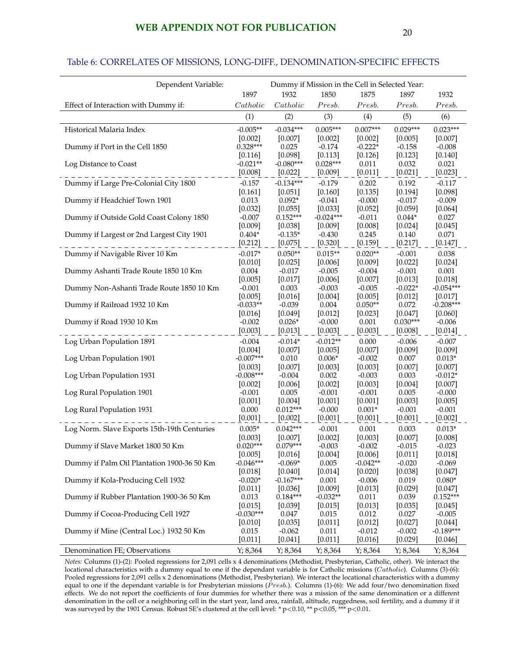#### Table 6: CORRELATES OF MISSIONS, LONG-DIFF., DENOMINATION-SPECIFIC EFFECTS

| Dependent Variable:                         | Dummy if Mission in the Cell in Selected Year: |                        |                     |                      |                      |                        |
|---------------------------------------------|------------------------------------------------|------------------------|---------------------|----------------------|----------------------|------------------------|
|                                             | 1897                                           | 1932                   | 1850                | 1875                 | 1897                 | 1932                   |
| Effect of Interaction with Dummy if:        | Catholic                                       | Catholic               | Presb.              | Presb.               | Presb.               | $\label{pres} Presb.$  |
|                                             | (1)                                            | (2)                    | (3)                 | (4)                  | (5)                  | (6)                    |
| Historical Malaria Index                    | $-0.005**$                                     | $-0.034***$            | $0.005***$          | $0.007***$           | $0.029***$           | $0.023***$             |
|                                             | [0.002]                                        | [0.007]                | [0.002]             | [0.002]              | [0.005]              | [0.007]                |
| Dummy if Port in the Cell 1850              | $0.328***$                                     | 0.025                  | $-0.174$            | $-0.222*$            | $-0.158$             | $-0.008$               |
|                                             | $[0.116]$                                      | [0.098]                | [0.113]             | [0.126]              | [0.123]              | [0.140]                |
| Log Distance to Coast                       | $-0.021**$                                     | $-0.080***$            | $0.028***$          | 0.011                | 0.032                | 0.021                  |
|                                             | [0.008]                                        | [0.022]                | [0.009]             | [0.011]              | [0.021]              | [0.023]                |
| Dummy if Large Pre-Colonial City 1800       | $-0.157$                                       | $-0.134***$            | $-0.179$            | 0.202                | 0.192                | $-0.117$               |
| Dummy if Headchief Town 1901                | [0.161]<br>0.013                               | $[0.051]$<br>$0.092*$  | [0.160]<br>$-0.041$ | [0.135]<br>$-0.000$  | [0.194]<br>$-0.017$  | [0.098]<br>$-0.009$    |
|                                             | [0.032]                                        | [0.055]                | [0.033]             | [0.052]              | [0.059]              | [0.064]                |
| Dummy if Outside Gold Coast Colony 1850     | $-0.007$                                       | $0.152***$             | $-0.024***$         | $-0.011$             | $0.044*$             | 0.027                  |
|                                             | [0.009]                                        | [0.038]                | [0.009]             | [0.008]              | [0.024]              | [0.045]                |
| Dummy if Largest or 2nd Largest City 1901   | $0.404*$                                       | $-0.135*$              | $-0.430$            | 0.245                | 0.140                | 0.071                  |
|                                             | [0.212]                                        | [0.075]                | [0.320]             | [0.159]              | [0.217]              | [0.147]                |
| Dummy if Navigable River 10 Km              | $-0.017*$                                      | $0.050**$              | $0.015**$           | $0.020**$            | $-0.001$             | 0.038                  |
|                                             | [0.010]                                        | [0.025]                | [0.006]             | [0.009]              | [0.022]              | [0.024]                |
| Dummy Ashanti Trade Route 1850 10 Km        | 0.004                                          | $-0.017$               | $-0.005$            | $-0.004$             | $-0.001$             | 0.001                  |
|                                             | [0.005]                                        | [0.017]                | [0.006]             | $[0.007]$            | [0.013]              | [0.018]                |
| Dummy Non-Ashanti Trade Route 1850 10 Km    | $-0.001$                                       | 0.003<br>[0.016]       | $-0.003$            | $-0.005$             | $-0.022*$<br>[0.012] | $-0.054***$<br>[0.017] |
| Dummy if Railroad 1932 10 Km                | [0.005]<br>$-0.033**$                          | $-0.039$               | [0.004]<br>0.004    | [0.005]<br>$0.050**$ | 0.072                | $-0.208***$            |
|                                             | [0.016]                                        | [0.049]                | [0.012]             | [0.023]              | [0.047]              | [0.060]                |
| Dummy if Road 1930 10 Km                    | $-0.002$                                       | $0.026*$               | $-0.000$            | 0.001                | $0.030***$           | $-0.006$               |
|                                             | [0.003]                                        | [0.013]                | [0.003]             | [0.003]              | [0.008]              | [0.014]                |
| Log Urban Population 1891                   | $-0.004$                                       | $-0.014*$              | $-0.012**$          | 0.000                | $-0.006$             | $-0.007$               |
|                                             | [0.004]                                        | [0.007]                | [0.005]             | [0.007]              | [0.009]              | [0.009]                |
| Log Urban Population 1901                   | $-0.007***$                                    | 0.010                  | $0.006*$            | $-0.002$             | 0.007                | $0.013*$               |
|                                             | $[0.003]$                                      | [0.007]                | [0.003]             | [0.003]              | [0.007]              | [0.007]                |
| Log Urban Population 1931                   | $-0.008***$                                    | $-0.004$               | 0.002               | $-0.003$             | 0.003                | $-0.012*$              |
| Log Rural Population 1901                   | $[0.002]$<br>$-0.001$                          | [0.006]<br>0.005       | [0.002]<br>$-0.001$ | [0.003]<br>$-0.001$  | [0.004]<br>0.005     | [0.007]<br>$-0.000$    |
|                                             | [0.001]                                        | [0.004]                | [0.001]             | [0.001]              | [0.003]              | [0.005]                |
| Log Rural Population 1931                   | 0.000                                          | $0.012***$             | $-0.000$            | $0.001*$             | $-0.001$             | $-0.001$               |
|                                             | [0.001]                                        | [0.002]                | [0.001]             | [0.001]              | [0.001]              | [0.002]                |
| Log Norm. Slave Exports 15th-19th Centuries | $0.005*$                                       | $0.042***$             | $-0.001$            | 0.001                | 0.003                | $0.013*$               |
|                                             | [0.003]                                        | [0.007]                | [0.002]             | [0.003]              | [0.007]              | [0.008]                |
| Dummy if Slave Market 1800 50 Km            | $0.020***$                                     | $0.079***$             | $-0.003$            | $-0.002$             | $-0.015$             | $-0.023$               |
|                                             | [0.005]                                        | [0.016]                | [0.004]             | [0.006]              | [0.011]              | [0.018]                |
| Dummy if Palm Oil Plantation 1900-36 50 Km  | $-0.046***$                                    | $-0.069*$              | 0.005               | $-0.042**$           | $-0.020$             | $-0.069$               |
| Dummy if Kola-Producing Cell 1932           | $[0.018]$                                      | [0.040]<br>$-0.167***$ | [0.014]             | [0.020]              | [0.038]              | [0.047]                |
|                                             | $-0.020*$<br>$[0.011]$                         | [0.036]                | 0.001<br>[0.009]    | $-0.006$<br>[0.013]  | 0.019<br>[0.029]     | $0.080*$<br>[0.047]    |
| Dummy if Rubber Plantation 1900-36 50 Km    | 0.013                                          | $0.184***$             | $-0.032**$          | 0.011                | 0.039                | $0.152***$             |
|                                             | [0.015]                                        | [0.039]                | [0.015]             | [0.013]              | [0.035]              | [0.045]                |
| Dummy if Cocoa-Producing Cell 1927          | $-0.030***$                                    | 0.047                  | 0.015               | 0.012                | 0.027                | $-0.005$               |
|                                             | $[0.010]$                                      | [0.035]                | [0.011]             | [0.012]              | [0.027]              | [0.044]                |
| Dummy if Mine (Central Loc.) 1932 50 Km     | 0.015                                          | $-0.062$               | 0.011               | $-0.012$             | $-0.002$             | $-0.189***$            |
|                                             | [0.011]                                        | $[0.041]$              | [0.011]             | [0.016]              | [0.029]              | $[0.046]$              |
| Denomination FE; Observations               | Y; 8,364                                       | Y; 8,364               | Y; 8,364            | Y; 8,364             | Y; 8,364             | Y; 8,364               |

*Notes:* Columns (1)-(2): Pooled regressions for 2,091 cells x 4 denominations (Methodist, Presbyterian, Catholic, other). We interact the locational characteristics with a dummy equal to one if the dependant variable is for Catholic missions (Catholic). Columns (3)-(6): Pooled regressions for 2,091 cells x 2 denominations (Methodist, Presbyterian). We interact the locational characteristics with a dummy equal to one if the dependant variable is for Presbyterian missions ( $\hat{P}resh$ ). Columns (1)-(6): We add four/two denomination fixed effects. We do not report the coefficients of four dummies for whether there was a mission of the same denomination or a different denomination in the cell or a neighboring cell in the start year, land area, rainfall, altitude, ruggedness, soil fertility, and a dummy if it was surveyed by the 1901 Census. Robust SE's clustered at the cell level: \* p<0.10, \*\* p<0.05, \*\*\* p<0.01.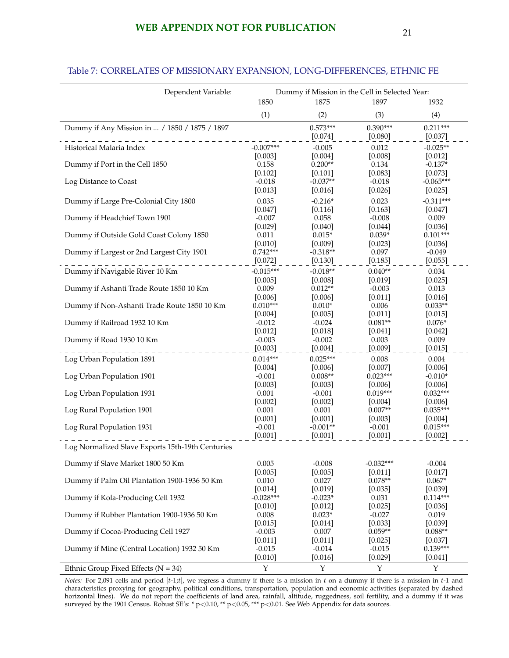## **WEB APPENDIX NOT FOR PUBLICATION** 21

| Dependent Variable:                              | Dummy if Mission in the Cell in Selected Year: |                  |                      |                       |  |  |  |
|--------------------------------------------------|------------------------------------------------|------------------|----------------------|-----------------------|--|--|--|
|                                                  | 1850                                           | 1875             | 1897                 | 1932                  |  |  |  |
|                                                  | (1)                                            | (2)              | (3)                  | (4)                   |  |  |  |
| Dummy if Any Mission in  / 1850 / 1875 / 1897    |                                                | $0.573***$       | $0.390***$           | $0.211***$            |  |  |  |
|                                                  |                                                | [0.074]          | [0.080]              | [0.037]               |  |  |  |
| Historical Malaria Index                         | $-0.007***$                                    | $-0.005$         | 0.012                | $-0.025**$            |  |  |  |
|                                                  | [0.003]                                        | [0.004]          | [0.008]              | [0.012]               |  |  |  |
| Dummy if Port in the Cell 1850                   | 0.158                                          | $0.200**$        | 0.134                | $-0.137*$             |  |  |  |
|                                                  | [0.102]                                        | [0.101]          | [0.083]              | [0.073]               |  |  |  |
| Log Distance to Coast                            | $-0.018$                                       | $-0.037**$       | $-0.018$             | $-0.065***$           |  |  |  |
|                                                  | [0.013]                                        | [0.016]          | [0.026]              | [0.025]               |  |  |  |
| Dummy if Large Pre-Colonial City 1800            | 0.035                                          | $-0.216*$        | 0.023                | $-0.311***$           |  |  |  |
|                                                  | [0.047]                                        | [0.116]          | [0.163]              | [0.047]               |  |  |  |
| Dummy if Headchief Town 1901                     | $-0.007$                                       | 0.058            | $-0.008$             | 0.009                 |  |  |  |
|                                                  | [0.029]                                        | [0.040]          | [0.044]              | [0.036]               |  |  |  |
| Dummy if Outside Gold Coast Colony 1850          | 0.011                                          | $0.015*$         | $0.039*$             | $0.101***$            |  |  |  |
|                                                  | [0.010]                                        | [0.009]          | [0.023]              | [0.036]               |  |  |  |
| Dummy if Largest or 2nd Largest City 1901        | $0.742***$                                     | $-0.318**$       | 0.097                | $-0.049$              |  |  |  |
|                                                  | [0.072]                                        | [0.130]          | [0.185]              | [0.055]               |  |  |  |
| Dummy if Navigable River 10 Km                   | $-0.015***$                                    | $-0.018**$       | $0.040**$            | 0.034                 |  |  |  |
|                                                  | [0.005]                                        | [0.008]          | [0.019]              | [0.025]               |  |  |  |
| Dummy if Ashanti Trade Route 1850 10 Km          | 0.009                                          | $0.012**$        | $-0.003$             | 0.013                 |  |  |  |
|                                                  | [0.006]                                        | [0.006]          | [0.011]              | [0.016]               |  |  |  |
| Dummy if Non-Ashanti Trade Route 1850 10 Km      | $0.010***$                                     | $0.010*$         | 0.006                | $0.033**$             |  |  |  |
|                                                  | [0.004]                                        | [0.005]          | $[0.011]$            | [0.015]               |  |  |  |
| Dummy if Railroad 1932 10 Km                     | $-0.012$                                       | $-0.024$         | $0.081**$            | $0.076*$              |  |  |  |
|                                                  | [0.012]                                        | [0.018]          | $[0.041]$            | $[0.042]$             |  |  |  |
| Dummy if Road 1930 10 Km                         | $-0.003$                                       | $-0.002$         | 0.003                | 0.009                 |  |  |  |
|                                                  | [0.003]                                        | [0.004]          | [0.009]              | [0.015]               |  |  |  |
| Log Urban Population 1891                        | $0.014***$                                     | $0.025***$       | 0.008                | 0.004                 |  |  |  |
|                                                  | [0.004]                                        | [0.006]          | [0.007]              | [0.006]               |  |  |  |
| Log Urban Population 1901                        | $-0.001$                                       | $0.008**$        | $0.023***$           | $-0.010*$             |  |  |  |
|                                                  | [0.003]                                        | [0.003]          | [0.006]              | [0.006]               |  |  |  |
| Log Urban Population 1931                        | 0.001                                          | $-0.001$         | $0.019***$           | $0.032***$            |  |  |  |
|                                                  | [0.002]<br>0.001                               | [0.002]<br>0.001 | [0.004]<br>$0.007**$ | [0.006]<br>$0.035***$ |  |  |  |
| Log Rural Population 1901                        | [0.001]                                        | [0.001]          | [0.003]              | $[0.004]$             |  |  |  |
| Log Rural Population 1931                        | $-0.001$                                       | $-0.001**$       | $-0.001$             | $0.015***$            |  |  |  |
|                                                  | [0.001]                                        | [0.001]          | [0.001]              | [0.002]               |  |  |  |
| Log Normalized Slave Exports 15th-19th Centuries |                                                |                  |                      |                       |  |  |  |
|                                                  |                                                |                  |                      |                       |  |  |  |
| Dummy if Slave Market 1800 50 Km                 | 0.005                                          | $-0.008$         | $-0.032***$          | $-0.004$              |  |  |  |
|                                                  | [0.005]                                        | [0.005]          | [0.011]              | [0.017]               |  |  |  |
| Dummy if Palm Oil Plantation 1900-1936 50 Km     | 0.010                                          | 0.027            | $0.078**$            | $0.067*$              |  |  |  |
|                                                  | [0.014]                                        | [0.019]          | [0.035]              | [0.039]               |  |  |  |
| Dummy if Kola-Producing Cell 1932                | $-0.028***$                                    | $-0.023*$        | 0.031                | $0.114***$            |  |  |  |
|                                                  | [0.010]                                        | [0.012]          | [0.025]              | [0.036]               |  |  |  |
| Dummy if Rubber Plantation 1900-1936 50 Km       | 0.008                                          | $0.023*$         | $-0.027$             | 0.019                 |  |  |  |
|                                                  | [0.015]                                        | [0.014]          | [0.033]              | [0.039]               |  |  |  |
| Dummy if Cocoa-Producing Cell 1927               | $-0.003$                                       | 0.007            | $0.059**$            | $0.088**$             |  |  |  |
|                                                  | [0.011]                                        | [0.011]          | [0.025]              | $[0.037]$             |  |  |  |
| Dummy if Mine (Central Location) 1932 50 Km      | $-0.015$                                       | $-0.014$         | $-0.015$             | $0.139***$            |  |  |  |
|                                                  | [0.010]                                        | [0.016]          | [0.029]              | $[0.041]$             |  |  |  |
| Ethnic Group Fixed Effects ( $N = 34$ )          | $\mathbf Y$                                    | Y                | $\mathbf Y$          | Y                     |  |  |  |

### Table 7: CORRELATES OF MISSIONARY EXPANSION, LONG-DIFFERENCES, ETHNIC FE

*Notes:* For 2,091 cells and period  $[t-1,t]$ , we regress a dummy if there is a mission in t on a dummy if there is a mission in  $t-1$  and characteristics proxying for geography, political conditions, transportation, population and economic activities (separated by dashed horizontal lines). We do not report the coefficients of land area, rainfall, altitude, ruggedness, soil fertility, and a dummy if it was surveyed by the 1901 Census. Robust SE's: \* p<0.10, \*\* p<0.05, \*\*\* p<0.01. See Web Appendix for data sources.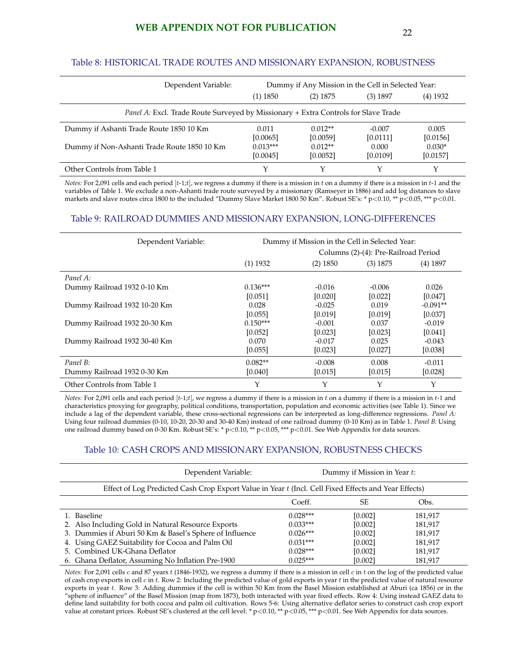#### Table 8: HISTORICAL TRADE ROUTES AND MISSIONARY EXPANSION, ROBUSTNESS

| Dependent Variable:                                                                       | Dummy if Any Mission in the Cell in Selected Year: |            |            |            |  |  |  |  |
|-------------------------------------------------------------------------------------------|----------------------------------------------------|------------|------------|------------|--|--|--|--|
|                                                                                           | (1) 1850                                           | $(2)$ 1875 | $(3)$ 1897 | $(4)$ 1932 |  |  |  |  |
| <i>Panel A: Excl. Trade Route Surveyed by Missionary + Extra Controls for Slave Trade</i> |                                                    |            |            |            |  |  |  |  |
| Dummy if Ashanti Trade Route 1850 10 Km                                                   | 0.011                                              | $0.012**$  | $-0.007$   | 0.005      |  |  |  |  |
|                                                                                           | [0.0065]                                           | [0.0059]   | [0.0111]   | [0.0156]   |  |  |  |  |
| Dummy if Non-Ashanti Trade Route 1850 10 Km                                               | $0.013***$                                         | $0.012**$  | 0.000      | $0.030*$   |  |  |  |  |
|                                                                                           | [0.0045]                                           | [0.0052]   | [0.0109]   | [0.0157]   |  |  |  |  |
| Other Controls from Table 1                                                               |                                                    |            |            |            |  |  |  |  |

*Notes:* For 2,091 cells and each period [t-1;t], we regress a dummy if there is a mission in t on a dummy if there is a mission in t-1 and the variables of Table 1. We exclude a non-Ashanti trade route surveyed by a missionary (Ramseyer in 1886) and add log distances to slave markets and slave routes circa 1800 to the included "Dummy Slave Market 1800 50 Km". Robust SE's: \* p<0.10, \*\* p<0.05, \*\*\* p<0.01.

#### Table 9: RAILROAD DUMMIES AND MISSIONARY EXPANSION, LONG-DIFFERENCES

| Dependent Variable:          | Dummy if Mission in the Cell in Selected Year: |            |                                      |            |
|------------------------------|------------------------------------------------|------------|--------------------------------------|------------|
|                              |                                                |            | Columns (2)-(4): Pre-Railroad Period |            |
|                              | $(1)$ 1932                                     | $(2)$ 1850 | $(3)$ 1875                           | $(4)$ 1897 |
| Panel A:                     |                                                |            |                                      |            |
| Dummy Railroad 1932 0-10 Km  | $0.136***$                                     | $-0.016$   | $-0.006$                             | 0.026      |
|                              | [0.051]                                        | [0.020]    | [0.022]                              | [0.047]    |
| Dummy Railroad 1932 10-20 Km | 0.028                                          | $-0.025$   | 0.019                                | $-0.091**$ |
|                              | [0.055]                                        | [0.019]    | [0.019]                              | [0.037]    |
| Dummy Railroad 1932 20-30 Km | $0.150***$                                     | $-0.001$   | 0.037                                | $-0.019$   |
|                              | [0.052]                                        | [0.023]    | [0.023]                              | [0.041]    |
| Dummy Railroad 1932 30-40 Km | 0.070                                          | $-0.017$   | 0.025                                | $-0.043$   |
|                              | [0.055]                                        | [0.023]    | [0.027]                              | [0.038]    |
| Panel B:                     | $0.082**$                                      | $-0.008$   | 0.008                                | $-0.011$   |
| Dummy Railroad 1932 0-30 Km  | [0.040]                                        | [0.015]    | [0.015]                              | [0.028]    |
| Other Controls from Table 1  | Υ                                              | Υ          | Υ                                    | Υ          |

*Notes:* For 2,091 cells and each period [t-1;t], we regress a dummy if there is a mission in t on a dummy if there is a mission in t-1 and characteristics proxying for geography, political conditions, transportation, population and economic activities (see Table 1). Since we include a lag of the dependent variable, these cross-sectional regressions can be interpreted as long-difference regressions. *Panel A:* Using four railroad dummies (0-10, 10-20, 20-30 and 30-40 Km) instead of one railroad dummy (0-10 Km) as in Table 1. *Panel B:* Using one railroad dummy based on 0-30 Km. Robust SE's: \* p<0.10, \*\* p<0.05, \*\*\* p<0.01. See Web Appendix for data sources.

#### Table 10: CASH CROPS AND MISSIONARY EXPANSION, ROBUSTNESS CHECKS

| Dependent Variable:                                                                                  |            | Dummy if Mission in Year t: |         |  |  |  |  |
|------------------------------------------------------------------------------------------------------|------------|-----------------------------|---------|--|--|--|--|
| Effect of Log Predicted Cash Crop Export Value in Year t (Incl. Cell Fixed Effects and Year Effects) |            |                             |         |  |  |  |  |
|                                                                                                      | Coeff.     | SE                          | Obs.    |  |  |  |  |
| 1. Baseline                                                                                          | $0.028***$ | [0.002]                     | 181.917 |  |  |  |  |
| 2. Also Including Gold in Natural Resource Exports                                                   | $0.033***$ | [0.002]                     | 181,917 |  |  |  |  |
| 3. Dummies if Aburi 50 Km & Basel's Sphere of Influence                                              | $0.026***$ | [0.002]                     | 181,917 |  |  |  |  |
| 4. Using GAEZ Suitability for Cocoa and Palm Oil                                                     | $0.031***$ | [0.002]                     | 181,917 |  |  |  |  |
| 5. Combined UK-Ghana Deflator                                                                        | $0.028***$ | [0.002]                     | 181,917 |  |  |  |  |
| 6. Ghana Deflator, Assuming No Inflation Pre-1900                                                    | $0.025***$ | [0.002]                     | 181,917 |  |  |  |  |

*Notes:* For 2,091 cells c and 87 years t (1846-1932), we regress a dummy if there is a mission in cell c in t on the log of the predicted value of cash crop exports in cell  $c$  in  $t$ . Row 2: Including the predicted value of gold exports in year  $t$  in the predicted value of natural resource exports in year t. Row 3: Adding dummies if the cell is within 50 Km from the Basel Mission established at Aburi (ca 1856) or in the "sphere of influence" of the Basel Mission (map from 1873), both interacted with year fixed effects. Row 4: Using instead GAEZ data to define land suitability for both cocoa and palm oil cultivation. Rows 5-6: Using alternative deflator series to construct cash crop export value at constant prices. Robust SE's clustered at the cell level: \* p<0.10, \*\* p<0.05, \*\*\* p<0.01. See Web Appendix for data sources.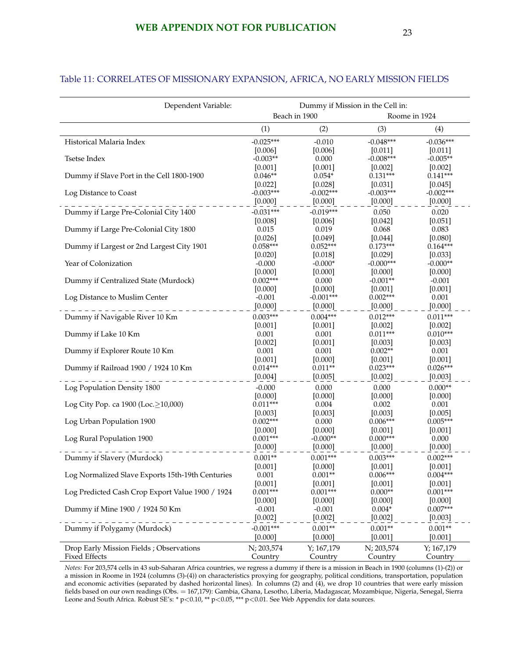|                                                  | Beach in 1900         |                       |                       | Roome in 1924         |
|--------------------------------------------------|-----------------------|-----------------------|-----------------------|-----------------------|
|                                                  | (1)                   | (2)                   | (3)                   | (4)                   |
| Historical Malaria Index                         | $-0.025***$           | $-0.010$              | $-0.048***$           | $-0.036***$           |
|                                                  | [0.006]               | [0.006]               | [0.011]               | [0.011]               |
| Tsetse Index                                     | $-0.003**$            | 0.000                 | $-0.008***$           | $-0.005**$            |
|                                                  | [0.001]               | [0.001]               | [0.002]               | [0.002]               |
| Dummy if Slave Port in the Cell 1800-1900        | $0.046**$             | $0.054*$              | $0.131***$            | $0.141***$            |
|                                                  | [0.022]               | [0.028]               | [0.031]               | [0.045]               |
| Log Distance to Coast                            | $-0.003***$           | $-0.002***$           | $-0.003***$           | $-0.002***$           |
|                                                  | [0.000]               | $[0.000]$             | [0.000]               | [0.000]               |
| Dummy if Large Pre-Colonial City 1400            | $-0.031***$           | $-0.019***$           | 0.050                 | 0.020                 |
|                                                  | [0.008]               | [0.006]               | [0.042]               | [0.051]               |
| Dummy if Large Pre-Colonial City 1800            | 0.015                 | 0.019                 | 0.068                 | 0.083                 |
|                                                  | [0.026]<br>$0.058***$ | [0.049]<br>$0.052***$ | [0.044]<br>$0.173***$ | [0.080]<br>$0.164***$ |
| Dummy if Largest or 2nd Largest City 1901        | $[0.020]$             | [0.018]               | [0.029]               | [0.033]               |
| Year of Colonization                             | $-0.000$              | $-0.000*$             | $-0.000***$           | $-0.000**$            |
|                                                  | [0.000]               | [0.000]               | $[0.000]$             | [0.000]               |
| Dummy if Centralized State (Murdock)             | $0.002***$            | 0.000                 | $-0.001**$            | $-0.001$              |
|                                                  | [0.000]               | [0.000]               | [0.001]               | [0.001]               |
| Log Distance to Muslim Center                    | $-0.001$              | $-0.001***$           | $0.002***$            | 0.001                 |
|                                                  | [0.000]               | $[0.000]$             | [0.000]               | [0.000]               |
| Dummy if Navigable River 10 Km                   | $0.003***$            | $0.004***$            | $0.012***$            | $0.011***$            |
|                                                  | [0.001]               | [0.001]               | [0.002]               | [0.002]               |
| Dummy if Lake 10 Km                              | 0.001                 | 0.001                 | $0.011***$            | $0.010***$            |
|                                                  | [0.002]               | [0.001]               | [0.003]               | [0.003]               |
| Dummy if Explorer Route 10 Km                    | 0.001                 | 0.001                 | $0.002**$             | 0.001                 |
|                                                  | [0.001]               | [0.000]               | [0.001]               | [0.001]               |
| Dummy if Railroad 1900 / 1924 10 Km              | $0.014***$            | $0.011**$             | $0.023***$            | $0.026***$            |
|                                                  | [0.004]               | [0.005]               | [0.002]               | [0.003]               |
| Log Population Density 1800                      | $-0.000$              | 0.000                 | 0.000                 | $0.000**$             |
|                                                  | [0.000]               | [0.000]               | [0.000]               | [0.000]               |
| Log City Pop. ca 1900 (Loc.≥10,000)              | $0.011***$            | 0.004                 | 0.002                 | 0.001                 |
|                                                  | [0.003]<br>$0.002***$ | [0.003]<br>0.000      | [0.003]<br>$0.006***$ | [0.005]<br>$0.005***$ |
| Log Urban Population 1900                        | [0.000]               | [0.000]               | [0.001]               | [0.001]               |
| Log Rural Population 1900                        | $0.001***$            | $-0.000**$            | $0.000***$            | 0.000                 |
|                                                  | [0.000]               | [0.000]               | $[0.000]$             | [0.000]               |
| Dummy if Slavery (Murdock)                       | $0.001**$             | $0.001***$            | $0.003***$            | $0.002***$            |
|                                                  | [0.001]               | [0.000]               | [0.001]               | [0.001]               |
| Log Normalized Slave Exports 15th-19th Centuries | 0.001                 | $0.001**$             | $0.006***$            | $0.004***$            |
|                                                  | [0.001]               | [0.001]               | [0.001]               | [0.001]               |
| Log Predicted Cash Crop Export Value 1900 / 1924 | $0.001***$            | $0.001***$            | $0.000**$             | $0.001***$            |
|                                                  | [0.000]               | [0.000]               | [0.000]               | [0.000]               |
| Dummy if Mine 1900 / 1924 50 Km                  | $-0.001$              | $-0.001$              | $0.004*$              | $0.007***$            |
|                                                  | [0.002]               | [0.002]               | [0.002]               | [0.003]               |
| Dummy if Polygamy (Murdock)                      | $-0.001***$           | $0.001**$             | $0.001**$             | $0.001**$             |
|                                                  | [0.000]               | [0.000]               | [0.001]               | [0.001]               |
| Drop Early Mission Fields; Observations          | N; 203,574            | Y; 167,179            | N; 203,574            | Y; 167,179            |

### Table 11: CORRELATES OF MISSIONARY EXPANSION, AFRICA, NO EARLY MISSION FIELDS

Dependent Variable: Dummy if Mission in the Cell in:

*Notes:* For 203,574 cells in 43 sub-Saharan Africa countries, we regress a dummy if there is a mission in Beach in 1900 (columns (1)-(2)) or a mission in Roome in 1924 (columns (3)-(4)) on characteristics proxying for geography, political conditions, transportation, population and economic activities (separated by dashed horizontal lines). In columns (2) and (4), we drop 10 countries that were early mission fields based on our own readings (Obs. = 167,179): Gambia, Ghana, Lesotho, Liberia, Madagascar, Mozambique, Nigeria, Senegal, Sierra Leone and South Africa. Robust SE's: \* p<0.10, \*\* p<0.05, \*\*\* p<0.01. See Web Appendix for data sources.

Fixed Effects Country Country Country Country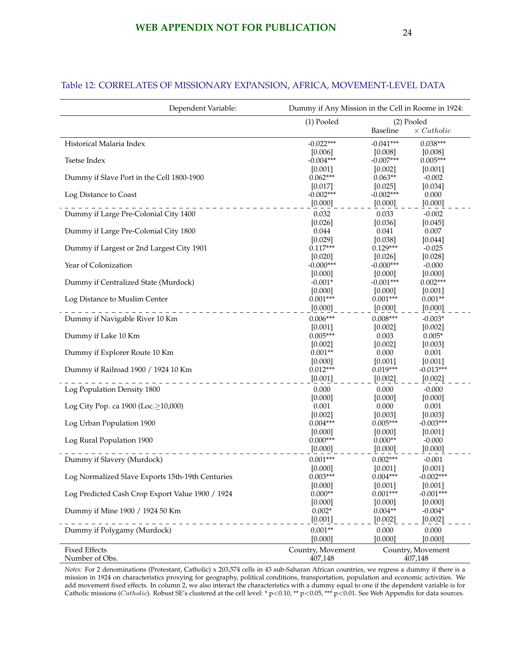| (1) Pooled<br>(2) Pooled<br><b>Baseline</b><br>$\times$ Catholic<br>$0.038***$<br>Historical Malaria Index<br>$-0.022***$<br>$-0.041***$<br>[0.006]<br>[0.008]<br>[0.008]<br>$-0.004***$<br>$-0.007***$<br>$0.005***$<br>Tsetse Index<br>[0.001]<br>[0.001]<br>[0.002]<br>$0.062***$<br>Dummy if Slave Port in the Cell 1800-1900<br>$0.063**$<br>$-0.002$<br>[0.017]<br>[0.034]<br>[0.025]<br>$-0.002***$<br>$-0.002***$<br>0.000<br>Log Distance to Coast<br>[0.000]<br>[0.000]<br>[0.000]<br>0.032<br>0.033<br>$-0.002$<br>Dummy if Large Pre-Colonial City 1400<br>[0.026]<br>[0.036]<br>[0.045]<br>Dummy if Large Pre-Colonial City 1800<br>0.044<br>0.041<br>0.007<br>[0.029]<br>[0.038]<br>[0.044]<br>$0.117***$<br>$0.129***$<br>Dummy if Largest or 2nd Largest City 1901<br>$-0.025$<br>[0.020]<br>[0.026]<br>[0.028]<br>Year of Colonization<br>$-0.000***$<br>$-0.000***$<br>$-0.000$<br>[0.000]<br>[0.000]<br>[0.000]<br>$0.002***$<br>Dummy if Centralized State (Murdock)<br>$-0.001*$<br>$-0.001***$<br>[0.000]<br>[0.000]<br>[0.001]<br>$0.001***$<br>$0.001***$<br>$0.001**$<br>Log Distance to Muslim Center<br>[0.000]<br>[0.000]<br>[0.000]<br>$0.006***$<br>$0.008***$<br>$-0.003*$<br>Dummy if Navigable River 10 Km<br>$[0.001]$<br>[0.002]<br>[0.002]<br>$0.005***$<br>$0.005*$<br>Dummy if Lake 10 Km<br>0.003<br>[0.002]<br>[0.002]<br>[0.003]<br>$0.001**$<br>0.001<br>0.000<br>Dummy if Explorer Route 10 Km<br>[0.000]<br>[0.001]<br>[0.001]<br>$0.012***$<br>$0.019***$<br>$-0.013***$<br>Dummy if Railroad 1900 / 1924 10 Km<br>[0.001]<br>[0.002]<br>$[0.002]$<br>0.000<br>0.000<br>$-0.000$<br>Log Population Density 1800<br>[0.000]<br>[0.000]<br>[0.000]<br>Log City Pop. ca 1900 (Loc.≥10,000)<br>0.001<br>0.000<br>0.001<br>[0.002]<br>[0.003]<br>[0.003]<br>$-0.003***$<br>$0.004***$<br>$0.005***$<br>Log Urban Population 1900<br>[0.001]<br>[0.000]<br>[0.000]<br>$0.000***$<br>Log Rural Population 1900<br>$0.000**$<br>$-0.000$<br>[0.000]<br>[0.000]<br>[0.000]<br>$0.001***$<br>$0.002***$<br>Dummy if Slavery (Murdock)<br>$-0.001$<br>[0.000]<br>[0.001]<br>[0.001]<br>Log Normalized Slave Exports 15th-19th Centuries<br>$0.003***$<br>$0.004***$<br>$-0.002***$<br>[0.000]<br>[0.001]<br>[0.001]<br>$0.000**$<br>$0.001***$<br>$-0.001***$<br>Log Predicted Cash Crop Export Value 1900 / 1924<br>[0.000]<br>[0.000]<br>[0.000]<br>$0.002*$<br>$0.004**$<br>$-0.004*$<br>Dummy if Mine 1900 / 1924 50 Km<br>[0.001]<br>[0.002]<br>[0.002]<br>$0.001**$<br>0.000<br>Dummy if Polygamy (Murdock)<br>0.000<br>[0.000]<br>[0.000]<br>[0.000]<br><b>Fixed Effects</b><br>Country, Movement<br>Country, Movement<br>Number of Obs.<br>407,148 | Dependent Variable: | Dummy if Any Mission in the Cell in Roome in 1924: |  |  |  |
|----------------------------------------------------------------------------------------------------------------------------------------------------------------------------------------------------------------------------------------------------------------------------------------------------------------------------------------------------------------------------------------------------------------------------------------------------------------------------------------------------------------------------------------------------------------------------------------------------------------------------------------------------------------------------------------------------------------------------------------------------------------------------------------------------------------------------------------------------------------------------------------------------------------------------------------------------------------------------------------------------------------------------------------------------------------------------------------------------------------------------------------------------------------------------------------------------------------------------------------------------------------------------------------------------------------------------------------------------------------------------------------------------------------------------------------------------------------------------------------------------------------------------------------------------------------------------------------------------------------------------------------------------------------------------------------------------------------------------------------------------------------------------------------------------------------------------------------------------------------------------------------------------------------------------------------------------------------------------------------------------------------------------------------------------------------------------------------------------------------------------------------------------------------------------------------------------------------------------------------------------------------------------------------------------------------------------------------------------------------------------------------------------------------------------------------------------------------------------------------------------------------------------------------------------------------------------------------------------------------------------------------------------------------------------------------------|---------------------|----------------------------------------------------|--|--|--|
|                                                                                                                                                                                                                                                                                                                                                                                                                                                                                                                                                                                                                                                                                                                                                                                                                                                                                                                                                                                                                                                                                                                                                                                                                                                                                                                                                                                                                                                                                                                                                                                                                                                                                                                                                                                                                                                                                                                                                                                                                                                                                                                                                                                                                                                                                                                                                                                                                                                                                                                                                                                                                                                                                              |                     |                                                    |  |  |  |
|                                                                                                                                                                                                                                                                                                                                                                                                                                                                                                                                                                                                                                                                                                                                                                                                                                                                                                                                                                                                                                                                                                                                                                                                                                                                                                                                                                                                                                                                                                                                                                                                                                                                                                                                                                                                                                                                                                                                                                                                                                                                                                                                                                                                                                                                                                                                                                                                                                                                                                                                                                                                                                                                                              |                     |                                                    |  |  |  |
|                                                                                                                                                                                                                                                                                                                                                                                                                                                                                                                                                                                                                                                                                                                                                                                                                                                                                                                                                                                                                                                                                                                                                                                                                                                                                                                                                                                                                                                                                                                                                                                                                                                                                                                                                                                                                                                                                                                                                                                                                                                                                                                                                                                                                                                                                                                                                                                                                                                                                                                                                                                                                                                                                              |                     |                                                    |  |  |  |
|                                                                                                                                                                                                                                                                                                                                                                                                                                                                                                                                                                                                                                                                                                                                                                                                                                                                                                                                                                                                                                                                                                                                                                                                                                                                                                                                                                                                                                                                                                                                                                                                                                                                                                                                                                                                                                                                                                                                                                                                                                                                                                                                                                                                                                                                                                                                                                                                                                                                                                                                                                                                                                                                                              |                     |                                                    |  |  |  |
|                                                                                                                                                                                                                                                                                                                                                                                                                                                                                                                                                                                                                                                                                                                                                                                                                                                                                                                                                                                                                                                                                                                                                                                                                                                                                                                                                                                                                                                                                                                                                                                                                                                                                                                                                                                                                                                                                                                                                                                                                                                                                                                                                                                                                                                                                                                                                                                                                                                                                                                                                                                                                                                                                              |                     |                                                    |  |  |  |
|                                                                                                                                                                                                                                                                                                                                                                                                                                                                                                                                                                                                                                                                                                                                                                                                                                                                                                                                                                                                                                                                                                                                                                                                                                                                                                                                                                                                                                                                                                                                                                                                                                                                                                                                                                                                                                                                                                                                                                                                                                                                                                                                                                                                                                                                                                                                                                                                                                                                                                                                                                                                                                                                                              |                     |                                                    |  |  |  |
|                                                                                                                                                                                                                                                                                                                                                                                                                                                                                                                                                                                                                                                                                                                                                                                                                                                                                                                                                                                                                                                                                                                                                                                                                                                                                                                                                                                                                                                                                                                                                                                                                                                                                                                                                                                                                                                                                                                                                                                                                                                                                                                                                                                                                                                                                                                                                                                                                                                                                                                                                                                                                                                                                              |                     |                                                    |  |  |  |
|                                                                                                                                                                                                                                                                                                                                                                                                                                                                                                                                                                                                                                                                                                                                                                                                                                                                                                                                                                                                                                                                                                                                                                                                                                                                                                                                                                                                                                                                                                                                                                                                                                                                                                                                                                                                                                                                                                                                                                                                                                                                                                                                                                                                                                                                                                                                                                                                                                                                                                                                                                                                                                                                                              |                     |                                                    |  |  |  |
|                                                                                                                                                                                                                                                                                                                                                                                                                                                                                                                                                                                                                                                                                                                                                                                                                                                                                                                                                                                                                                                                                                                                                                                                                                                                                                                                                                                                                                                                                                                                                                                                                                                                                                                                                                                                                                                                                                                                                                                                                                                                                                                                                                                                                                                                                                                                                                                                                                                                                                                                                                                                                                                                                              |                     |                                                    |  |  |  |
|                                                                                                                                                                                                                                                                                                                                                                                                                                                                                                                                                                                                                                                                                                                                                                                                                                                                                                                                                                                                                                                                                                                                                                                                                                                                                                                                                                                                                                                                                                                                                                                                                                                                                                                                                                                                                                                                                                                                                                                                                                                                                                                                                                                                                                                                                                                                                                                                                                                                                                                                                                                                                                                                                              |                     |                                                    |  |  |  |
|                                                                                                                                                                                                                                                                                                                                                                                                                                                                                                                                                                                                                                                                                                                                                                                                                                                                                                                                                                                                                                                                                                                                                                                                                                                                                                                                                                                                                                                                                                                                                                                                                                                                                                                                                                                                                                                                                                                                                                                                                                                                                                                                                                                                                                                                                                                                                                                                                                                                                                                                                                                                                                                                                              |                     |                                                    |  |  |  |
|                                                                                                                                                                                                                                                                                                                                                                                                                                                                                                                                                                                                                                                                                                                                                                                                                                                                                                                                                                                                                                                                                                                                                                                                                                                                                                                                                                                                                                                                                                                                                                                                                                                                                                                                                                                                                                                                                                                                                                                                                                                                                                                                                                                                                                                                                                                                                                                                                                                                                                                                                                                                                                                                                              |                     |                                                    |  |  |  |
|                                                                                                                                                                                                                                                                                                                                                                                                                                                                                                                                                                                                                                                                                                                                                                                                                                                                                                                                                                                                                                                                                                                                                                                                                                                                                                                                                                                                                                                                                                                                                                                                                                                                                                                                                                                                                                                                                                                                                                                                                                                                                                                                                                                                                                                                                                                                                                                                                                                                                                                                                                                                                                                                                              |                     |                                                    |  |  |  |
|                                                                                                                                                                                                                                                                                                                                                                                                                                                                                                                                                                                                                                                                                                                                                                                                                                                                                                                                                                                                                                                                                                                                                                                                                                                                                                                                                                                                                                                                                                                                                                                                                                                                                                                                                                                                                                                                                                                                                                                                                                                                                                                                                                                                                                                                                                                                                                                                                                                                                                                                                                                                                                                                                              |                     |                                                    |  |  |  |
|                                                                                                                                                                                                                                                                                                                                                                                                                                                                                                                                                                                                                                                                                                                                                                                                                                                                                                                                                                                                                                                                                                                                                                                                                                                                                                                                                                                                                                                                                                                                                                                                                                                                                                                                                                                                                                                                                                                                                                                                                                                                                                                                                                                                                                                                                                                                                                                                                                                                                                                                                                                                                                                                                              |                     |                                                    |  |  |  |
|                                                                                                                                                                                                                                                                                                                                                                                                                                                                                                                                                                                                                                                                                                                                                                                                                                                                                                                                                                                                                                                                                                                                                                                                                                                                                                                                                                                                                                                                                                                                                                                                                                                                                                                                                                                                                                                                                                                                                                                                                                                                                                                                                                                                                                                                                                                                                                                                                                                                                                                                                                                                                                                                                              |                     |                                                    |  |  |  |
|                                                                                                                                                                                                                                                                                                                                                                                                                                                                                                                                                                                                                                                                                                                                                                                                                                                                                                                                                                                                                                                                                                                                                                                                                                                                                                                                                                                                                                                                                                                                                                                                                                                                                                                                                                                                                                                                                                                                                                                                                                                                                                                                                                                                                                                                                                                                                                                                                                                                                                                                                                                                                                                                                              |                     |                                                    |  |  |  |
|                                                                                                                                                                                                                                                                                                                                                                                                                                                                                                                                                                                                                                                                                                                                                                                                                                                                                                                                                                                                                                                                                                                                                                                                                                                                                                                                                                                                                                                                                                                                                                                                                                                                                                                                                                                                                                                                                                                                                                                                                                                                                                                                                                                                                                                                                                                                                                                                                                                                                                                                                                                                                                                                                              |                     |                                                    |  |  |  |
|                                                                                                                                                                                                                                                                                                                                                                                                                                                                                                                                                                                                                                                                                                                                                                                                                                                                                                                                                                                                                                                                                                                                                                                                                                                                                                                                                                                                                                                                                                                                                                                                                                                                                                                                                                                                                                                                                                                                                                                                                                                                                                                                                                                                                                                                                                                                                                                                                                                                                                                                                                                                                                                                                              |                     |                                                    |  |  |  |
|                                                                                                                                                                                                                                                                                                                                                                                                                                                                                                                                                                                                                                                                                                                                                                                                                                                                                                                                                                                                                                                                                                                                                                                                                                                                                                                                                                                                                                                                                                                                                                                                                                                                                                                                                                                                                                                                                                                                                                                                                                                                                                                                                                                                                                                                                                                                                                                                                                                                                                                                                                                                                                                                                              |                     |                                                    |  |  |  |
|                                                                                                                                                                                                                                                                                                                                                                                                                                                                                                                                                                                                                                                                                                                                                                                                                                                                                                                                                                                                                                                                                                                                                                                                                                                                                                                                                                                                                                                                                                                                                                                                                                                                                                                                                                                                                                                                                                                                                                                                                                                                                                                                                                                                                                                                                                                                                                                                                                                                                                                                                                                                                                                                                              |                     |                                                    |  |  |  |
|                                                                                                                                                                                                                                                                                                                                                                                                                                                                                                                                                                                                                                                                                                                                                                                                                                                                                                                                                                                                                                                                                                                                                                                                                                                                                                                                                                                                                                                                                                                                                                                                                                                                                                                                                                                                                                                                                                                                                                                                                                                                                                                                                                                                                                                                                                                                                                                                                                                                                                                                                                                                                                                                                              |                     |                                                    |  |  |  |
|                                                                                                                                                                                                                                                                                                                                                                                                                                                                                                                                                                                                                                                                                                                                                                                                                                                                                                                                                                                                                                                                                                                                                                                                                                                                                                                                                                                                                                                                                                                                                                                                                                                                                                                                                                                                                                                                                                                                                                                                                                                                                                                                                                                                                                                                                                                                                                                                                                                                                                                                                                                                                                                                                              |                     |                                                    |  |  |  |
|                                                                                                                                                                                                                                                                                                                                                                                                                                                                                                                                                                                                                                                                                                                                                                                                                                                                                                                                                                                                                                                                                                                                                                                                                                                                                                                                                                                                                                                                                                                                                                                                                                                                                                                                                                                                                                                                                                                                                                                                                                                                                                                                                                                                                                                                                                                                                                                                                                                                                                                                                                                                                                                                                              |                     |                                                    |  |  |  |
|                                                                                                                                                                                                                                                                                                                                                                                                                                                                                                                                                                                                                                                                                                                                                                                                                                                                                                                                                                                                                                                                                                                                                                                                                                                                                                                                                                                                                                                                                                                                                                                                                                                                                                                                                                                                                                                                                                                                                                                                                                                                                                                                                                                                                                                                                                                                                                                                                                                                                                                                                                                                                                                                                              |                     |                                                    |  |  |  |
|                                                                                                                                                                                                                                                                                                                                                                                                                                                                                                                                                                                                                                                                                                                                                                                                                                                                                                                                                                                                                                                                                                                                                                                                                                                                                                                                                                                                                                                                                                                                                                                                                                                                                                                                                                                                                                                                                                                                                                                                                                                                                                                                                                                                                                                                                                                                                                                                                                                                                                                                                                                                                                                                                              |                     |                                                    |  |  |  |
|                                                                                                                                                                                                                                                                                                                                                                                                                                                                                                                                                                                                                                                                                                                                                                                                                                                                                                                                                                                                                                                                                                                                                                                                                                                                                                                                                                                                                                                                                                                                                                                                                                                                                                                                                                                                                                                                                                                                                                                                                                                                                                                                                                                                                                                                                                                                                                                                                                                                                                                                                                                                                                                                                              |                     |                                                    |  |  |  |
|                                                                                                                                                                                                                                                                                                                                                                                                                                                                                                                                                                                                                                                                                                                                                                                                                                                                                                                                                                                                                                                                                                                                                                                                                                                                                                                                                                                                                                                                                                                                                                                                                                                                                                                                                                                                                                                                                                                                                                                                                                                                                                                                                                                                                                                                                                                                                                                                                                                                                                                                                                                                                                                                                              |                     |                                                    |  |  |  |
|                                                                                                                                                                                                                                                                                                                                                                                                                                                                                                                                                                                                                                                                                                                                                                                                                                                                                                                                                                                                                                                                                                                                                                                                                                                                                                                                                                                                                                                                                                                                                                                                                                                                                                                                                                                                                                                                                                                                                                                                                                                                                                                                                                                                                                                                                                                                                                                                                                                                                                                                                                                                                                                                                              |                     |                                                    |  |  |  |
|                                                                                                                                                                                                                                                                                                                                                                                                                                                                                                                                                                                                                                                                                                                                                                                                                                                                                                                                                                                                                                                                                                                                                                                                                                                                                                                                                                                                                                                                                                                                                                                                                                                                                                                                                                                                                                                                                                                                                                                                                                                                                                                                                                                                                                                                                                                                                                                                                                                                                                                                                                                                                                                                                              |                     |                                                    |  |  |  |
|                                                                                                                                                                                                                                                                                                                                                                                                                                                                                                                                                                                                                                                                                                                                                                                                                                                                                                                                                                                                                                                                                                                                                                                                                                                                                                                                                                                                                                                                                                                                                                                                                                                                                                                                                                                                                                                                                                                                                                                                                                                                                                                                                                                                                                                                                                                                                                                                                                                                                                                                                                                                                                                                                              |                     |                                                    |  |  |  |
|                                                                                                                                                                                                                                                                                                                                                                                                                                                                                                                                                                                                                                                                                                                                                                                                                                                                                                                                                                                                                                                                                                                                                                                                                                                                                                                                                                                                                                                                                                                                                                                                                                                                                                                                                                                                                                                                                                                                                                                                                                                                                                                                                                                                                                                                                                                                                                                                                                                                                                                                                                                                                                                                                              |                     |                                                    |  |  |  |
|                                                                                                                                                                                                                                                                                                                                                                                                                                                                                                                                                                                                                                                                                                                                                                                                                                                                                                                                                                                                                                                                                                                                                                                                                                                                                                                                                                                                                                                                                                                                                                                                                                                                                                                                                                                                                                                                                                                                                                                                                                                                                                                                                                                                                                                                                                                                                                                                                                                                                                                                                                                                                                                                                              |                     |                                                    |  |  |  |
|                                                                                                                                                                                                                                                                                                                                                                                                                                                                                                                                                                                                                                                                                                                                                                                                                                                                                                                                                                                                                                                                                                                                                                                                                                                                                                                                                                                                                                                                                                                                                                                                                                                                                                                                                                                                                                                                                                                                                                                                                                                                                                                                                                                                                                                                                                                                                                                                                                                                                                                                                                                                                                                                                              |                     |                                                    |  |  |  |
|                                                                                                                                                                                                                                                                                                                                                                                                                                                                                                                                                                                                                                                                                                                                                                                                                                                                                                                                                                                                                                                                                                                                                                                                                                                                                                                                                                                                                                                                                                                                                                                                                                                                                                                                                                                                                                                                                                                                                                                                                                                                                                                                                                                                                                                                                                                                                                                                                                                                                                                                                                                                                                                                                              |                     |                                                    |  |  |  |
|                                                                                                                                                                                                                                                                                                                                                                                                                                                                                                                                                                                                                                                                                                                                                                                                                                                                                                                                                                                                                                                                                                                                                                                                                                                                                                                                                                                                                                                                                                                                                                                                                                                                                                                                                                                                                                                                                                                                                                                                                                                                                                                                                                                                                                                                                                                                                                                                                                                                                                                                                                                                                                                                                              |                     |                                                    |  |  |  |
|                                                                                                                                                                                                                                                                                                                                                                                                                                                                                                                                                                                                                                                                                                                                                                                                                                                                                                                                                                                                                                                                                                                                                                                                                                                                                                                                                                                                                                                                                                                                                                                                                                                                                                                                                                                                                                                                                                                                                                                                                                                                                                                                                                                                                                                                                                                                                                                                                                                                                                                                                                                                                                                                                              |                     |                                                    |  |  |  |
|                                                                                                                                                                                                                                                                                                                                                                                                                                                                                                                                                                                                                                                                                                                                                                                                                                                                                                                                                                                                                                                                                                                                                                                                                                                                                                                                                                                                                                                                                                                                                                                                                                                                                                                                                                                                                                                                                                                                                                                                                                                                                                                                                                                                                                                                                                                                                                                                                                                                                                                                                                                                                                                                                              |                     |                                                    |  |  |  |
|                                                                                                                                                                                                                                                                                                                                                                                                                                                                                                                                                                                                                                                                                                                                                                                                                                                                                                                                                                                                                                                                                                                                                                                                                                                                                                                                                                                                                                                                                                                                                                                                                                                                                                                                                                                                                                                                                                                                                                                                                                                                                                                                                                                                                                                                                                                                                                                                                                                                                                                                                                                                                                                                                              |                     |                                                    |  |  |  |
|                                                                                                                                                                                                                                                                                                                                                                                                                                                                                                                                                                                                                                                                                                                                                                                                                                                                                                                                                                                                                                                                                                                                                                                                                                                                                                                                                                                                                                                                                                                                                                                                                                                                                                                                                                                                                                                                                                                                                                                                                                                                                                                                                                                                                                                                                                                                                                                                                                                                                                                                                                                                                                                                                              |                     |                                                    |  |  |  |
|                                                                                                                                                                                                                                                                                                                                                                                                                                                                                                                                                                                                                                                                                                                                                                                                                                                                                                                                                                                                                                                                                                                                                                                                                                                                                                                                                                                                                                                                                                                                                                                                                                                                                                                                                                                                                                                                                                                                                                                                                                                                                                                                                                                                                                                                                                                                                                                                                                                                                                                                                                                                                                                                                              |                     |                                                    |  |  |  |
|                                                                                                                                                                                                                                                                                                                                                                                                                                                                                                                                                                                                                                                                                                                                                                                                                                                                                                                                                                                                                                                                                                                                                                                                                                                                                                                                                                                                                                                                                                                                                                                                                                                                                                                                                                                                                                                                                                                                                                                                                                                                                                                                                                                                                                                                                                                                                                                                                                                                                                                                                                                                                                                                                              |                     |                                                    |  |  |  |
|                                                                                                                                                                                                                                                                                                                                                                                                                                                                                                                                                                                                                                                                                                                                                                                                                                                                                                                                                                                                                                                                                                                                                                                                                                                                                                                                                                                                                                                                                                                                                                                                                                                                                                                                                                                                                                                                                                                                                                                                                                                                                                                                                                                                                                                                                                                                                                                                                                                                                                                                                                                                                                                                                              |                     |                                                    |  |  |  |
|                                                                                                                                                                                                                                                                                                                                                                                                                                                                                                                                                                                                                                                                                                                                                                                                                                                                                                                                                                                                                                                                                                                                                                                                                                                                                                                                                                                                                                                                                                                                                                                                                                                                                                                                                                                                                                                                                                                                                                                                                                                                                                                                                                                                                                                                                                                                                                                                                                                                                                                                                                                                                                                                                              |                     |                                                    |  |  |  |
|                                                                                                                                                                                                                                                                                                                                                                                                                                                                                                                                                                                                                                                                                                                                                                                                                                                                                                                                                                                                                                                                                                                                                                                                                                                                                                                                                                                                                                                                                                                                                                                                                                                                                                                                                                                                                                                                                                                                                                                                                                                                                                                                                                                                                                                                                                                                                                                                                                                                                                                                                                                                                                                                                              |                     |                                                    |  |  |  |
|                                                                                                                                                                                                                                                                                                                                                                                                                                                                                                                                                                                                                                                                                                                                                                                                                                                                                                                                                                                                                                                                                                                                                                                                                                                                                                                                                                                                                                                                                                                                                                                                                                                                                                                                                                                                                                                                                                                                                                                                                                                                                                                                                                                                                                                                                                                                                                                                                                                                                                                                                                                                                                                                                              |                     |                                                    |  |  |  |
|                                                                                                                                                                                                                                                                                                                                                                                                                                                                                                                                                                                                                                                                                                                                                                                                                                                                                                                                                                                                                                                                                                                                                                                                                                                                                                                                                                                                                                                                                                                                                                                                                                                                                                                                                                                                                                                                                                                                                                                                                                                                                                                                                                                                                                                                                                                                                                                                                                                                                                                                                                                                                                                                                              |                     |                                                    |  |  |  |
|                                                                                                                                                                                                                                                                                                                                                                                                                                                                                                                                                                                                                                                                                                                                                                                                                                                                                                                                                                                                                                                                                                                                                                                                                                                                                                                                                                                                                                                                                                                                                                                                                                                                                                                                                                                                                                                                                                                                                                                                                                                                                                                                                                                                                                                                                                                                                                                                                                                                                                                                                                                                                                                                                              |                     |                                                    |  |  |  |
|                                                                                                                                                                                                                                                                                                                                                                                                                                                                                                                                                                                                                                                                                                                                                                                                                                                                                                                                                                                                                                                                                                                                                                                                                                                                                                                                                                                                                                                                                                                                                                                                                                                                                                                                                                                                                                                                                                                                                                                                                                                                                                                                                                                                                                                                                                                                                                                                                                                                                                                                                                                                                                                                                              |                     |                                                    |  |  |  |
|                                                                                                                                                                                                                                                                                                                                                                                                                                                                                                                                                                                                                                                                                                                                                                                                                                                                                                                                                                                                                                                                                                                                                                                                                                                                                                                                                                                                                                                                                                                                                                                                                                                                                                                                                                                                                                                                                                                                                                                                                                                                                                                                                                                                                                                                                                                                                                                                                                                                                                                                                                                                                                                                                              |                     | 407,148                                            |  |  |  |

#### Table 12: CORRELATES OF MISSIONARY EXPANSION, AFRICA, MOVEMENT-LEVEL DATA

*Notes:* For 2 denominations (Protestant, Catholic) x 203,574 cells in 43 sub-Saharan African countries, we regress a dummy if there is a mission in 1924 on characteristics proxying for geography, political conditions, transportation, population and economic activities. We add movement fixed effects. In column 2, we also interact the characteristics with a dummy equal to one if the dependent variable is for Catholic missions (Catholic). Robust SE's clustered at the cell level: \* p<0.10, \*\* p<0.05, \*\*\* p<0.01. See Web Appendix for data sources.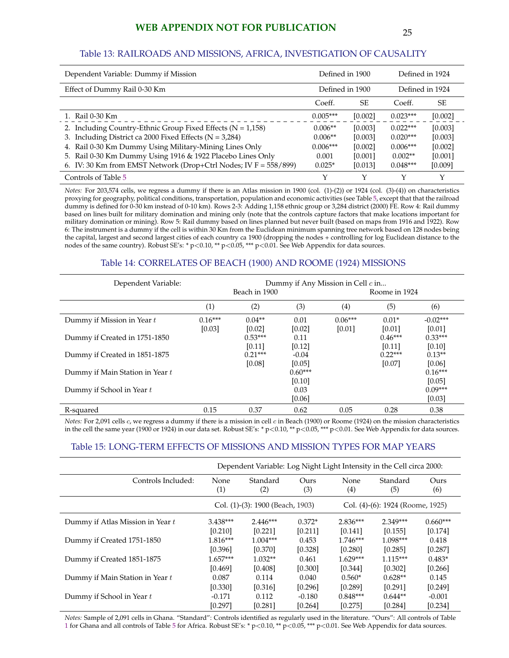## **WEB APPENDIX NOT FOR PUBLICATION** 25

#### Table 13: RAILROADS AND MISSIONS, AFRICA, INVESTIGATION OF CAUSALITY

| Dependent Variable: Dummy if Mission                             | Defined in 1900 |                 | Defined in 1924 |                 |
|------------------------------------------------------------------|-----------------|-----------------|-----------------|-----------------|
| Effect of Dummy Rail 0-30 Km                                     |                 | Defined in 1900 |                 | Defined in 1924 |
|                                                                  | Coeff.          | SE              | Coeff.          | SE              |
| 1. Rail 0-30 Km                                                  | $0.005***$      | [0.002]         | $0.023***$      | [0.002]         |
| 2. Including Country-Ethnic Group Fixed Effects ( $N = 1,158$ )  | $0.006**$       | [0.003]         | $0.022***$      | [0.003]         |
| 3. Including District ca 2000 Fixed Effects ( $N = 3,284$ )      | $0.006**$       | [0.003]         | $0.020***$      | [0.003]         |
| 4. Rail 0-30 Km Dummy Using Military-Mining Lines Only           | $0.006***$      | [0.002]         | $0.006***$      | [0.002]         |
| 5. Rail 0-30 Km Dummy Using 1916 & 1922 Placebo Lines Only       | 0.001           | [0.001]         | $0.002**$       | [0.001]         |
| 6. IV: 30 Km from EMST Network (Drop+Ctrl Nodes; IV F = 558/899) | $0.025*$        | [0.013]         | $0.048***$      | [0.009]         |
| Controls of Table 5                                              | Υ               | Υ               | Υ               | Υ               |

*Notes:* For 203,574 cells, we regress a dummy if there is an Atlas mission in 1900 (col. (1)-(2)) or 1924 (col. (3)-(4)) on characteristics proxying for geography, political conditions, transportation, population and economic activities (see Table [5,](#page-62-0) except that that the railroad dummy is defined for 0-30 km instead of 0-10 km). Rows 2-3: Adding 1,158 ethnic group or 3,284 district (2000) FE. Row 4: Rail dummy based on lines built for military domination and mining only (note that the controls capture factors that make locations important for military domination or mining). Row 5: Rail dummy based on lines planned but never built (based on maps from 1916 and 1922). Row 6: The instrument is a dummy if the cell is within 30 Km from the Euclidean minimum spanning tree network based on 128 nodes being the capital, largest and second largest cities of each country ca 1900 (dropping the nodes + controlling for log Euclidean distance to the nodes of the same country). Robust SE's: \* p<0.10, \*\* p<0.05, \*\*\* p<0.01. See Web Appendix for data sources.

#### Table 14: CORRELATES OF BEACH (1900) AND ROOME (1924) MISSIONS

| Dependent Variable:             | Dummy if Any Mission in Cell $c$ in |               |           |           |               |            |
|---------------------------------|-------------------------------------|---------------|-----------|-----------|---------------|------------|
|                                 |                                     | Beach in 1900 |           |           | Roome in 1924 |            |
|                                 | (1)                                 | (2)           | (3)       | (4)       | (5)           | (6)        |
| Dummy if Mission in Year t      | $0.16***$                           | $0.04**$      | 0.01      | $0.06***$ | $0.01*$       | $-0.02***$ |
|                                 | [0.03]                              | [0.02]        | [0.02]    | [0.01]    | [0.01]        | [0.01]     |
| Dummy if Created in 1751-1850   |                                     | $0.53***$     | 0.11      |           | $0.46***$     | $0.33***$  |
|                                 |                                     | [0.11]        | $[0.12]$  |           | [0.11]        | [0.10]     |
| Dummy if Created in 1851-1875   |                                     | $0.21***$     | $-0.04$   |           | $0.22***$     | $0.13**$   |
|                                 |                                     | [0.08]        | [0.05]    |           | [0.07]        | [0.06]     |
| Dummy if Main Station in Year t |                                     |               | $0.60***$ |           |               | $0.16***$  |
|                                 |                                     |               | [0.10]    |           |               | [0.05]     |
| Dummy if School in Year t       |                                     |               | 0.03      |           |               | $0.09***$  |
|                                 |                                     |               | [0.06]    |           |               | [0.03]     |
| R-squared                       | 0.15                                | 0.37          | 0.62      | 0.05      | 0.28          | 0.38       |

*Notes:* For 2,091 cells c, we regress a dummy if there is a mission in cell c in Beach (1900) or Roome (1924) on the mission characteristics in the cell the same year (1900 or 1924) in our data set. Robust SE's: \*  $p$  < 0.10, \*\*  $p$  < 0.05, \*\*\*  $p$  < 0.01. See Web Appendix for data sources.

#### Table 15: LONG-TERM EFFECTS OF MISSIONS AND MISSION TYPES FOR MAP YEARS

|                                  | Dependent Variable: Log Night Light Intensity in the Cell circa 2000: |                                  |             |                                  |                 |             |
|----------------------------------|-----------------------------------------------------------------------|----------------------------------|-------------|----------------------------------|-----------------|-------------|
| Controls Included:               | <b>None</b><br>(1)                                                    | Standard<br>(2)                  | Ours<br>(3) | None<br>(4)                      | Standard<br>(5) | Ours<br>(6) |
|                                  |                                                                       | Col. (1)-(3): 1900 (Beach, 1903) |             | Col. (4)-(6): 1924 (Roome, 1925) |                 |             |
| Dummy if Atlas Mission in Year t | $3.438***$                                                            | $2.446***$                       | $0.372*$    | $2.836***$                       | $2.349***$      | $0.660***$  |
|                                  | [0.210]                                                               | [0.221]                          | [0.211]     | [0.141]                          | [0.155]         | [0.174]     |
| Dummy if Created 1751-1850       | $1.816***$                                                            | $1.004***$                       | 0.453       | $1.746***$                       | $1.098***$      | 0.418       |
|                                  | [0.396]                                                               | [0.370]                          | [0.328]     | [0.280]                          | [0.285]         | [0.287]     |
| Dummy if Created 1851-1875       | $1.657***$                                                            | $1.032**$                        | 0.461       | $1.629***$                       | $1.115***$      | $0.483*$    |
|                                  | [0.469]                                                               | [0.408]                          | [0.300]     | [0.344]                          | [0.302]         | [0.266]     |
| Dummy if Main Station in Year t  | 0.087                                                                 | 0.114                            | 0.040       | $0.560*$                         | $0.628**$       | 0.145       |
|                                  | [0.330]                                                               | [0.316]                          | [0.296]     | [0.289]                          | [0.291]         | [0.249]     |
| Dummy if School in Year t        | $-0.171$                                                              | 0.112                            | $-0.180$    | $0.848***$                       | $0.644**$       | $-0.001$    |
|                                  | [0.297]                                                               | [0.281]                          | [0.264]     | [0.275]                          | [0.284]         | [0.234]     |

*Notes:* Sample of 2,091 cells in Ghana. "Standard": Controls identified as regularly used in the literature. "Ours": All controls of Table [1](#page-58-0) for Ghana and all controls of Table [5](#page-62-0) for Africa. Robust SE's: \* p<0.10, \*\* p<0.05, \*\*\* p<0.01. See Web Appendix for data sources.